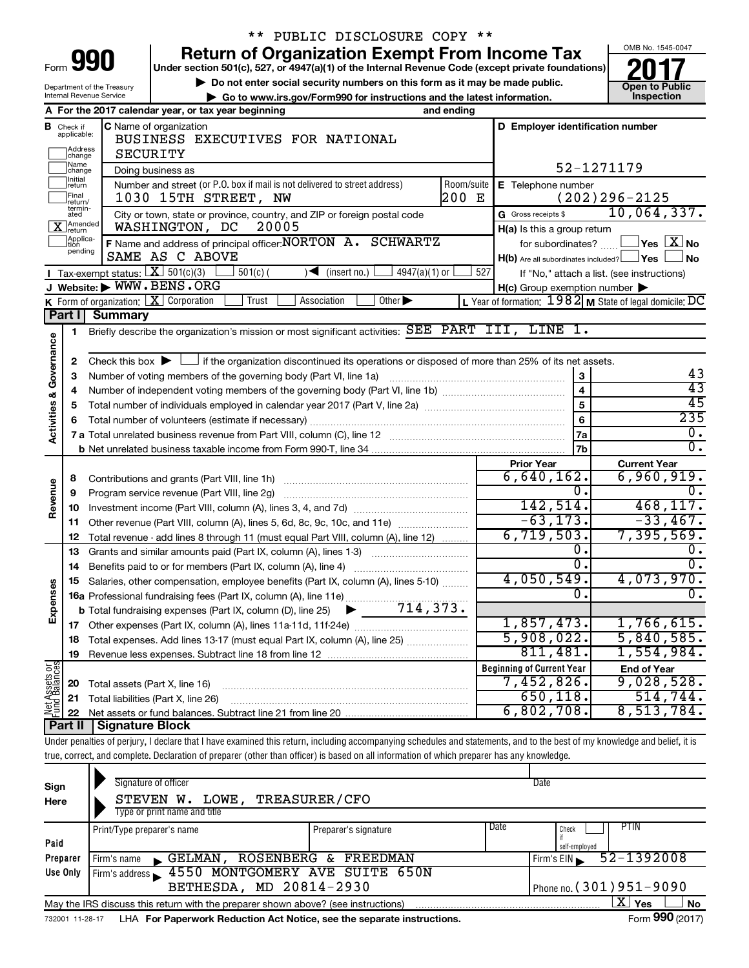| Form<br>в |  |  |
|-----------|--|--|

Department of the Treasury

# \*\* PUBLIC DISCLOSURE COPY \*\*

**Under section 501(c), 527, or 4947(a)(1) of the Internal Revenue Code (except private foundations) 990 Return of Organization Exempt From Income Tax 1990 2017 Divide the section 501(c)**, 527, or 4947(a)(1) of the Internal Revenue Code (except private foundations) **2017** 

▶ Do not enter social security numbers on this form as it may be made public.<br>● Go to www.irs.gov/Form990 for instructions and the latest information. **Department in the latest** information.

**| Go to www.irs.gov/Form990 for instructions and the latest information. Inspection**



| A For the 2017 calendar year, or tax year beginning<br>and ending<br>D Employer identification number<br><b>C</b> Name of organization<br><b>B</b> Check if applicable:<br>BUSINESS EXECUTIVES FOR NATIONAL<br>Address<br>SECURITY<br>change<br>Name<br>change<br>52-1271179<br>Doing business as<br>Initial<br>return<br>Number and street (or P.O. box if mail is not delivered to street address)<br>Room/suite<br>E Telephone number<br>Final<br>200 E<br>$(202)296 - 2125$<br>1030 15TH STREET, NW<br>return/<br>termin-<br>10,064,337.<br>G Gross receipts \$<br>City or town, state or province, country, and ZIP or foreign postal code<br>ated<br>X Amended<br>WASHINGTON, DC<br>20005<br>H(a) Is this a group return<br>Applica-<br>tion<br>F Name and address of principal officer: NORTON A. SCHWARTZ<br>$\Box$ Yes $\Box X$ No<br>for subordinates? $\ldots$ L<br>pending<br>SAME AS C ABOVE<br>H(b) Are all subordinates included? Ves<br>∫ No<br><b>I</b> Tax-exempt status: $X \overline{3}$ 501(c)(3)<br>$\sqrt{\frac{1}{1}}$ (insert no.)<br>4947(a)(1) or<br>527<br>$501(c)$ (<br>If "No," attach a list. (see instructions)<br>J Website: WWW.BENS.ORG<br>$H(c)$ Group exemption number $\blacktriangleright$<br>K Form of organization: $X$ Corporation<br>L Year of formation: $1982$ M State of legal domicile: DC<br>Trust<br>Association<br>Other $\blacktriangleright$<br>Part I<br><b>Summary</b><br>Briefly describe the organization's mission or most significant activities: SEE PART III, LINE 1.<br>$\mathbf{1}$<br>Activities & Governance<br>Check this box $\blacktriangleright \Box$ if the organization discontinued its operations or disposed of more than 25% of its net assets.<br>2<br>43<br>3<br>З<br>$\overline{43}$<br>$\overline{\mathbf{4}}$<br>4<br>45<br>5<br>5<br>235<br>6<br>6<br>О.<br>7a<br>σ.<br>7 <sub>b</sub><br><b>Prior Year</b><br><b>Current Year</b><br>6,960,919.<br>$6,640,162$ .<br>8<br>Revenue<br>0.<br>0.<br>9<br>Program service revenue (Part VIII, line 2g)<br>142, 514.<br>468, 117.<br>10<br>$-63, 173.$<br>$-33,467.$<br>Other revenue (Part VIII, column (A), lines 5, 6d, 8c, 9c, 10c, and 11e)<br>11<br>6,719,503.<br>7,395,569.<br>Total revenue - add lines 8 through 11 (must equal Part VIII, column (A), line 12)<br>12<br>О.<br>$\mathfrak{o}$ .<br>Grants and similar amounts paid (Part IX, column (A), lines 1-3)<br>13<br>0.<br>0.<br>14<br>Benefits paid to or for members (Part IX, column (A), line 4)<br>4,050,549.<br>4,073,970.<br>Salaries, other compensation, employee benefits (Part IX, column (A), lines 5-10)<br>15<br>Expenses<br>Ω.<br>0.<br>16a Professional fundraising fees (Part IX, column (A), line 11e)<br>714,373.<br><b>b</b> Total fundraising expenses (Part IX, column (D), line 25)<br>1,857,473.<br>1,766,615.<br>17<br>5,908,022.<br>5,840,585.<br>Total expenses. Add lines 13-17 (must equal Part IX, column (A), line 25)<br>18<br>811,481.<br>1,554,984.<br>19<br>Net Assets or<br>Fund Balances<br><b>Beginning of Current Year</b><br><b>End of Year</b><br>9,028,528.<br>7,452,826.<br>20<br>Total assets (Part X, line 16)<br>650, 118.<br>514,744.<br>21<br>Total liabilities (Part X, line 26)<br>8,513,784.<br>6,802,708.<br>22<br>Part II<br><b>Signature Block</b> | Internal Revenue Service<br>Go to www.irs.gov/Form990 for instructions and the latest information. |  |  |  | Inspection |
|------------------------------------------------------------------------------------------------------------------------------------------------------------------------------------------------------------------------------------------------------------------------------------------------------------------------------------------------------------------------------------------------------------------------------------------------------------------------------------------------------------------------------------------------------------------------------------------------------------------------------------------------------------------------------------------------------------------------------------------------------------------------------------------------------------------------------------------------------------------------------------------------------------------------------------------------------------------------------------------------------------------------------------------------------------------------------------------------------------------------------------------------------------------------------------------------------------------------------------------------------------------------------------------------------------------------------------------------------------------------------------------------------------------------------------------------------------------------------------------------------------------------------------------------------------------------------------------------------------------------------------------------------------------------------------------------------------------------------------------------------------------------------------------------------------------------------------------------------------------------------------------------------------------------------------------------------------------------------------------------------------------------------------------------------------------------------------------------------------------------------------------------------------------------------------------------------------------------------------------------------------------------------------------------------------------------------------------------------------------------------------------------------------------------------------------------------------------------------------------------------------------------------------------------------------------------------------------------------------------------------------------------------------------------------------------------------------------------------------------------------------------------------------------------------------------------------------------------------------------------------------------------------------------------------------------------------------------------------------------------------------------------------------------------------------------------------------------------------------------------------------------------------------------------------------------------------------------------------------------------------------------------------------------------------|----------------------------------------------------------------------------------------------------|--|--|--|------------|
|                                                                                                                                                                                                                                                                                                                                                                                                                                                                                                                                                                                                                                                                                                                                                                                                                                                                                                                                                                                                                                                                                                                                                                                                                                                                                                                                                                                                                                                                                                                                                                                                                                                                                                                                                                                                                                                                                                                                                                                                                                                                                                                                                                                                                                                                                                                                                                                                                                                                                                                                                                                                                                                                                                                                                                                                                                                                                                                                                                                                                                                                                                                                                                                                                                                                                                      |                                                                                                    |  |  |  |            |
|                                                                                                                                                                                                                                                                                                                                                                                                                                                                                                                                                                                                                                                                                                                                                                                                                                                                                                                                                                                                                                                                                                                                                                                                                                                                                                                                                                                                                                                                                                                                                                                                                                                                                                                                                                                                                                                                                                                                                                                                                                                                                                                                                                                                                                                                                                                                                                                                                                                                                                                                                                                                                                                                                                                                                                                                                                                                                                                                                                                                                                                                                                                                                                                                                                                                                                      |                                                                                                    |  |  |  |            |
|                                                                                                                                                                                                                                                                                                                                                                                                                                                                                                                                                                                                                                                                                                                                                                                                                                                                                                                                                                                                                                                                                                                                                                                                                                                                                                                                                                                                                                                                                                                                                                                                                                                                                                                                                                                                                                                                                                                                                                                                                                                                                                                                                                                                                                                                                                                                                                                                                                                                                                                                                                                                                                                                                                                                                                                                                                                                                                                                                                                                                                                                                                                                                                                                                                                                                                      |                                                                                                    |  |  |  |            |
|                                                                                                                                                                                                                                                                                                                                                                                                                                                                                                                                                                                                                                                                                                                                                                                                                                                                                                                                                                                                                                                                                                                                                                                                                                                                                                                                                                                                                                                                                                                                                                                                                                                                                                                                                                                                                                                                                                                                                                                                                                                                                                                                                                                                                                                                                                                                                                                                                                                                                                                                                                                                                                                                                                                                                                                                                                                                                                                                                                                                                                                                                                                                                                                                                                                                                                      |                                                                                                    |  |  |  |            |
|                                                                                                                                                                                                                                                                                                                                                                                                                                                                                                                                                                                                                                                                                                                                                                                                                                                                                                                                                                                                                                                                                                                                                                                                                                                                                                                                                                                                                                                                                                                                                                                                                                                                                                                                                                                                                                                                                                                                                                                                                                                                                                                                                                                                                                                                                                                                                                                                                                                                                                                                                                                                                                                                                                                                                                                                                                                                                                                                                                                                                                                                                                                                                                                                                                                                                                      |                                                                                                    |  |  |  |            |
|                                                                                                                                                                                                                                                                                                                                                                                                                                                                                                                                                                                                                                                                                                                                                                                                                                                                                                                                                                                                                                                                                                                                                                                                                                                                                                                                                                                                                                                                                                                                                                                                                                                                                                                                                                                                                                                                                                                                                                                                                                                                                                                                                                                                                                                                                                                                                                                                                                                                                                                                                                                                                                                                                                                                                                                                                                                                                                                                                                                                                                                                                                                                                                                                                                                                                                      |                                                                                                    |  |  |  |            |
|                                                                                                                                                                                                                                                                                                                                                                                                                                                                                                                                                                                                                                                                                                                                                                                                                                                                                                                                                                                                                                                                                                                                                                                                                                                                                                                                                                                                                                                                                                                                                                                                                                                                                                                                                                                                                                                                                                                                                                                                                                                                                                                                                                                                                                                                                                                                                                                                                                                                                                                                                                                                                                                                                                                                                                                                                                                                                                                                                                                                                                                                                                                                                                                                                                                                                                      |                                                                                                    |  |  |  |            |
|                                                                                                                                                                                                                                                                                                                                                                                                                                                                                                                                                                                                                                                                                                                                                                                                                                                                                                                                                                                                                                                                                                                                                                                                                                                                                                                                                                                                                                                                                                                                                                                                                                                                                                                                                                                                                                                                                                                                                                                                                                                                                                                                                                                                                                                                                                                                                                                                                                                                                                                                                                                                                                                                                                                                                                                                                                                                                                                                                                                                                                                                                                                                                                                                                                                                                                      |                                                                                                    |  |  |  |            |
|                                                                                                                                                                                                                                                                                                                                                                                                                                                                                                                                                                                                                                                                                                                                                                                                                                                                                                                                                                                                                                                                                                                                                                                                                                                                                                                                                                                                                                                                                                                                                                                                                                                                                                                                                                                                                                                                                                                                                                                                                                                                                                                                                                                                                                                                                                                                                                                                                                                                                                                                                                                                                                                                                                                                                                                                                                                                                                                                                                                                                                                                                                                                                                                                                                                                                                      |                                                                                                    |  |  |  |            |
|                                                                                                                                                                                                                                                                                                                                                                                                                                                                                                                                                                                                                                                                                                                                                                                                                                                                                                                                                                                                                                                                                                                                                                                                                                                                                                                                                                                                                                                                                                                                                                                                                                                                                                                                                                                                                                                                                                                                                                                                                                                                                                                                                                                                                                                                                                                                                                                                                                                                                                                                                                                                                                                                                                                                                                                                                                                                                                                                                                                                                                                                                                                                                                                                                                                                                                      |                                                                                                    |  |  |  |            |
|                                                                                                                                                                                                                                                                                                                                                                                                                                                                                                                                                                                                                                                                                                                                                                                                                                                                                                                                                                                                                                                                                                                                                                                                                                                                                                                                                                                                                                                                                                                                                                                                                                                                                                                                                                                                                                                                                                                                                                                                                                                                                                                                                                                                                                                                                                                                                                                                                                                                                                                                                                                                                                                                                                                                                                                                                                                                                                                                                                                                                                                                                                                                                                                                                                                                                                      |                                                                                                    |  |  |  |            |
|                                                                                                                                                                                                                                                                                                                                                                                                                                                                                                                                                                                                                                                                                                                                                                                                                                                                                                                                                                                                                                                                                                                                                                                                                                                                                                                                                                                                                                                                                                                                                                                                                                                                                                                                                                                                                                                                                                                                                                                                                                                                                                                                                                                                                                                                                                                                                                                                                                                                                                                                                                                                                                                                                                                                                                                                                                                                                                                                                                                                                                                                                                                                                                                                                                                                                                      |                                                                                                    |  |  |  |            |
|                                                                                                                                                                                                                                                                                                                                                                                                                                                                                                                                                                                                                                                                                                                                                                                                                                                                                                                                                                                                                                                                                                                                                                                                                                                                                                                                                                                                                                                                                                                                                                                                                                                                                                                                                                                                                                                                                                                                                                                                                                                                                                                                                                                                                                                                                                                                                                                                                                                                                                                                                                                                                                                                                                                                                                                                                                                                                                                                                                                                                                                                                                                                                                                                                                                                                                      |                                                                                                    |  |  |  |            |
|                                                                                                                                                                                                                                                                                                                                                                                                                                                                                                                                                                                                                                                                                                                                                                                                                                                                                                                                                                                                                                                                                                                                                                                                                                                                                                                                                                                                                                                                                                                                                                                                                                                                                                                                                                                                                                                                                                                                                                                                                                                                                                                                                                                                                                                                                                                                                                                                                                                                                                                                                                                                                                                                                                                                                                                                                                                                                                                                                                                                                                                                                                                                                                                                                                                                                                      |                                                                                                    |  |  |  |            |
|                                                                                                                                                                                                                                                                                                                                                                                                                                                                                                                                                                                                                                                                                                                                                                                                                                                                                                                                                                                                                                                                                                                                                                                                                                                                                                                                                                                                                                                                                                                                                                                                                                                                                                                                                                                                                                                                                                                                                                                                                                                                                                                                                                                                                                                                                                                                                                                                                                                                                                                                                                                                                                                                                                                                                                                                                                                                                                                                                                                                                                                                                                                                                                                                                                                                                                      |                                                                                                    |  |  |  |            |
|                                                                                                                                                                                                                                                                                                                                                                                                                                                                                                                                                                                                                                                                                                                                                                                                                                                                                                                                                                                                                                                                                                                                                                                                                                                                                                                                                                                                                                                                                                                                                                                                                                                                                                                                                                                                                                                                                                                                                                                                                                                                                                                                                                                                                                                                                                                                                                                                                                                                                                                                                                                                                                                                                                                                                                                                                                                                                                                                                                                                                                                                                                                                                                                                                                                                                                      |                                                                                                    |  |  |  |            |
|                                                                                                                                                                                                                                                                                                                                                                                                                                                                                                                                                                                                                                                                                                                                                                                                                                                                                                                                                                                                                                                                                                                                                                                                                                                                                                                                                                                                                                                                                                                                                                                                                                                                                                                                                                                                                                                                                                                                                                                                                                                                                                                                                                                                                                                                                                                                                                                                                                                                                                                                                                                                                                                                                                                                                                                                                                                                                                                                                                                                                                                                                                                                                                                                                                                                                                      |                                                                                                    |  |  |  |            |
|                                                                                                                                                                                                                                                                                                                                                                                                                                                                                                                                                                                                                                                                                                                                                                                                                                                                                                                                                                                                                                                                                                                                                                                                                                                                                                                                                                                                                                                                                                                                                                                                                                                                                                                                                                                                                                                                                                                                                                                                                                                                                                                                                                                                                                                                                                                                                                                                                                                                                                                                                                                                                                                                                                                                                                                                                                                                                                                                                                                                                                                                                                                                                                                                                                                                                                      |                                                                                                    |  |  |  |            |
|                                                                                                                                                                                                                                                                                                                                                                                                                                                                                                                                                                                                                                                                                                                                                                                                                                                                                                                                                                                                                                                                                                                                                                                                                                                                                                                                                                                                                                                                                                                                                                                                                                                                                                                                                                                                                                                                                                                                                                                                                                                                                                                                                                                                                                                                                                                                                                                                                                                                                                                                                                                                                                                                                                                                                                                                                                                                                                                                                                                                                                                                                                                                                                                                                                                                                                      |                                                                                                    |  |  |  |            |
|                                                                                                                                                                                                                                                                                                                                                                                                                                                                                                                                                                                                                                                                                                                                                                                                                                                                                                                                                                                                                                                                                                                                                                                                                                                                                                                                                                                                                                                                                                                                                                                                                                                                                                                                                                                                                                                                                                                                                                                                                                                                                                                                                                                                                                                                                                                                                                                                                                                                                                                                                                                                                                                                                                                                                                                                                                                                                                                                                                                                                                                                                                                                                                                                                                                                                                      |                                                                                                    |  |  |  |            |
|                                                                                                                                                                                                                                                                                                                                                                                                                                                                                                                                                                                                                                                                                                                                                                                                                                                                                                                                                                                                                                                                                                                                                                                                                                                                                                                                                                                                                                                                                                                                                                                                                                                                                                                                                                                                                                                                                                                                                                                                                                                                                                                                                                                                                                                                                                                                                                                                                                                                                                                                                                                                                                                                                                                                                                                                                                                                                                                                                                                                                                                                                                                                                                                                                                                                                                      |                                                                                                    |  |  |  |            |
|                                                                                                                                                                                                                                                                                                                                                                                                                                                                                                                                                                                                                                                                                                                                                                                                                                                                                                                                                                                                                                                                                                                                                                                                                                                                                                                                                                                                                                                                                                                                                                                                                                                                                                                                                                                                                                                                                                                                                                                                                                                                                                                                                                                                                                                                                                                                                                                                                                                                                                                                                                                                                                                                                                                                                                                                                                                                                                                                                                                                                                                                                                                                                                                                                                                                                                      |                                                                                                    |  |  |  |            |
|                                                                                                                                                                                                                                                                                                                                                                                                                                                                                                                                                                                                                                                                                                                                                                                                                                                                                                                                                                                                                                                                                                                                                                                                                                                                                                                                                                                                                                                                                                                                                                                                                                                                                                                                                                                                                                                                                                                                                                                                                                                                                                                                                                                                                                                                                                                                                                                                                                                                                                                                                                                                                                                                                                                                                                                                                                                                                                                                                                                                                                                                                                                                                                                                                                                                                                      |                                                                                                    |  |  |  |            |
|                                                                                                                                                                                                                                                                                                                                                                                                                                                                                                                                                                                                                                                                                                                                                                                                                                                                                                                                                                                                                                                                                                                                                                                                                                                                                                                                                                                                                                                                                                                                                                                                                                                                                                                                                                                                                                                                                                                                                                                                                                                                                                                                                                                                                                                                                                                                                                                                                                                                                                                                                                                                                                                                                                                                                                                                                                                                                                                                                                                                                                                                                                                                                                                                                                                                                                      |                                                                                                    |  |  |  |            |
|                                                                                                                                                                                                                                                                                                                                                                                                                                                                                                                                                                                                                                                                                                                                                                                                                                                                                                                                                                                                                                                                                                                                                                                                                                                                                                                                                                                                                                                                                                                                                                                                                                                                                                                                                                                                                                                                                                                                                                                                                                                                                                                                                                                                                                                                                                                                                                                                                                                                                                                                                                                                                                                                                                                                                                                                                                                                                                                                                                                                                                                                                                                                                                                                                                                                                                      |                                                                                                    |  |  |  |            |
|                                                                                                                                                                                                                                                                                                                                                                                                                                                                                                                                                                                                                                                                                                                                                                                                                                                                                                                                                                                                                                                                                                                                                                                                                                                                                                                                                                                                                                                                                                                                                                                                                                                                                                                                                                                                                                                                                                                                                                                                                                                                                                                                                                                                                                                                                                                                                                                                                                                                                                                                                                                                                                                                                                                                                                                                                                                                                                                                                                                                                                                                                                                                                                                                                                                                                                      |                                                                                                    |  |  |  |            |
|                                                                                                                                                                                                                                                                                                                                                                                                                                                                                                                                                                                                                                                                                                                                                                                                                                                                                                                                                                                                                                                                                                                                                                                                                                                                                                                                                                                                                                                                                                                                                                                                                                                                                                                                                                                                                                                                                                                                                                                                                                                                                                                                                                                                                                                                                                                                                                                                                                                                                                                                                                                                                                                                                                                                                                                                                                                                                                                                                                                                                                                                                                                                                                                                                                                                                                      |                                                                                                    |  |  |  |            |
|                                                                                                                                                                                                                                                                                                                                                                                                                                                                                                                                                                                                                                                                                                                                                                                                                                                                                                                                                                                                                                                                                                                                                                                                                                                                                                                                                                                                                                                                                                                                                                                                                                                                                                                                                                                                                                                                                                                                                                                                                                                                                                                                                                                                                                                                                                                                                                                                                                                                                                                                                                                                                                                                                                                                                                                                                                                                                                                                                                                                                                                                                                                                                                                                                                                                                                      |                                                                                                    |  |  |  |            |
|                                                                                                                                                                                                                                                                                                                                                                                                                                                                                                                                                                                                                                                                                                                                                                                                                                                                                                                                                                                                                                                                                                                                                                                                                                                                                                                                                                                                                                                                                                                                                                                                                                                                                                                                                                                                                                                                                                                                                                                                                                                                                                                                                                                                                                                                                                                                                                                                                                                                                                                                                                                                                                                                                                                                                                                                                                                                                                                                                                                                                                                                                                                                                                                                                                                                                                      |                                                                                                    |  |  |  |            |
|                                                                                                                                                                                                                                                                                                                                                                                                                                                                                                                                                                                                                                                                                                                                                                                                                                                                                                                                                                                                                                                                                                                                                                                                                                                                                                                                                                                                                                                                                                                                                                                                                                                                                                                                                                                                                                                                                                                                                                                                                                                                                                                                                                                                                                                                                                                                                                                                                                                                                                                                                                                                                                                                                                                                                                                                                                                                                                                                                                                                                                                                                                                                                                                                                                                                                                      |                                                                                                    |  |  |  |            |
|                                                                                                                                                                                                                                                                                                                                                                                                                                                                                                                                                                                                                                                                                                                                                                                                                                                                                                                                                                                                                                                                                                                                                                                                                                                                                                                                                                                                                                                                                                                                                                                                                                                                                                                                                                                                                                                                                                                                                                                                                                                                                                                                                                                                                                                                                                                                                                                                                                                                                                                                                                                                                                                                                                                                                                                                                                                                                                                                                                                                                                                                                                                                                                                                                                                                                                      |                                                                                                    |  |  |  |            |
|                                                                                                                                                                                                                                                                                                                                                                                                                                                                                                                                                                                                                                                                                                                                                                                                                                                                                                                                                                                                                                                                                                                                                                                                                                                                                                                                                                                                                                                                                                                                                                                                                                                                                                                                                                                                                                                                                                                                                                                                                                                                                                                                                                                                                                                                                                                                                                                                                                                                                                                                                                                                                                                                                                                                                                                                                                                                                                                                                                                                                                                                                                                                                                                                                                                                                                      |                                                                                                    |  |  |  |            |
|                                                                                                                                                                                                                                                                                                                                                                                                                                                                                                                                                                                                                                                                                                                                                                                                                                                                                                                                                                                                                                                                                                                                                                                                                                                                                                                                                                                                                                                                                                                                                                                                                                                                                                                                                                                                                                                                                                                                                                                                                                                                                                                                                                                                                                                                                                                                                                                                                                                                                                                                                                                                                                                                                                                                                                                                                                                                                                                                                                                                                                                                                                                                                                                                                                                                                                      |                                                                                                    |  |  |  |            |
|                                                                                                                                                                                                                                                                                                                                                                                                                                                                                                                                                                                                                                                                                                                                                                                                                                                                                                                                                                                                                                                                                                                                                                                                                                                                                                                                                                                                                                                                                                                                                                                                                                                                                                                                                                                                                                                                                                                                                                                                                                                                                                                                                                                                                                                                                                                                                                                                                                                                                                                                                                                                                                                                                                                                                                                                                                                                                                                                                                                                                                                                                                                                                                                                                                                                                                      |                                                                                                    |  |  |  |            |
|                                                                                                                                                                                                                                                                                                                                                                                                                                                                                                                                                                                                                                                                                                                                                                                                                                                                                                                                                                                                                                                                                                                                                                                                                                                                                                                                                                                                                                                                                                                                                                                                                                                                                                                                                                                                                                                                                                                                                                                                                                                                                                                                                                                                                                                                                                                                                                                                                                                                                                                                                                                                                                                                                                                                                                                                                                                                                                                                                                                                                                                                                                                                                                                                                                                                                                      |                                                                                                    |  |  |  |            |
|                                                                                                                                                                                                                                                                                                                                                                                                                                                                                                                                                                                                                                                                                                                                                                                                                                                                                                                                                                                                                                                                                                                                                                                                                                                                                                                                                                                                                                                                                                                                                                                                                                                                                                                                                                                                                                                                                                                                                                                                                                                                                                                                                                                                                                                                                                                                                                                                                                                                                                                                                                                                                                                                                                                                                                                                                                                                                                                                                                                                                                                                                                                                                                                                                                                                                                      |                                                                                                    |  |  |  |            |
|                                                                                                                                                                                                                                                                                                                                                                                                                                                                                                                                                                                                                                                                                                                                                                                                                                                                                                                                                                                                                                                                                                                                                                                                                                                                                                                                                                                                                                                                                                                                                                                                                                                                                                                                                                                                                                                                                                                                                                                                                                                                                                                                                                                                                                                                                                                                                                                                                                                                                                                                                                                                                                                                                                                                                                                                                                                                                                                                                                                                                                                                                                                                                                                                                                                                                                      |                                                                                                    |  |  |  |            |
|                                                                                                                                                                                                                                                                                                                                                                                                                                                                                                                                                                                                                                                                                                                                                                                                                                                                                                                                                                                                                                                                                                                                                                                                                                                                                                                                                                                                                                                                                                                                                                                                                                                                                                                                                                                                                                                                                                                                                                                                                                                                                                                                                                                                                                                                                                                                                                                                                                                                                                                                                                                                                                                                                                                                                                                                                                                                                                                                                                                                                                                                                                                                                                                                                                                                                                      |                                                                                                    |  |  |  |            |

Under penalties of perjury, I declare that I have examined this return, including accompanying schedules and statements, and to the best of my knowledge and belief, it is true, correct, and complete. Declaration of preparer (other than officer) is based on all information of which preparer has any knowledge.

| Sign<br>Here    | Signature of officer<br>LOWE,<br>STEVEN W.<br>Type or print name and title        | <b>TREASURER/CFO</b> |      | Date                           |
|-----------------|-----------------------------------------------------------------------------------|----------------------|------|--------------------------------|
| Paid            | Print/Type preparer's name                                                        | Preparer's signature | Date | PTIN<br>Check<br>self-emploved |
| Preparer        | ROSENBERG &<br>GELMAN,<br>Firm's name                                             | FREEDMAN             |      | 52-1392008<br>Firm's $EIN$     |
| Use Only        | 4550 MONTGOMERY AVE SUITE 650N<br>Firm's address<br>BETHESDA, MD 20814-2930       |                      |      | Phone no. (301) 951 – 9090     |
|                 | May the IRS discuss this return with the preparer shown above? (see instructions) |                      |      | ΧI<br>Yes<br><b>No</b>         |
| 732001 11-28-17 | LHA For Paperwork Reduction Act Notice, see the separate instructions.            |                      |      | Form 990 (2017)                |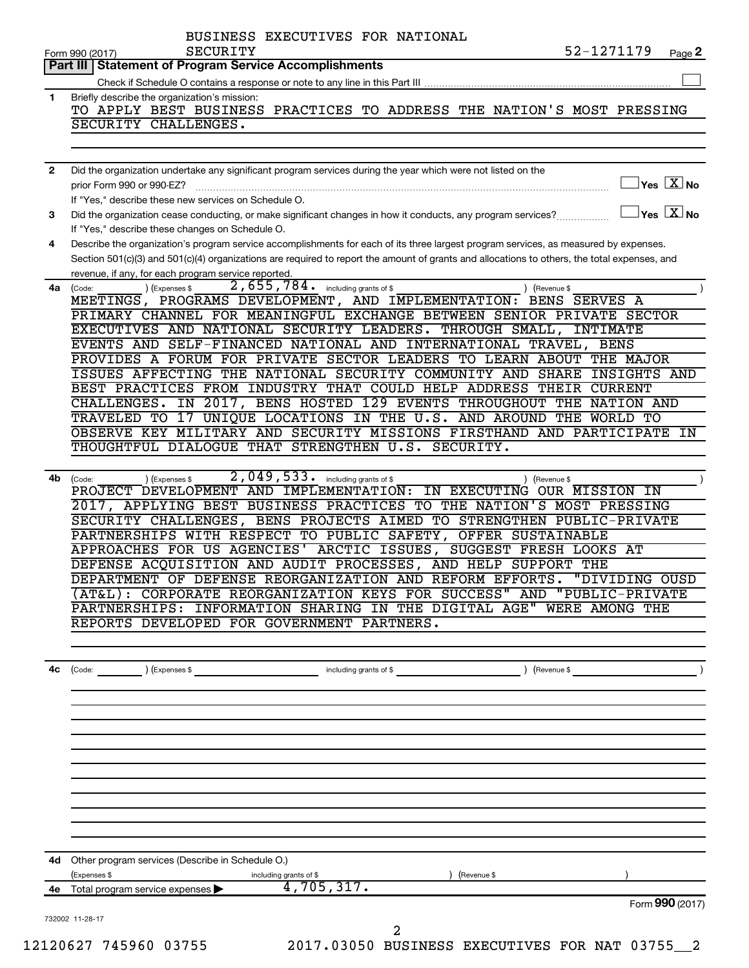|              | 52-1271179<br>SECURITY<br>Form 990 (2017)                                                                                                                       | Page 2                               |
|--------------|-----------------------------------------------------------------------------------------------------------------------------------------------------------------|--------------------------------------|
| Part III     | <b>Statement of Program Service Accomplishments</b>                                                                                                             |                                      |
| $\mathbf{1}$ | Briefly describe the organization's mission:                                                                                                                    |                                      |
|              | TO APPLY BEST BUSINESS PRACTICES TO ADDRESS THE NATION'S MOST PRESSING                                                                                          |                                      |
|              | SECURITY CHALLENGES.                                                                                                                                            |                                      |
|              |                                                                                                                                                                 |                                      |
| 2            | Did the organization undertake any significant program services during the year which were not listed on the                                                    |                                      |
|              | prior Form 990 or 990-EZ?                                                                                                                                       | $\sqrt{\mathsf{Yes}\ \mathbf{X}}$ No |
|              | If "Yes," describe these new services on Schedule O.                                                                                                            | $\exists$ Yes $\boxed{\text{X}}$ No  |
| 3            | Did the organization cease conducting, or make significant changes in how it conducts, any program services?<br>If "Yes," describe these changes on Schedule O. |                                      |
| 4            | Describe the organization's program service accomplishments for each of its three largest program services, as measured by expenses.                            |                                      |
|              | Section 501(c)(3) and 501(c)(4) organizations are required to report the amount of grants and allocations to others, the total expenses, and                    |                                      |
|              | revenue, if any, for each program service reported.                                                                                                             |                                      |
| 4a           | 2,655,784. including grants of \$<br>) (Expenses \$<br>) (Revenue \$<br>(Code:<br>MEETINGS, PROGRAMS DEVELOPMENT, AND IMPLEMENTATION:<br>BENS SERVES A          |                                      |
|              | PRIMARY CHANNEL FOR MEANINGFUL EXCHANGE BETWEEN SENIOR PRIVATE SECTOR                                                                                           |                                      |
|              | EXECUTIVES AND NATIONAL SECURITY LEADERS. THROUGH SMALL,<br>INTIMATE                                                                                            |                                      |
|              | EVENTS AND SELF-FINANCED NATIONAL AND INTERNATIONAL TRAVEL,<br>BENS                                                                                             |                                      |
|              | PROVIDES A FORUM FOR PRIVATE SECTOR LEADERS TO LEARN ABOUT<br>THE MAJOR<br>ISSUES AFFECTING THE NATIONAL SECURITY COMMUNITY AND<br><b>SHARE</b><br>INSIGHTS AND |                                      |
|              | BEST PRACTICES FROM INDUSTRY THAT COULD HELP ADDRESS THEIR CURRENT                                                                                              |                                      |
|              | IN 2017, BENS HOSTED 129 EVENTS THROUGHOUT THE<br>CHALLENGES.<br><b>NATION AND</b>                                                                              |                                      |
|              | 17 UNIQUE LOCATIONS IN THE U.S. AND AROUND THE WORLD TO<br>TRAVELED TO                                                                                          |                                      |
|              | OBSERVE KEY MILITARY AND SECURITY MISSIONS FIRSTHAND AND PARTICIPATE IN                                                                                         |                                      |
|              | THOUGHTFUL DIALOGUE THAT STRENGTHEN U.S. SECURITY.                                                                                                              |                                      |
| 4b           | 2,049,533. including grants of \$<br>(Code:<br>(Expenses \$<br>Revenue \$                                                                                       |                                      |
|              | PROJECT DEVELOPMENT AND IMPLEMENTATION:<br>IN EXECUTING<br>OUR MISSION IN                                                                                       |                                      |
|              | 2017, APPLYING BEST BUSINESS PRACTICES TO THE NATION'S MOST PRESSING                                                                                            |                                      |
|              | SECURITY CHALLENGES, BENS PROJECTS AIMED TO STRENGTHEN PUBLIC-PRIVATE                                                                                           |                                      |
|              | PARTNERSHIPS WITH RESPECT TO PUBLIC SAFETY, OFFER SUSTAINABLE<br>APPROACHES FOR US AGENCIES' ARCTIC ISSUES,<br>SUGGEST FRESH LOOKS AT                           |                                      |
|              | DEFENSE ACQUISITION AND AUDIT PROCESSES, AND HELP SUPPORT THE                                                                                                   |                                      |
|              | DEPARTMENT OF DEFENSE REORGANIZATION AND REFORM EFFORTS. "DIVIDING OUSD                                                                                         |                                      |
|              | (AT&L): CORPORATE REORGANIZATION KEYS FOR SUCCESS" AND "PUBLIC-PRIVATE                                                                                          |                                      |
|              | PARTNERSHIPS: INFORMATION SHARING IN THE DIGITAL AGE" WERE AMONG THE<br>REPORTS DEVELOPED FOR GOVERNMENT PARTNERS.                                              |                                      |
|              |                                                                                                                                                                 |                                      |
|              |                                                                                                                                                                 |                                      |
| 4с           |                                                                                                                                                                 |                                      |
|              |                                                                                                                                                                 |                                      |
|              |                                                                                                                                                                 |                                      |
|              |                                                                                                                                                                 |                                      |
|              |                                                                                                                                                                 |                                      |
|              |                                                                                                                                                                 |                                      |
|              |                                                                                                                                                                 |                                      |
|              |                                                                                                                                                                 |                                      |
|              |                                                                                                                                                                 |                                      |
|              |                                                                                                                                                                 |                                      |
|              | 4d Other program services (Describe in Schedule O.)                                                                                                             |                                      |
|              | (Expenses \$<br>) (Revenue \$<br>including grants of \$                                                                                                         |                                      |
|              | $\overline{4,705,317.}$<br>4e Total program service expenses >                                                                                                  |                                      |
|              |                                                                                                                                                                 | Form 990 (2017)                      |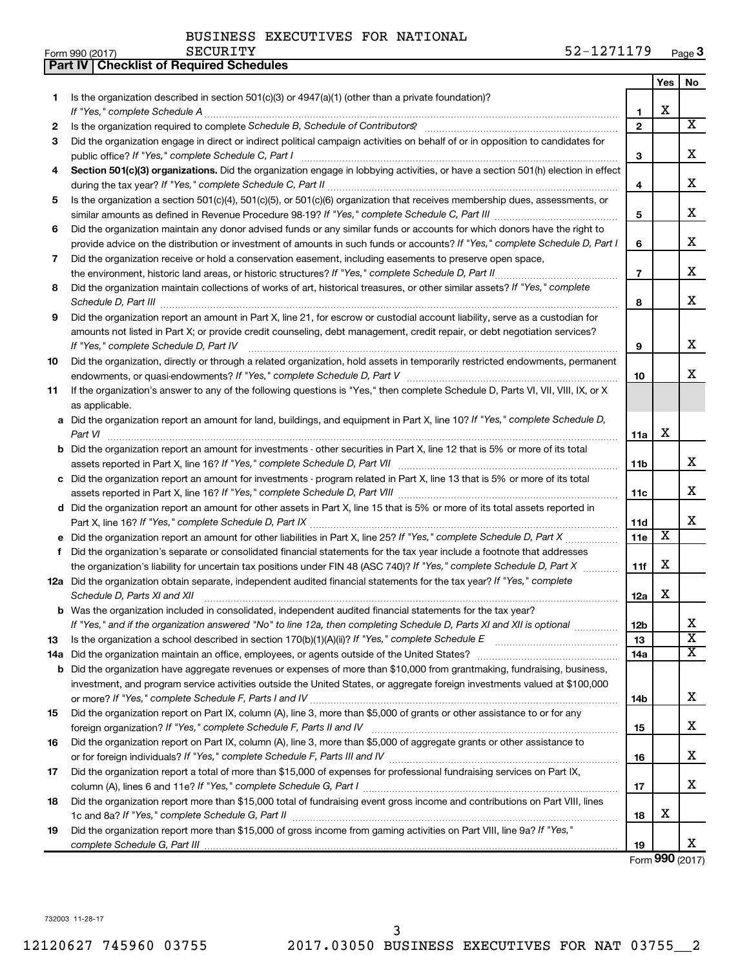|    | Part IV   Checklist of Required Schedules                                                                                                                                                                                                                                                                                                                 |                |     |                         |
|----|-----------------------------------------------------------------------------------------------------------------------------------------------------------------------------------------------------------------------------------------------------------------------------------------------------------------------------------------------------------|----------------|-----|-------------------------|
|    |                                                                                                                                                                                                                                                                                                                                                           |                | Yes | No.                     |
| 1  | Is the organization described in section 501(c)(3) or $4947(a)(1)$ (other than a private foundation)?                                                                                                                                                                                                                                                     |                |     |                         |
|    |                                                                                                                                                                                                                                                                                                                                                           | 1              | X   |                         |
| 2  |                                                                                                                                                                                                                                                                                                                                                           | $\mathbf{2}$   |     | $\overline{\text{X}}$   |
| З  | Did the organization engage in direct or indirect political campaign activities on behalf of or in opposition to candidates for                                                                                                                                                                                                                           |                |     |                         |
|    |                                                                                                                                                                                                                                                                                                                                                           | 3              |     | х                       |
| 4  | Section 501(c)(3) organizations. Did the organization engage in lobbying activities, or have a section 501(h) election in effect                                                                                                                                                                                                                          |                |     | х                       |
|    |                                                                                                                                                                                                                                                                                                                                                           | 4              |     |                         |
| 5  | Is the organization a section 501(c)(4), 501(c)(5), or 501(c)(6) organization that receives membership dues, assessments, or                                                                                                                                                                                                                              | 5              |     | х                       |
| 6  | Did the organization maintain any donor advised funds or any similar funds or accounts for which donors have the right to                                                                                                                                                                                                                                 |                |     |                         |
|    | provide advice on the distribution or investment of amounts in such funds or accounts? If "Yes," complete Schedule D, Part I                                                                                                                                                                                                                              | 6              |     | х                       |
| 7  | Did the organization receive or hold a conservation easement, including easements to preserve open space,                                                                                                                                                                                                                                                 |                |     |                         |
|    |                                                                                                                                                                                                                                                                                                                                                           | $\overline{7}$ |     | х                       |
| 8  | Did the organization maintain collections of works of art, historical treasures, or other similar assets? If "Yes," complete                                                                                                                                                                                                                              |                |     |                         |
|    | Schedule D, Part III <b>Marting Communities</b> Contract and Contract and Contract and Contract and Contract and Contract and Contract and Contract and Contract and Contract and Contract and Contract and Contract and Contract a                                                                                                                       | 8              |     | x                       |
| 9  | Did the organization report an amount in Part X, line 21, for escrow or custodial account liability, serve as a custodian for                                                                                                                                                                                                                             |                |     |                         |
|    | amounts not listed in Part X; or provide credit counseling, debt management, credit repair, or debt negotiation services?<br>If "Yes," complete Schedule D, Part IV                                                                                                                                                                                       | 9              |     | х                       |
| 10 | Did the organization, directly or through a related organization, hold assets in temporarily restricted endowments, permanent                                                                                                                                                                                                                             |                |     |                         |
|    |                                                                                                                                                                                                                                                                                                                                                           | 10             |     | x                       |
| 11 | If the organization's answer to any of the following questions is "Yes," then complete Schedule D, Parts VI, VII, VIII, IX, or X                                                                                                                                                                                                                          |                |     |                         |
|    | as applicable.                                                                                                                                                                                                                                                                                                                                            |                |     |                         |
|    | a Did the organization report an amount for land, buildings, and equipment in Part X, line 10? If "Yes," complete Schedule D,                                                                                                                                                                                                                             |                |     |                         |
|    | Part VI                                                                                                                                                                                                                                                                                                                                                   | 11a            | х   |                         |
|    | b Did the organization report an amount for investments - other securities in Part X, line 12 that is 5% or more of its total                                                                                                                                                                                                                             |                |     |                         |
|    |                                                                                                                                                                                                                                                                                                                                                           | 11b            |     | x                       |
|    | c Did the organization report an amount for investments - program related in Part X, line 13 that is 5% or more of its total                                                                                                                                                                                                                              |                |     |                         |
|    |                                                                                                                                                                                                                                                                                                                                                           |                |     | x                       |
|    | d Did the organization report an amount for other assets in Part X, line 15 that is 5% or more of its total assets reported in                                                                                                                                                                                                                            | 11c            |     |                         |
|    |                                                                                                                                                                                                                                                                                                                                                           | 11d            |     | x                       |
|    | e Did the organization report an amount for other liabilities in Part X, line 25? If "Yes," complete Schedule D, Part X                                                                                                                                                                                                                                   | 11e            | X   |                         |
| f  | Did the organization's separate or consolidated financial statements for the tax year include a footnote that addresses                                                                                                                                                                                                                                   |                |     |                         |
|    | the organization's liability for uncertain tax positions under FIN 48 (ASC 740)? If "Yes," complete Schedule D, Part X                                                                                                                                                                                                                                    | 11f            | X   |                         |
|    | 12a Did the organization obtain separate, independent audited financial statements for the tax year? If "Yes," complete                                                                                                                                                                                                                                   |                |     |                         |
|    |                                                                                                                                                                                                                                                                                                                                                           | 12a            | х   |                         |
|    | Schedule D, Parts XI and XII <b>continuum continuum continuum continuum continuum continuum continuum continuum</b> continuum continuum continuum continuum continuum continuum continuum continuum continuum continuum continuum c<br><b>b</b> Was the organization included in consolidated, independent audited financial statements for the tax year? |                |     |                         |
|    | If "Yes," and if the organization answered "No" to line 12a, then completing Schedule D, Parts XI and XII is optional                                                                                                                                                                                                                                     | 12b            |     | x                       |
| 13 |                                                                                                                                                                                                                                                                                                                                                           | 13             |     | $\overline{\mathbf{X}}$ |
|    | 14a Did the organization maintain an office, employees, or agents outside of the United States?                                                                                                                                                                                                                                                           | 14a            |     | X                       |
|    | <b>b</b> Did the organization have aggregate revenues or expenses of more than \$10,000 from grantmaking, fundraising, business,                                                                                                                                                                                                                          |                |     |                         |
|    | investment, and program service activities outside the United States, or aggregate foreign investments valued at \$100,000                                                                                                                                                                                                                                |                |     |                         |
|    |                                                                                                                                                                                                                                                                                                                                                           | 14b            |     | х                       |
| 15 | Did the organization report on Part IX, column (A), line 3, more than \$5,000 of grants or other assistance to or for any                                                                                                                                                                                                                                 |                |     |                         |
|    |                                                                                                                                                                                                                                                                                                                                                           | 15             |     | X.                      |
| 16 | Did the organization report on Part IX, column (A), line 3, more than \$5,000 of aggregate grants or other assistance to                                                                                                                                                                                                                                  |                |     |                         |
|    |                                                                                                                                                                                                                                                                                                                                                           | 16             |     | X.                      |
| 17 | Did the organization report a total of more than \$15,000 of expenses for professional fundraising services on Part IX,                                                                                                                                                                                                                                   |                |     |                         |
|    |                                                                                                                                                                                                                                                                                                                                                           | 17             |     | x.                      |
| 18 | Did the organization report more than \$15,000 total of fundraising event gross income and contributions on Part VIII, lines                                                                                                                                                                                                                              |                |     |                         |
|    |                                                                                                                                                                                                                                                                                                                                                           | 18             | х   |                         |
| 19 | Did the organization report more than \$15,000 of gross income from gaming activities on Part VIII, line 9a? If "Yes,"                                                                                                                                                                                                                                    |                |     |                         |
|    |                                                                                                                                                                                                                                                                                                                                                           | 19             |     | x.                      |

Form (2017) **990**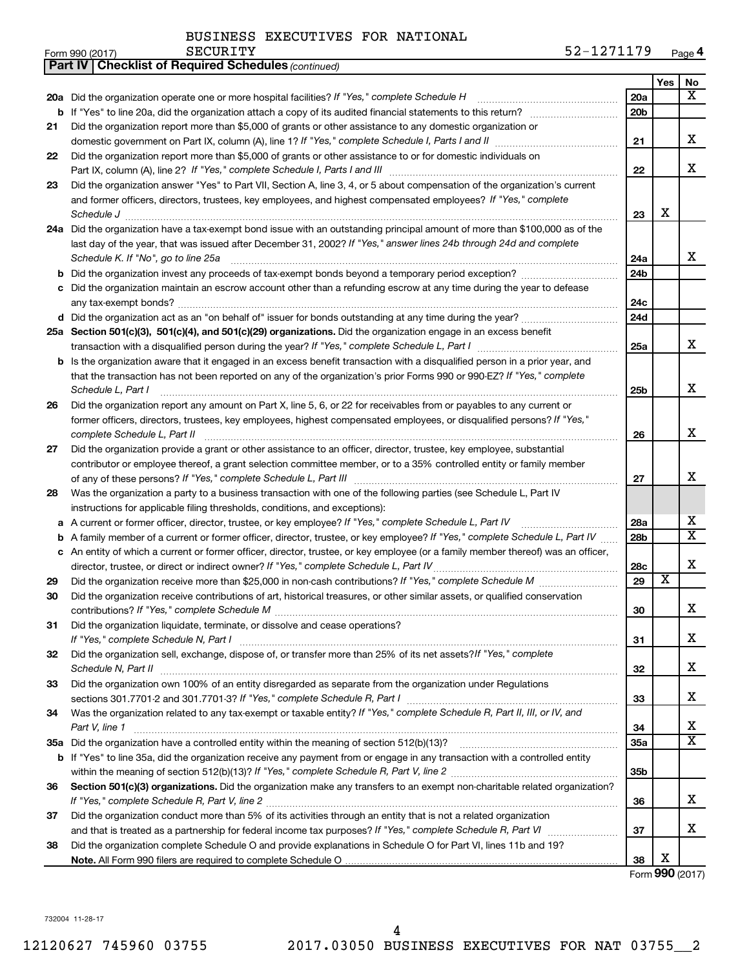| -<br>Form 990 (2017) | <b>CECIIDIRV</b><br><b>SECURIII</b> | 170<br><b>Undry</b><br>.<br><b><i>.</i></b><br>aue~<br>. . |
|----------------------|-------------------------------------|------------------------------------------------------------|
|----------------------|-------------------------------------|------------------------------------------------------------|

|    | <b>Part IV   Checklist of Required Schedules (continued)</b>                                                                        |                 |                         |                         |
|----|-------------------------------------------------------------------------------------------------------------------------------------|-----------------|-------------------------|-------------------------|
|    |                                                                                                                                     |                 | Yes                     | No                      |
|    | 20a Did the organization operate one or more hospital facilities? If "Yes," complete Schedule H                                     | 20a             |                         | x                       |
|    |                                                                                                                                     | 20 <sub>b</sub> |                         |                         |
| 21 | Did the organization report more than \$5,000 of grants or other assistance to any domestic organization or                         |                 |                         |                         |
|    |                                                                                                                                     | 21              |                         | х                       |
| 22 | Did the organization report more than \$5,000 of grants or other assistance to or for domestic individuals on                       |                 |                         |                         |
|    |                                                                                                                                     | 22              |                         | x                       |
| 23 | Did the organization answer "Yes" to Part VII, Section A, line 3, 4, or 5 about compensation of the organization's current          |                 |                         |                         |
|    | and former officers, directors, trustees, key employees, and highest compensated employees? If "Yes," complete                      |                 |                         |                         |
|    | Schedule J <b>Execute Schedule J Execute Schedule J</b>                                                                             | 23              | X                       |                         |
|    | 24a Did the organization have a tax-exempt bond issue with an outstanding principal amount of more than \$100,000 as of the         |                 |                         |                         |
|    | last day of the year, that was issued after December 31, 2002? If "Yes," answer lines 24b through 24d and complete                  |                 |                         |                         |
|    | Schedule K. If "No", go to line 25a                                                                                                 | 24a             |                         | x                       |
| b  |                                                                                                                                     | 24 <sub>b</sub> |                         |                         |
|    | Did the organization maintain an escrow account other than a refunding escrow at any time during the year to defease                |                 |                         |                         |
|    |                                                                                                                                     | 24c             |                         |                         |
|    |                                                                                                                                     | 24d             |                         |                         |
|    | 25a Section 501(c)(3), 501(c)(4), and 501(c)(29) organizations. Did the organization engage in an excess benefit                    |                 |                         |                         |
|    |                                                                                                                                     | 25a             |                         | x                       |
|    | <b>b</b> Is the organization aware that it engaged in an excess benefit transaction with a disqualified person in a prior year, and |                 |                         |                         |
|    | that the transaction has not been reported on any of the organization's prior Forms 990 or 990-EZ? If "Yes," complete               |                 |                         |                         |
|    | Schedule L, Part I                                                                                                                  | 25b             |                         | х                       |
| 26 | Did the organization report any amount on Part X, line 5, 6, or 22 for receivables from or payables to any current or               |                 |                         |                         |
|    | former officers, directors, trustees, key employees, highest compensated employees, or disqualified persons? If "Yes,"              |                 |                         |                         |
|    | complete Schedule L, Part II                                                                                                        | 26              |                         | х                       |
| 27 | Did the organization provide a grant or other assistance to an officer, director, trustee, key employee, substantial                |                 |                         |                         |
|    | contributor or employee thereof, a grant selection committee member, or to a 35% controlled entity or family member                 |                 |                         |                         |
|    |                                                                                                                                     | 27              |                         | х                       |
| 28 | Was the organization a party to a business transaction with one of the following parties (see Schedule L, Part IV                   |                 |                         |                         |
|    | instructions for applicable filing thresholds, conditions, and exceptions):                                                         |                 |                         |                         |
| а  | A current or former officer, director, trustee, or key employee? If "Yes," complete Schedule L, Part IV                             | 28a             |                         | x                       |
| b  | A family member of a current or former officer, director, trustee, or key employee? If "Yes," complete Schedule L, Part IV          | 28b             |                         | $\overline{\textbf{X}}$ |
|    | c An entity of which a current or former officer, director, trustee, or key employee (or a family member thereof) was an officer,   |                 |                         |                         |
|    | director, trustee, or direct or indirect owner? If "Yes," complete Schedule L, Part IV                                              | 28c             |                         | х                       |
| 29 |                                                                                                                                     | 29              | $\overline{\textbf{x}}$ |                         |
| 30 | Did the organization receive contributions of art, historical treasures, or other similar assets, or qualified conservation         |                 |                         |                         |
|    |                                                                                                                                     | 30              |                         | ▵                       |
| 31 | Did the organization liquidate, terminate, or dissolve and cease operations?                                                        |                 |                         |                         |
|    |                                                                                                                                     | 31              |                         | X.                      |
| 32 | Did the organization sell, exchange, dispose of, or transfer more than 25% of its net assets? If "Yes," complete                    |                 |                         |                         |
|    |                                                                                                                                     | 32              |                         | х                       |
| 33 | Did the organization own 100% of an entity disregarded as separate from the organization under Regulations                          |                 |                         |                         |
|    |                                                                                                                                     | 33              |                         | x                       |
| 34 | Was the organization related to any tax-exempt or taxable entity? If "Yes," complete Schedule R, Part II, III, or IV, and           |                 |                         |                         |
|    | Part V, line 1                                                                                                                      | 34              |                         | х                       |
|    |                                                                                                                                     | <b>35a</b>      |                         | X                       |
|    | b If "Yes" to line 35a, did the organization receive any payment from or engage in any transaction with a controlled entity         |                 |                         |                         |
|    |                                                                                                                                     | 35b             |                         |                         |
| 36 | Section 501(c)(3) organizations. Did the organization make any transfers to an exempt non-charitable related organization?          |                 |                         |                         |
|    |                                                                                                                                     | 36              |                         | x                       |
| 37 | Did the organization conduct more than 5% of its activities through an entity that is not a related organization                    |                 |                         |                         |
|    |                                                                                                                                     | 37              |                         | x                       |
| 38 | Did the organization complete Schedule O and provide explanations in Schedule O for Part VI, lines 11b and 19?                      |                 |                         |                         |
|    |                                                                                                                                     | 38              | X                       |                         |

Form (2017) **990**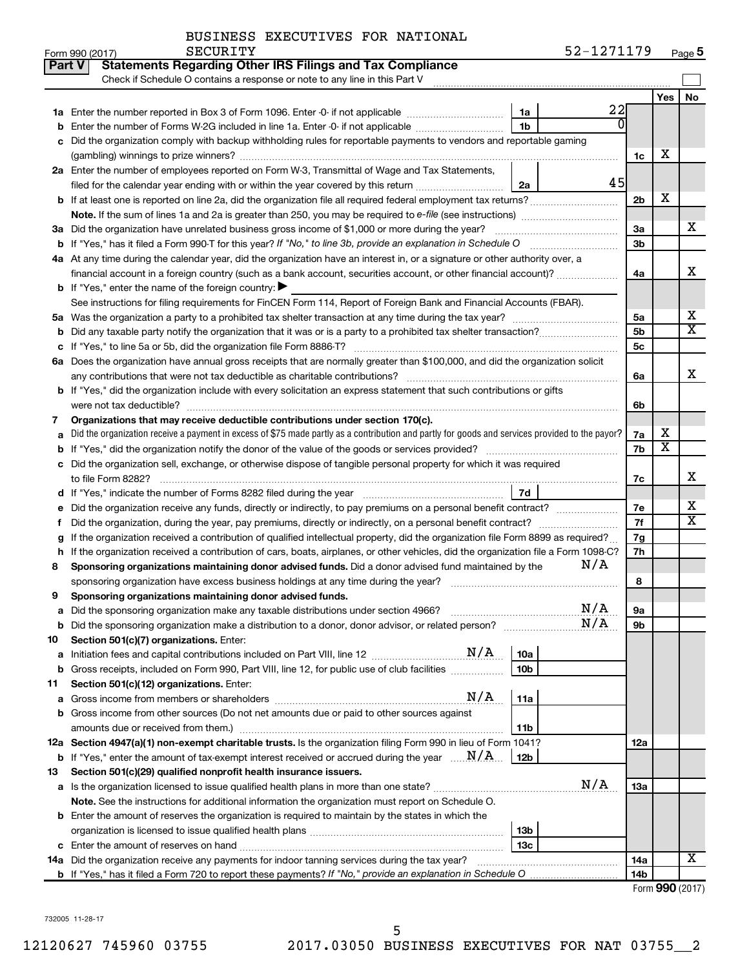| BUSINESS EXECUTIVES FOR NATIONAL |  |
|----------------------------------|--|
|                                  |  |

| Part V | <b>Statements Regarding Other IRS Filings and Tax Compliance</b>                                                                                                                                                                                                         |                 |     |                 |     |                              |
|--------|--------------------------------------------------------------------------------------------------------------------------------------------------------------------------------------------------------------------------------------------------------------------------|-----------------|-----|-----------------|-----|------------------------------|
|        | Check if Schedule O contains a response or note to any line in this Part V                                                                                                                                                                                               |                 |     |                 |     |                              |
|        |                                                                                                                                                                                                                                                                          |                 |     |                 | Yes | No                           |
|        |                                                                                                                                                                                                                                                                          | 1a              | 22  |                 |     |                              |
|        | <b>b</b> Enter the number of Forms W-2G included in line 1a. Enter -0- if not applicable <i>manumumumum</i>                                                                                                                                                              | 1b              |     |                 |     |                              |
|        | c Did the organization comply with backup withholding rules for reportable payments to vendors and reportable gaming                                                                                                                                                     |                 |     |                 |     |                              |
|        |                                                                                                                                                                                                                                                                          |                 |     | 1c              | х   |                              |
|        | 2a Enter the number of employees reported on Form W-3, Transmittal of Wage and Tax Statements,                                                                                                                                                                           |                 |     |                 |     |                              |
|        | filed for the calendar year ending with or within the year covered by this return                                                                                                                                                                                        | 2a              | 45  |                 |     |                              |
|        | <b>b</b> If at least one is reported on line 2a, did the organization file all required federal employment tax returns?                                                                                                                                                  |                 |     | 2 <sub>b</sub>  | х   |                              |
|        | <b>Note.</b> If the sum of lines 1a and 2a is greater than 250, you may be required to e-file (see instructions) <i>managererous</i>                                                                                                                                     |                 |     |                 |     |                              |
|        | 3a Did the organization have unrelated business gross income of \$1,000 or more during the year?                                                                                                                                                                         |                 |     | 3a              |     | х                            |
|        | <b>b</b> If "Yes," has it filed a Form 990-T for this year? If "No," to line 3b, provide an explanation in Schedule O                                                                                                                                                    |                 |     | 3 <sub>b</sub>  |     |                              |
|        | 4a At any time during the calendar year, did the organization have an interest in, or a signature or other authority over, a                                                                                                                                             |                 |     |                 |     | x                            |
|        | financial account in a foreign country (such as a bank account, securities account, or other financial account)?<br><b>b</b> If "Yes," enter the name of the foreign country: $\blacktriangleright$                                                                      |                 |     | 4a              |     |                              |
|        | See instructions for filing requirements for FinCEN Form 114, Report of Foreign Bank and Financial Accounts (FBAR).                                                                                                                                                      |                 |     |                 |     |                              |
|        |                                                                                                                                                                                                                                                                          |                 |     | 5a              |     | х                            |
|        |                                                                                                                                                                                                                                                                          |                 |     | 5 <sub>b</sub>  |     | $\overline{\texttt{x}}$      |
|        |                                                                                                                                                                                                                                                                          |                 |     | 5c              |     |                              |
|        | 6a Does the organization have annual gross receipts that are normally greater than \$100,000, and did the organization solicit                                                                                                                                           |                 |     |                 |     |                              |
|        | any contributions that were not tax deductible as charitable contributions?                                                                                                                                                                                              |                 |     | 6а              |     | X                            |
|        | b If "Yes," did the organization include with every solicitation an express statement that such contributions or gifts                                                                                                                                                   |                 |     |                 |     |                              |
|        | were not tax deductible?                                                                                                                                                                                                                                                 |                 |     | 6b              |     |                              |
| 7      | Organizations that may receive deductible contributions under section 170(c).                                                                                                                                                                                            |                 |     |                 |     |                              |
|        | a Did the organization receive a payment in excess of \$75 made partly as a contribution and partly for goods and services provided to the payor?                                                                                                                        |                 |     |                 | х   |                              |
|        | <b>b</b> If "Yes," did the organization notify the donor of the value of the goods or services provided?                                                                                                                                                                 |                 |     | 7b              | X   |                              |
|        | c Did the organization sell, exchange, or otherwise dispose of tangible personal property for which it was required                                                                                                                                                      |                 |     |                 |     |                              |
|        | to file Form 8282?                                                                                                                                                                                                                                                       |                 |     | 7c              |     | x                            |
|        | d If "Yes," indicate the number of Forms 8282 filed during the year                                                                                                                                                                                                      | 7d              |     |                 |     |                              |
|        | e Did the organization receive any funds, directly or indirectly, to pay premiums on a personal benefit contract?                                                                                                                                                        |                 |     | 7е              |     | х<br>$\overline{\mathbf{X}}$ |
| Ť.     | Did the organization, during the year, pay premiums, directly or indirectly, on a personal benefit contract?                                                                                                                                                             |                 |     | 7f              |     |                              |
| g      | If the organization received a contribution of qualified intellectual property, did the organization file Form 8899 as required?<br>h If the organization received a contribution of cars, boats, airplanes, or other vehicles, did the organization file a Form 1098-C? |                 |     | 7g<br>7h        |     |                              |
| 8      | Sponsoring organizations maintaining donor advised funds. Did a donor advised fund maintained by the                                                                                                                                                                     |                 | N/A |                 |     |                              |
|        | sponsoring organization have excess business holdings at any time during the year?                                                                                                                                                                                       |                 |     | 8               |     |                              |
| 9      | Sponsoring organizations maintaining donor advised funds.                                                                                                                                                                                                                |                 |     |                 |     |                              |
|        | a Did the sponsoring organization make any taxable distributions under section 4966?                                                                                                                                                                                     |                 | N/A | 9а              |     |                              |
|        |                                                                                                                                                                                                                                                                          |                 | N/A | 9b              |     |                              |
| 10     | Section 501(c)(7) organizations. Enter:                                                                                                                                                                                                                                  |                 |     |                 |     |                              |
| а      |                                                                                                                                                                                                                                                                          | 10a             |     |                 |     |                              |
| b      | Gross receipts, included on Form 990, Part VIII, line 12, for public use of club facilities                                                                                                                                                                              | 10 <sub>b</sub> |     |                 |     |                              |
| 11     | Section 501(c)(12) organizations. Enter:                                                                                                                                                                                                                                 |                 |     |                 |     |                              |
|        | N/A                                                                                                                                                                                                                                                                      | 11a             |     |                 |     |                              |
|        | <b>b</b> Gross income from other sources (Do not net amounts due or paid to other sources against                                                                                                                                                                        |                 |     |                 |     |                              |
|        |                                                                                                                                                                                                                                                                          | 11b             |     |                 |     |                              |
|        | 12a Section 4947(a)(1) non-exempt charitable trusts. Is the organization filing Form 990 in lieu of Form 1041?                                                                                                                                                           |                 |     | 12a             |     |                              |
| 13     | <b>b</b> If "Yes," enter the amount of tax-exempt interest received or accrued during the year $\ldots$ $\mathbf{N}/\mathbf{A}$ .<br>Section 501(c)(29) qualified nonprofit health insurance issuers.                                                                    | 12b             |     |                 |     |                              |
|        |                                                                                                                                                                                                                                                                          |                 | N/A | 13a             |     |                              |
|        | Note. See the instructions for additional information the organization must report on Schedule O.                                                                                                                                                                        |                 |     |                 |     |                              |
|        | <b>b</b> Enter the amount of reserves the organization is required to maintain by the states in which the                                                                                                                                                                |                 |     |                 |     |                              |
|        |                                                                                                                                                                                                                                                                          | 13b             |     |                 |     |                              |
|        |                                                                                                                                                                                                                                                                          | 13с             |     |                 |     |                              |
|        | 14a Did the organization receive any payments for indoor tanning services during the tax year?                                                                                                                                                                           |                 |     | 14a             |     | X                            |
|        |                                                                                                                                                                                                                                                                          |                 |     | 14 <sub>b</sub> |     |                              |

| Form 990 (2017) |  |
|-----------------|--|
|-----------------|--|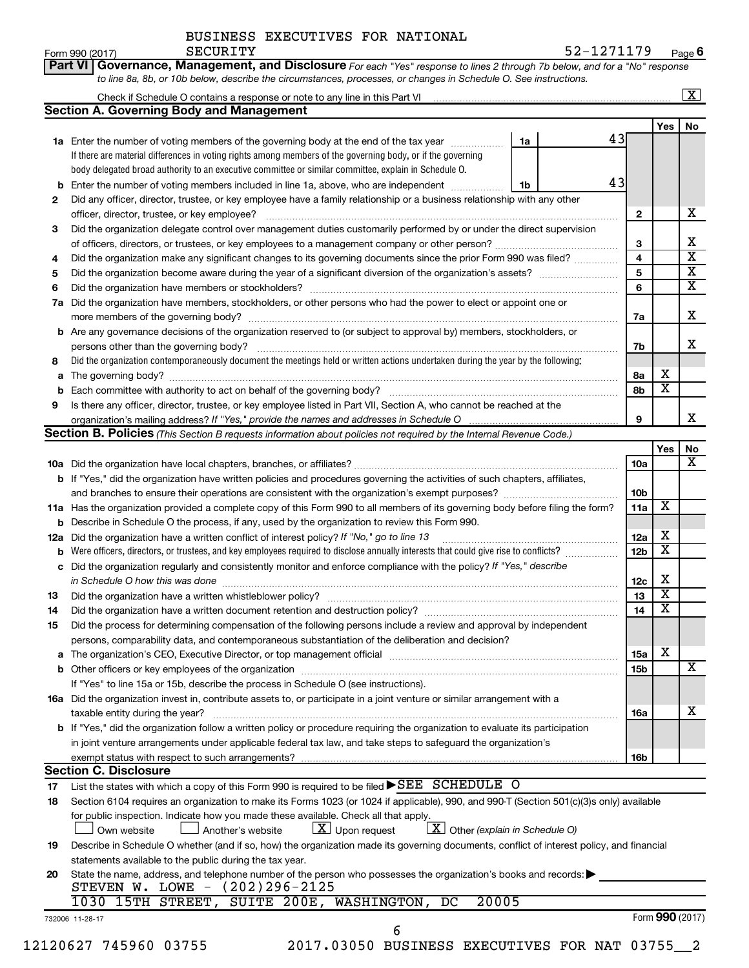| Form 990 (2017) | SECURITY | 52-1271179                                                                                                                         | Pag |
|-----------------|----------|------------------------------------------------------------------------------------------------------------------------------------|-----|
|                 |          | <b>Part VI Governance, Management, and Disclosure</b> For each "Yes" response to lines 2 through 7b below, and for a "No" response |     |
|                 |          | to line 8a, 8b, or 10b below, describe the circumstances, processes, or changes in Schedule O. See instructions.                   |     |

|     |                                                                                                                                                                                                                               |    |  |                 |                         | $\overline{\mathbf{X}}$ |
|-----|-------------------------------------------------------------------------------------------------------------------------------------------------------------------------------------------------------------------------------|----|--|-----------------|-------------------------|-------------------------|
|     | <b>Section A. Governing Body and Management</b>                                                                                                                                                                               |    |  |                 |                         |                         |
|     |                                                                                                                                                                                                                               |    |  |                 | Yes                     | No                      |
|     | 1a Enter the number of voting members of the governing body at the end of the tax year manuscom                                                                                                                               | 1a |  | 43              |                         |                         |
|     | If there are material differences in voting rights among members of the governing body, or if the governing                                                                                                                   |    |  |                 |                         |                         |
|     | body delegated broad authority to an executive committee or similar committee, explain in Schedule O.                                                                                                                         |    |  |                 |                         |                         |
| b   | Enter the number of voting members included in line 1a, above, who are independent                                                                                                                                            | 1b |  | 43              |                         |                         |
| 2   | Did any officer, director, trustee, or key employee have a family relationship or a business relationship with any other                                                                                                      |    |  |                 |                         |                         |
|     | officer, director, trustee, or key employee?                                                                                                                                                                                  |    |  | $\mathbf{2}$    |                         | х                       |
| 3   | Did the organization delegate control over management duties customarily performed by or under the direct supervision                                                                                                         |    |  |                 |                         |                         |
|     |                                                                                                                                                                                                                               |    |  | 3               |                         | x                       |
| 4   | Did the organization make any significant changes to its governing documents since the prior Form 990 was filed?                                                                                                              |    |  | 4               |                         | $\overline{\mathbf{x}}$ |
| 5   |                                                                                                                                                                                                                               |    |  | 5               |                         | $\overline{\mathbf{x}}$ |
| 6   | Did the organization have members or stockholders?                                                                                                                                                                            |    |  |                 |                         |                         |
|     | 7a Did the organization have members, stockholders, or other persons who had the power to elect or appoint one or                                                                                                             |    |  |                 |                         |                         |
|     |                                                                                                                                                                                                                               |    |  | 7a              |                         | x                       |
|     | <b>b</b> Are any governance decisions of the organization reserved to (or subject to approval by) members, stockholders, or                                                                                                   |    |  |                 |                         |                         |
|     | persons other than the governing body?                                                                                                                                                                                        |    |  | 7b              |                         | x                       |
| 8   | Did the organization contemporaneously document the meetings held or written actions undertaken during the year by the following:                                                                                             |    |  |                 |                         |                         |
| a   |                                                                                                                                                                                                                               |    |  | 8а              | x                       |                         |
| b   |                                                                                                                                                                                                                               |    |  | 8b              | $\overline{\textbf{x}}$ |                         |
| 9   | Is there any officer, director, trustee, or key employee listed in Part VII, Section A, who cannot be reached at the                                                                                                          |    |  |                 |                         |                         |
|     | organization's mailing address? If "Yes," provide the names and addresses in Schedule O                                                                                                                                       |    |  | 9               |                         | X.                      |
|     | <b>Section B. Policies</b> (This Section B requests information about policies not required by the Internal Revenue Code.)                                                                                                    |    |  |                 |                         |                         |
|     |                                                                                                                                                                                                                               |    |  |                 | Yes                     | No                      |
|     |                                                                                                                                                                                                                               |    |  | 10a             |                         | $\overline{\mathbf{X}}$ |
|     | b If "Yes," did the organization have written policies and procedures governing the activities of such chapters, affiliates,                                                                                                  |    |  |                 |                         |                         |
|     |                                                                                                                                                                                                                               |    |  | 10 <sub>b</sub> |                         |                         |
|     | 11a Has the organization provided a complete copy of this Form 990 to all members of its governing body before filing the form?                                                                                               |    |  | 11a             | X                       |                         |
| b   | Describe in Schedule O the process, if any, used by the organization to review this Form 990.                                                                                                                                 |    |  |                 |                         |                         |
| 12a | Did the organization have a written conflict of interest policy? If "No," go to line 13                                                                                                                                       |    |  | 12a             | х                       |                         |
| b   | Were officers, directors, or trustees, and key employees required to disclose annually interests that could give rise to conflicts?                                                                                           |    |  | 12 <sub>b</sub> | $\overline{\textbf{x}}$ |                         |
| c   | Did the organization regularly and consistently monitor and enforce compliance with the policy? If "Yes," describe                                                                                                            |    |  |                 |                         |                         |
|     | in Schedule O how this was done                                                                                                                                                                                               |    |  | 12c             | х                       |                         |
| 13  |                                                                                                                                                                                                                               |    |  | 13              | $\overline{\textbf{x}}$ |                         |
| 14  | Did the organization have a written document retention and destruction policy? [11] manufaction manufaction in                                                                                                                |    |  | 14              | $\overline{\textbf{x}}$ |                         |
| 15  | Did the process for determining compensation of the following persons include a review and approval by independent                                                                                                            |    |  |                 |                         |                         |
|     | persons, comparability data, and contemporaneous substantiation of the deliberation and decision?                                                                                                                             |    |  |                 |                         |                         |
|     | The organization's CEO, Executive Director, or top management official manufactured content of the organization's CEO, Executive Director, or top management official manufactured and the state of the state of the state of |    |  | 15a             | x                       |                         |
| b   | Other officers or key employees of the organization                                                                                                                                                                           |    |  | 15b             |                         | x                       |
|     | If "Yes" to line 15a or 15b, describe the process in Schedule O (see instructions).                                                                                                                                           |    |  |                 |                         |                         |
|     | 16a Did the organization invest in, contribute assets to, or participate in a joint venture or similar arrangement with a                                                                                                     |    |  |                 |                         |                         |
|     | taxable entity during the year?                                                                                                                                                                                               |    |  | 16a             |                         | х                       |
|     | b If "Yes," did the organization follow a written policy or procedure requiring the organization to evaluate its participation                                                                                                |    |  |                 |                         |                         |
|     | in joint venture arrangements under applicable federal tax law, and take steps to safeguard the organization's                                                                                                                |    |  |                 |                         |                         |
|     | exempt status with respect to such arrangements?                                                                                                                                                                              |    |  | 16b             |                         |                         |
|     | <b>Section C. Disclosure</b>                                                                                                                                                                                                  |    |  |                 |                         |                         |
| 17  | List the states with which a copy of this Form 990 is required to be filed $\blacktriangleright$ SEE SCHEDULE O                                                                                                               |    |  |                 |                         |                         |
| 18  | Section 6104 requires an organization to make its Forms 1023 (or 1024 if applicable), 990, and 990-T (Section 501(c)(3)s only) available                                                                                      |    |  |                 |                         |                         |
|     | for public inspection. Indicate how you made these available. Check all that apply.                                                                                                                                           |    |  |                 |                         |                         |
|     | $X$ Other (explain in Schedule O)<br>$\lfloor x \rfloor$ Upon request<br>Another's website<br>Own website                                                                                                                     |    |  |                 |                         |                         |
| 19  | Describe in Schedule O whether (and if so, how) the organization made its governing documents, conflict of interest policy, and financial                                                                                     |    |  |                 |                         |                         |
|     | statements available to the public during the tax year.                                                                                                                                                                       |    |  |                 |                         |                         |
| 20  | State the name, address, and telephone number of the person who possesses the organization's books and records:                                                                                                               |    |  |                 |                         |                         |
|     | STEVEN W. LOWE - (202)296-2125                                                                                                                                                                                                |    |  |                 |                         |                         |
|     | 1030 15TH STREET, SUITE 200E, WASHINGTON, DC<br>20005                                                                                                                                                                         |    |  |                 |                         |                         |
|     | 732006 11-28-17                                                                                                                                                                                                               |    |  |                 |                         | Form 990 (2017)         |
|     | 6                                                                                                                                                                                                                             |    |  |                 |                         |                         |

12120627 745960 03755 2017.03050 BUSINESS EXECUTIVES FOR NAT 03755\_\_2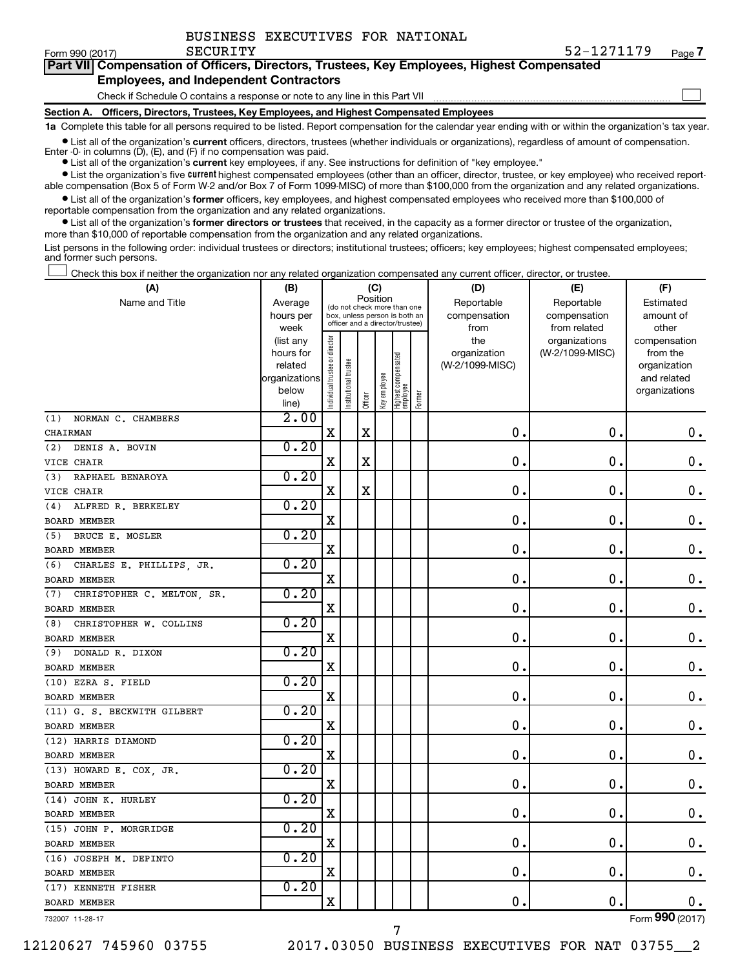$\Box$ 

|  | Part VII Compensation of Officers, Directors, Trustees, Key Employees, Highest Compensated |
|--|--------------------------------------------------------------------------------------------|
|  | <b>Employees, and Independent Contractors</b>                                              |

Check if Schedule O contains a response or note to any line in this Part VII

**Section A. Officers, Directors, Trustees, Key Employees, and Highest Compensated Employees**

**1a**  Complete this table for all persons required to be listed. Report compensation for the calendar year ending with or within the organization's tax year.

 $\bullet$  List all of the organization's current officers, directors, trustees (whether individuals or organizations), regardless of amount of compensation. Enter -0- in columns  $(D)$ ,  $(E)$ , and  $(F)$  if no compensation was paid.

**•** List all of the organization's **current** key employees, if any. See instructions for definition of "key employee."

**•** List the organization's five current highest compensated employees (other than an officer, director, trustee, or key employee) who received reportable compensation (Box 5 of Form W-2 and/or Box 7 of Form 1099-MISC) of more than \$100,000 from the organization and any related organizations.

**•** List all of the organization's former officers, key employees, and highest compensated employees who received more than \$100,000 of reportable compensation from the organization and any related organizations.

**•** List all of the organization's former directors or trustees that received, in the capacity as a former director or trustee of the organization, more than \$10,000 of reportable compensation from the organization and any related organizations.

List persons in the following order: individual trustees or directors; institutional trustees; officers; key employees; highest compensated employees; and former such persons.

Check this box if neither the organization nor any related organization compensated any current officer, director, or trustee.  $\Box$ 

| (A)                               | (B)               |                                         |                                                                  |             | (C)          |                                 |            | (D)             | (E)                           | (F)                   |
|-----------------------------------|-------------------|-----------------------------------------|------------------------------------------------------------------|-------------|--------------|---------------------------------|------------|-----------------|-------------------------------|-----------------------|
| Name and Title                    | Average           | Position<br>(do not check more than one |                                                                  |             |              |                                 | Reportable | Reportable      | Estimated                     |                       |
|                                   | hours per         |                                         | box, unless person is both an<br>officer and a director/trustee) |             |              |                                 |            | compensation    | compensation                  | amount of             |
|                                   | week<br>(list any |                                         |                                                                  |             |              |                                 |            | from<br>the     | from related<br>organizations | other<br>compensation |
|                                   | hours for         |                                         |                                                                  |             |              |                                 |            | organization    | (W-2/1099-MISC)               | from the              |
|                                   | related           |                                         |                                                                  |             |              |                                 |            | (W-2/1099-MISC) |                               | organization          |
|                                   | organizations     |                                         |                                                                  |             |              |                                 |            |                 |                               | and related           |
|                                   | below             | Individual trustee or director          | Institutional trustee                                            |             | Key employee | Highest compensated<br>employee |            |                 |                               | organizations         |
|                                   | line)             |                                         |                                                                  | Officer     |              |                                 | Former     |                 |                               |                       |
| NORMAN C. CHAMBERS<br>(1)         | 2.00              |                                         |                                                                  |             |              |                                 |            |                 |                               |                       |
| CHAIRMAN                          |                   | $\mathbf X$                             |                                                                  | $\mathbf X$ |              |                                 |            | $\mathbf 0$ .   | $\mathbf 0$ .                 | $\mathbf 0$ .         |
| DENIS A. BOVIN<br>(2)             | 0.20              |                                         |                                                                  |             |              |                                 |            |                 |                               |                       |
| VICE CHAIR                        |                   | $\mathbf X$                             |                                                                  | $\mathbf X$ |              |                                 |            | 0               | $\mathbf 0$                   | $\mathbf 0$ .         |
| RAPHAEL BENAROYA<br>(3)           | 0.20              |                                         |                                                                  |             |              |                                 |            |                 |                               |                       |
| VICE CHAIR                        |                   | $\mathbf X$                             |                                                                  | $\mathbf X$ |              |                                 |            | $\mathbf 0$     | $\mathbf 0$ .                 | $\mathbf 0$ .         |
| ALFRED R. BERKELEY<br>(4)         | 0.20              |                                         |                                                                  |             |              |                                 |            |                 |                               |                       |
| <b>BOARD MEMBER</b>               |                   | $\mathbf X$                             |                                                                  |             |              |                                 |            | $\mathbf 0$     | $\mathbf 0$ .                 | $\mathbf 0$ .         |
| BRUCE E. MOSLER<br>(5)            | 0.20              |                                         |                                                                  |             |              |                                 |            |                 |                               |                       |
| <b>BOARD MEMBER</b>               |                   | $\mathbf X$                             |                                                                  |             |              |                                 |            | $\mathbf 0$ .   | 0.                            | $\mathbf 0$ .         |
| CHARLES E. PHILLIPS, JR.<br>(6)   | 0.20              |                                         |                                                                  |             |              |                                 |            |                 |                               |                       |
| <b>BOARD MEMBER</b>               |                   | $\mathbf X$                             |                                                                  |             |              |                                 |            | 0               | 0.                            | $\mathbf 0$ .         |
| CHRISTOPHER C. MELTON, SR.<br>(7) | 0.20              |                                         |                                                                  |             |              |                                 |            |                 |                               |                       |
| <b>BOARD MEMBER</b>               |                   | $\mathbf X$                             |                                                                  |             |              |                                 |            | $\mathbf 0$     | 0.                            | $\mathbf 0$ .         |
| CHRISTOPHER W. COLLINS<br>(8)     | 0.20              |                                         |                                                                  |             |              |                                 |            |                 |                               |                       |
| <b>BOARD MEMBER</b>               |                   | $\mathbf X$                             |                                                                  |             |              |                                 |            | 0.              | 0.                            | $\mathbf 0$ .         |
| (9) DONALD R. DIXON               | 0.20              |                                         |                                                                  |             |              |                                 |            |                 |                               |                       |
| <b>BOARD MEMBER</b>               |                   | $\mathbf X$                             |                                                                  |             |              |                                 |            | $\mathbf 0$     | $\mathbf 0$ .                 | $\mathbf 0$ .         |
| (10) EZRA S. FIELD                | 0.20              |                                         |                                                                  |             |              |                                 |            |                 |                               |                       |
| <b>BOARD MEMBER</b>               |                   | $\mathbf X$                             |                                                                  |             |              |                                 |            | $\mathbf 0$     | $\mathbf 0$ .                 | $\mathbf 0$ .         |
| (11) G. S. BECKWITH GILBERT       | 0.20              |                                         |                                                                  |             |              |                                 |            |                 |                               |                       |
| <b>BOARD MEMBER</b>               |                   | $\mathbf X$                             |                                                                  |             |              |                                 |            | $\mathbf 0$     | $\mathbf 0$ .                 | $\mathbf 0$ .         |
| (12) HARRIS DIAMOND               | 0.20              |                                         |                                                                  |             |              |                                 |            |                 |                               |                       |
| <b>BOARD MEMBER</b>               |                   | $\rm X$                                 |                                                                  |             |              |                                 |            | $\mathbf 0$ .   | $\mathbf 0$ .                 | $\mathbf 0$ .         |
| (13) HOWARD E. COX, JR.           | 0.20              |                                         |                                                                  |             |              |                                 |            |                 |                               |                       |
| <b>BOARD MEMBER</b>               |                   | X                                       |                                                                  |             |              |                                 |            | $\mathbf 0$     | $\mathbf 0$ .                 | $\mathbf 0$ .         |
| (14) JOHN K. HURLEY               | 0.20              |                                         |                                                                  |             |              |                                 |            |                 |                               |                       |
| BOARD MEMBER                      |                   | $\mathbf X$                             |                                                                  |             |              |                                 |            | $\mathbf 0$     | $\mathbf 0$ .                 | $\mathbf 0$ .         |
| (15) JOHN P. MORGRIDGE            | 0.20              |                                         |                                                                  |             |              |                                 |            |                 |                               |                       |
| BOARD MEMBER                      |                   | X                                       |                                                                  |             |              |                                 |            | $\mathbf 0$     | $\mathbf 0$ .                 | $\mathbf 0$ .         |
| (16) JOSEPH M. DEPINTO            | 0.20              |                                         |                                                                  |             |              |                                 |            |                 |                               |                       |
| <b>BOARD MEMBER</b>               |                   | $\mathbf X$                             |                                                                  |             |              |                                 |            | 0               | $\mathbf 0$ .                 | $\mathbf 0$ .         |
| (17) KENNETH FISHER               | 0.20              |                                         |                                                                  |             |              |                                 |            |                 |                               |                       |
| <b>BOARD MEMBER</b>               |                   | $\mathbf X$                             |                                                                  |             |              |                                 |            | 0.              | $\mathbf 0$ .                 | $\mathbf 0$ .         |

7

732007 11-28-17

Form (2017) **990**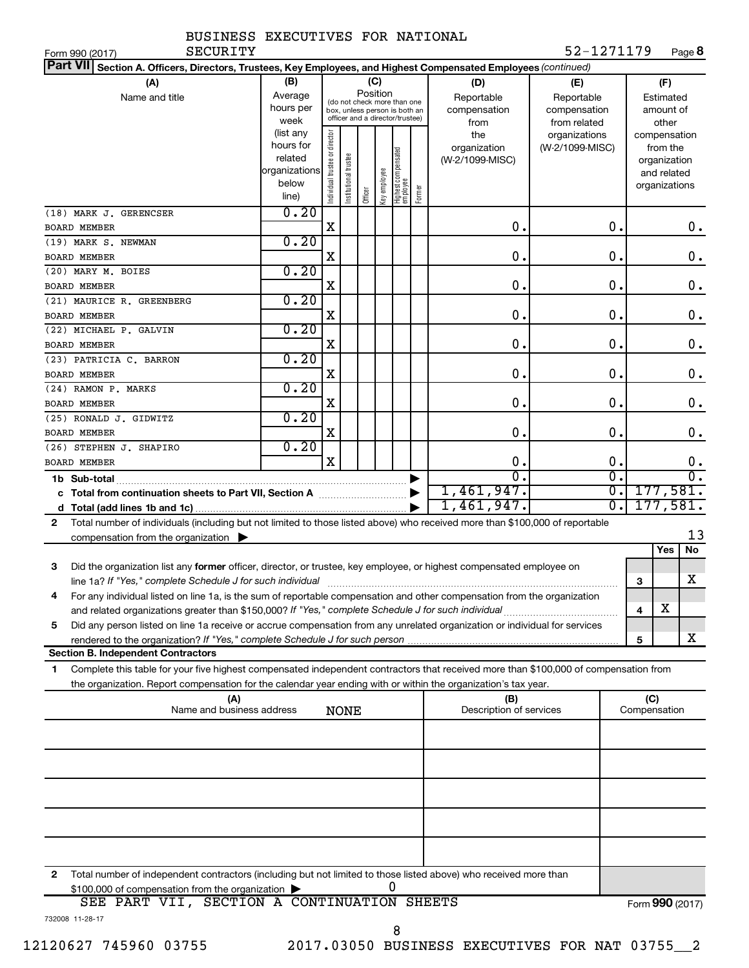| BUSINESS EXECUTIVES FOR NATIONAL |  |
|----------------------------------|--|
|                                  |  |

| Part VII Section A. Officers, Directors, Trustees, Key Employees, and Highest Compensated Employees (continued)                              |                          |                                |                       |         |              |                                                              |        |                         |                 |                             |              |                         |                        |
|----------------------------------------------------------------------------------------------------------------------------------------------|--------------------------|--------------------------------|-----------------------|---------|--------------|--------------------------------------------------------------|--------|-------------------------|-----------------|-----------------------------|--------------|-------------------------|------------------------|
| (A)                                                                                                                                          | (B)                      |                                |                       |         | (C)          |                                                              |        | (D)                     | (E)             |                             |              | (F)                     |                        |
| Name and title                                                                                                                               | Average                  |                                |                       |         | Position     |                                                              |        | Reportable              | Reportable      |                             |              | Estimated               |                        |
|                                                                                                                                              | hours per                |                                |                       |         |              | (do not check more than one<br>box, unless person is both an |        | compensation            | compensation    |                             |              | amount of               |                        |
|                                                                                                                                              | week                     |                                |                       |         |              | officer and a director/trustee)                              |        | from                    | from related    |                             |              | other                   |                        |
|                                                                                                                                              | (list any                |                                |                       |         |              |                                                              |        | the                     | organizations   |                             |              | compensation            |                        |
|                                                                                                                                              | hours for                |                                |                       |         |              |                                                              |        | organization            | (W-2/1099-MISC) |                             |              | from the                |                        |
|                                                                                                                                              | related<br>organizations |                                |                       |         |              |                                                              |        | (W-2/1099-MISC)         |                 |                             |              | organization            |                        |
|                                                                                                                                              | below                    |                                |                       |         |              |                                                              |        |                         |                 |                             |              | and related             |                        |
|                                                                                                                                              | line)                    | Individual trustee or director | Institutional trustee | Officer | Key employee | Highest compensated<br> employee                             | Former |                         |                 |                             |              | organizations           |                        |
| (18) MARK J. GERENCSER                                                                                                                       | 0.20                     |                                |                       |         |              |                                                              |        |                         |                 |                             |              |                         |                        |
| <b>BOARD MEMBER</b>                                                                                                                          |                          | X                              |                       |         |              |                                                              |        | О.                      |                 | 0.                          |              |                         | $0$ .                  |
| (19) MARK S. NEWMAN                                                                                                                          | 0.20                     |                                |                       |         |              |                                                              |        |                         |                 |                             |              |                         |                        |
| <b>BOARD MEMBER</b>                                                                                                                          |                          | X                              |                       |         |              |                                                              |        | О.                      |                 | 0.                          |              |                         | 0.                     |
| (20) MARY M. BOIES                                                                                                                           | 0.20                     |                                |                       |         |              |                                                              |        |                         |                 |                             |              |                         |                        |
| <b>BOARD MEMBER</b>                                                                                                                          |                          | X                              |                       |         |              |                                                              |        | 0.                      |                 | 0.                          |              |                         | 0.                     |
| (21) MAURICE R. GREENBERG                                                                                                                    | 0.20                     |                                |                       |         |              |                                                              |        |                         |                 |                             |              |                         |                        |
| <b>BOARD MEMBER</b>                                                                                                                          |                          | X                              |                       |         |              |                                                              |        | 0.                      |                 | 0.                          |              |                         | 0.                     |
| (22) MICHAEL P. GALVIN                                                                                                                       | 0.20                     |                                |                       |         |              |                                                              |        |                         |                 |                             |              |                         |                        |
| <b>BOARD MEMBER</b>                                                                                                                          |                          | X                              |                       |         |              |                                                              |        | 0.                      |                 | 0.                          |              |                         | 0.                     |
| (23) PATRICIA C. BARRON                                                                                                                      | 0.20                     |                                |                       |         |              |                                                              |        |                         |                 |                             |              |                         |                        |
| <b>BOARD MEMBER</b>                                                                                                                          |                          | X                              |                       |         |              |                                                              |        | 0.                      |                 | 0.                          |              |                         | $\mathbf 0$ .          |
| (24) RAMON P. MARKS                                                                                                                          | 0.20                     |                                |                       |         |              |                                                              |        |                         |                 |                             |              |                         |                        |
| <b>BOARD MEMBER</b>                                                                                                                          |                          | X                              |                       |         |              |                                                              |        | О.                      |                 | 0.                          |              |                         | 0.                     |
| (25) RONALD J. GIDWITZ                                                                                                                       | 0.20                     |                                |                       |         |              |                                                              |        |                         |                 |                             |              |                         |                        |
| <b>BOARD MEMBER</b>                                                                                                                          |                          | X                              |                       |         |              |                                                              |        | О.                      |                 | 0.                          |              |                         | $0$ .                  |
| (26) STEPHEN J. SHAPIRO                                                                                                                      | 0.20                     | $\overline{\mathbf{X}}$        |                       |         |              |                                                              |        |                         |                 | 0.                          |              |                         |                        |
| <b>BOARD MEMBER</b>                                                                                                                          |                          |                                |                       |         |              |                                                              |        | 0.<br>$\overline{0}$ .  |                 | $\overline{0}$ .            |              |                         | 0.<br>$\overline{0}$ . |
|                                                                                                                                              |                          |                                |                       |         |              |                                                              |        | 1,461,947.              |                 | $\overline{\mathfrak{o}}$ . |              | 177,581.                |                        |
|                                                                                                                                              |                          |                                |                       |         |              |                                                              |        | 1,461,947.              |                 | σ.                          |              | 177,581.                |                        |
|                                                                                                                                              |                          |                                |                       |         |              |                                                              |        |                         |                 |                             |              |                         |                        |
| Total number of individuals (including but not limited to those listed above) who received more than \$100,000 of reportable<br>$\mathbf{2}$ |                          |                                |                       |         |              |                                                              |        |                         |                 |                             |              |                         | 13                     |
| compensation from the organization $\blacktriangleright$                                                                                     |                          |                                |                       |         |              |                                                              |        |                         |                 |                             |              | Yes                     | No                     |
| Did the organization list any former officer, director, or trustee, key employee, or highest compensated employee on<br>3                    |                          |                                |                       |         |              |                                                              |        |                         |                 |                             |              |                         |                        |
| line 1a? If "Yes," complete Schedule J for such individual                                                                                   |                          |                                |                       |         |              |                                                              |        |                         |                 |                             | 3            |                         | x                      |
| For any individual listed on line 1a, is the sum of reportable compensation and other compensation from the organization<br>4                |                          |                                |                       |         |              |                                                              |        |                         |                 |                             |              |                         |                        |
|                                                                                                                                              |                          |                                |                       |         |              |                                                              |        |                         |                 |                             | 4            | $\overline{\textbf{X}}$ |                        |
| Did any person listed on line 1a receive or accrue compensation from any unrelated organization or individual for services<br>5              |                          |                                |                       |         |              |                                                              |        |                         |                 |                             |              |                         |                        |
|                                                                                                                                              |                          |                                |                       |         |              |                                                              |        |                         |                 |                             | 5            |                         | x                      |
| <b>Section B. Independent Contractors</b>                                                                                                    |                          |                                |                       |         |              |                                                              |        |                         |                 |                             |              |                         |                        |
| Complete this table for your five highest compensated independent contractors that received more than \$100,000 of compensation from<br>1    |                          |                                |                       |         |              |                                                              |        |                         |                 |                             |              |                         |                        |
| the organization. Report compensation for the calendar year ending with or within the organization's tax year.                               |                          |                                |                       |         |              |                                                              |        |                         |                 |                             |              |                         |                        |
| (A)                                                                                                                                          |                          |                                |                       |         |              |                                                              |        | (B)                     |                 |                             | (C)          |                         |                        |
| Name and business address                                                                                                                    |                          |                                | <b>NONE</b>           |         |              |                                                              |        | Description of services |                 |                             | Compensation |                         |                        |
|                                                                                                                                              |                          |                                |                       |         |              |                                                              |        |                         |                 |                             |              |                         |                        |
|                                                                                                                                              |                          |                                |                       |         |              |                                                              |        |                         |                 |                             |              |                         |                        |
|                                                                                                                                              |                          |                                |                       |         |              |                                                              |        |                         |                 |                             |              |                         |                        |
|                                                                                                                                              |                          |                                |                       |         |              |                                                              |        |                         |                 |                             |              |                         |                        |
|                                                                                                                                              |                          |                                |                       |         |              |                                                              |        |                         |                 |                             |              |                         |                        |
|                                                                                                                                              |                          |                                |                       |         |              |                                                              |        |                         |                 |                             |              |                         |                        |
|                                                                                                                                              |                          |                                |                       |         |              |                                                              |        |                         |                 |                             |              |                         |                        |
|                                                                                                                                              |                          |                                |                       |         |              |                                                              |        |                         |                 |                             |              |                         |                        |
| $\mathbf{2}$<br>Total number of independent contractors (including but not limited to those listed above) who received more than             |                          |                                |                       |         |              |                                                              |        |                         |                 |                             |              |                         |                        |
| \$100,000 of compensation from the organization                                                                                              |                          |                                |                       |         |              | 0                                                            |        |                         |                 |                             |              |                         |                        |
| ORR DARM WIT CROMION & CONMINIUARION CURRMO                                                                                                  |                          |                                |                       |         |              |                                                              |        |                         |                 |                             |              |                         |                        |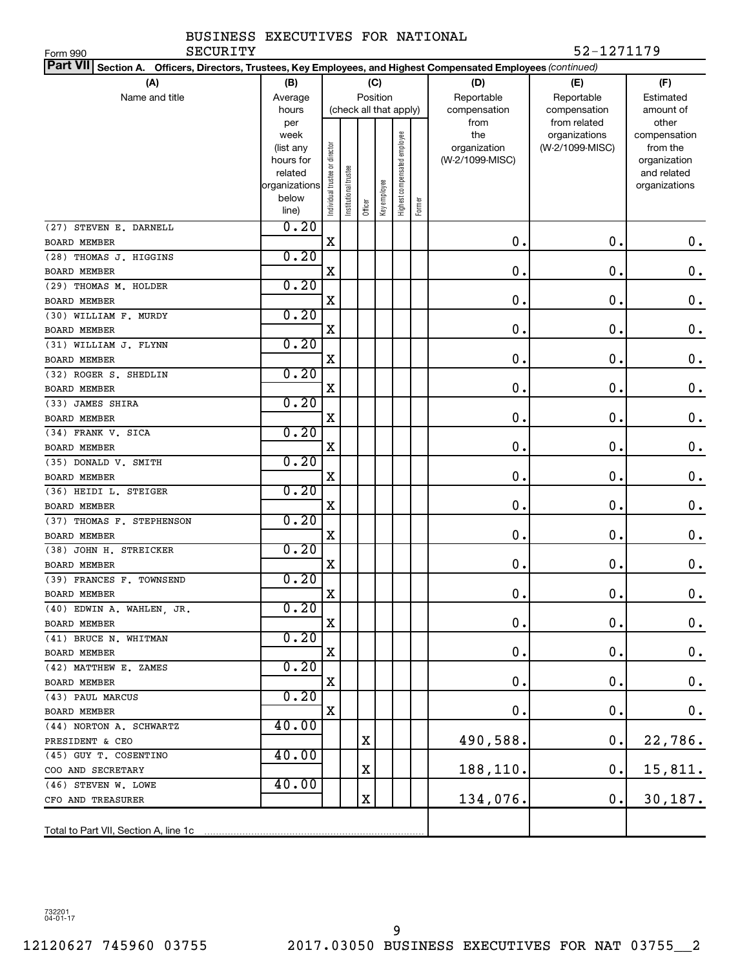| SECURITY<br>Form 990                                                                                               |                          |                               |                        |         |              |                              |        |                 | 52-1271179      |                              |
|--------------------------------------------------------------------------------------------------------------------|--------------------------|-------------------------------|------------------------|---------|--------------|------------------------------|--------|-----------------|-----------------|------------------------------|
| Part VII Section A.<br>Officers, Directors, Trustees, Key Employees, and Highest Compensated Employees (continued) |                          |                               |                        |         |              |                              |        |                 |                 |                              |
| (A)                                                                                                                | (B)                      |                               |                        |         | (C)          |                              |        | (D)             | (E)             | (F)                          |
| Name and title                                                                                                     | Average                  |                               |                        |         | Position     |                              |        | Reportable      | Reportable      | Estimated                    |
|                                                                                                                    | hours                    |                               | (check all that apply) |         |              |                              |        | compensation    | compensation    | amount of                    |
|                                                                                                                    | per                      |                               |                        |         |              |                              |        | from            | from related    | other                        |
|                                                                                                                    | week                     |                               |                        |         |              |                              |        | the             | organizations   | compensation                 |
|                                                                                                                    | (list any                |                               |                        |         |              |                              |        | organization    | (W-2/1099-MISC) | from the                     |
|                                                                                                                    | hours for                |                               |                        |         |              |                              |        | (W-2/1099-MISC) |                 | organization                 |
|                                                                                                                    | related<br>organizations |                               |                        |         |              |                              |        |                 |                 | and related<br>organizations |
|                                                                                                                    | below                    | ndividual trustee or director | nstitutional trustee   |         |              |                              |        |                 |                 |                              |
|                                                                                                                    | line)                    |                               |                        | Officer | Key employee | Highest compensated employee | Former |                 |                 |                              |
| (27) STEVEN E. DARNELL                                                                                             | 0.20                     |                               |                        |         |              |                              |        |                 |                 |                              |
| <b>BOARD MEMBER</b>                                                                                                |                          | $\mathbf X$                   |                        |         |              |                              |        | $\mathbf 0$ .   | 0.              | $\mathbf 0$ .                |
| (28) THOMAS J. HIGGINS                                                                                             | 0.20                     |                               |                        |         |              |                              |        |                 |                 |                              |
| <b>BOARD MEMBER</b>                                                                                                |                          | X                             |                        |         |              |                              |        | 0.              | 0.              | $\mathbf 0$ .                |
| (29) THOMAS M. HOLDER                                                                                              | 0.20                     |                               |                        |         |              |                              |        |                 |                 |                              |
| <b>BOARD MEMBER</b>                                                                                                |                          | X                             |                        |         |              |                              |        | $\mathbf 0$ .   | $\mathbf 0$ .   | $\mathbf 0$ .                |
| (30) WILLIAM F. MURDY                                                                                              | 0.20                     |                               |                        |         |              |                              |        |                 |                 |                              |
| <b>BOARD MEMBER</b>                                                                                                |                          | X                             |                        |         |              |                              |        | $\mathbf 0$ .   | 0.              | $\mathbf 0$ .                |
| (31) WILLIAM J. FLYNN                                                                                              | 0.20                     |                               |                        |         |              |                              |        |                 |                 |                              |
| <b>BOARD MEMBER</b>                                                                                                |                          | X                             |                        |         |              |                              |        | $\mathbf 0$ .   | 0.              | $\mathbf 0$ .                |
| (32) ROGER S. SHEDLIN                                                                                              | 0.20                     |                               |                        |         |              |                              |        |                 |                 |                              |
| <b>BOARD MEMBER</b>                                                                                                |                          | X                             |                        |         |              |                              |        | 0.              | 0.              | $\mathbf 0$ .                |
| (33) JAMES SHIRA                                                                                                   | 0.20                     |                               |                        |         |              |                              |        |                 |                 |                              |
| <b>BOARD MEMBER</b>                                                                                                |                          | X                             |                        |         |              |                              |        | 0.              | $\mathbf 0$ .   | $\mathbf 0$ .                |
| (34) FRANK V. SICA                                                                                                 | 0.20                     |                               |                        |         |              |                              |        |                 |                 |                              |
| <b>BOARD MEMBER</b>                                                                                                |                          | X                             |                        |         |              |                              |        | 0.              | 0.              | $\mathbf 0$ .                |
| (35) DONALD V. SMITH                                                                                               | 0.20                     |                               |                        |         |              |                              |        |                 |                 |                              |
| <b>BOARD MEMBER</b>                                                                                                |                          | X                             |                        |         |              |                              |        | 0.              | 0.              | $\mathbf 0$ .                |
| (36) HEIDI L. STEIGER                                                                                              | 0.20                     |                               |                        |         |              |                              |        |                 |                 |                              |
| <b>BOARD MEMBER</b>                                                                                                |                          | X                             |                        |         |              |                              |        | 0.              | 0.              | $\mathbf 0$ .                |
| (37) THOMAS F. STEPHENSON                                                                                          | 0.20                     |                               |                        |         |              |                              |        |                 |                 |                              |
| <b>BOARD MEMBER</b>                                                                                                |                          | X                             |                        |         |              |                              |        | 0.              | 0.              | $0$ .                        |
| (38) JOHN H. STREICKER                                                                                             | 0.20                     |                               |                        |         |              |                              |        |                 |                 |                              |
| <b>BOARD MEMBER</b>                                                                                                |                          | X                             |                        |         |              |                              |        | О.              | О.              | $0$ .                        |
| (39) FRANCES F. TOWNSEND                                                                                           | 0.20                     |                               |                        |         |              |                              |        |                 |                 |                              |
| BOARD MEMBER                                                                                                       |                          | X                             |                        |         |              |                              |        | $\mathbf 0$     | $\mathbf 0$ .   | $0 \cdot$                    |
| (40) EDWIN A. WAHLEN, JR.                                                                                          | 0.20                     |                               |                        |         |              |                              |        |                 |                 |                              |
| BOARD MEMBER                                                                                                       |                          | X                             |                        |         |              |                              |        | 0.              | 0.              | $\mathbf{0}$ .               |
| (41) BRUCE N. WHITMAN                                                                                              | 0.20                     |                               |                        |         |              |                              |        |                 |                 |                              |
| BOARD MEMBER                                                                                                       |                          | X                             |                        |         |              |                              |        | О.              | 0.              | $\mathbf{0}$ .               |
| (42) MATTHEW E. ZAMES                                                                                              | 0.20                     |                               |                        |         |              |                              |        |                 |                 |                              |
| BOARD MEMBER                                                                                                       |                          | X                             |                        |         |              |                              |        | О.              | 0.              | $\mathbf{0}$ .               |
| (43) PAUL MARCUS                                                                                                   | 0.20                     |                               |                        |         |              |                              |        |                 |                 |                              |
| BOARD MEMBER                                                                                                       |                          | $\mathbf X$                   |                        |         |              |                              |        | $\mathbf 0$ .   | 0.              | $\mathbf 0$ .                |
| (44) NORTON A. SCHWARTZ                                                                                            | 40.00                    |                               |                        |         |              |                              |        |                 |                 |                              |
| PRESIDENT & CEO                                                                                                    |                          |                               |                        | Χ       |              |                              |        | 490,588         | $0$ .           | 22,786.                      |
| (45) GUY T. COSENTINO                                                                                              | 40.00                    |                               |                        |         |              |                              |        |                 |                 |                              |
| COO AND SECRETARY                                                                                                  |                          |                               |                        | Χ       |              |                              |        | 188,110.        | $\mathbf 0$ .   | 15,811.                      |
| $(46)$ STEVEN W. LOWE                                                                                              | 40.00                    |                               |                        |         |              |                              |        |                 |                 |                              |
| CFO AND TREASURER                                                                                                  |                          |                               |                        | X       |              |                              |        | 134,076.        | 0.              | 30,187.                      |
|                                                                                                                    |                          |                               |                        |         |              |                              |        |                 |                 |                              |
| Total to Part VII, Section A, line 1c                                                                              |                          |                               |                        |         |              |                              |        |                 |                 |                              |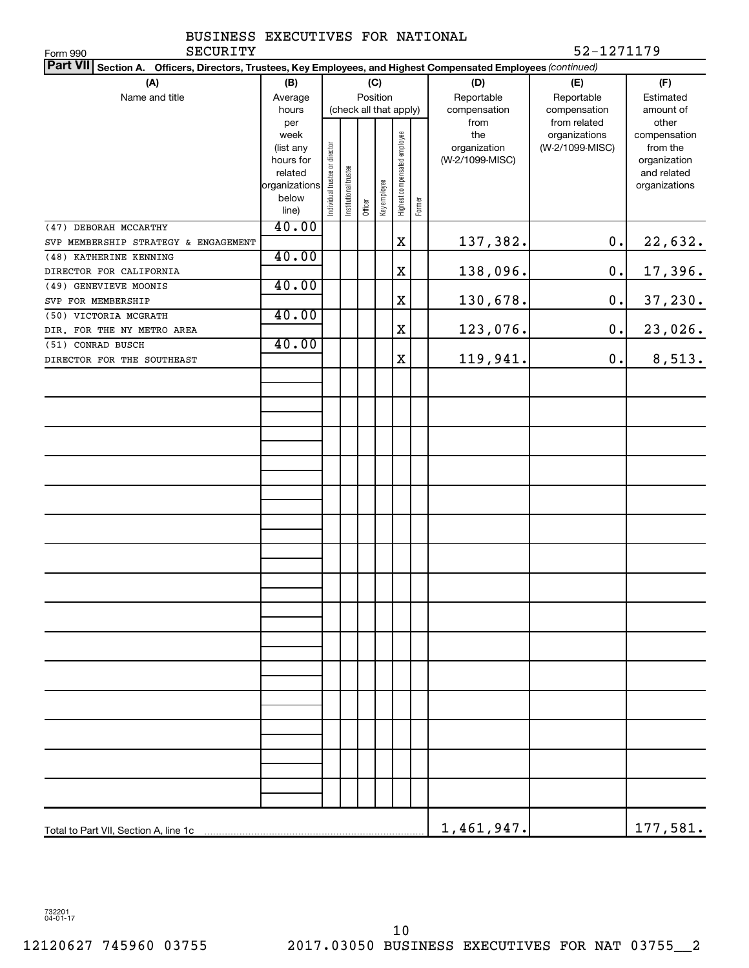|          | BUSINESS EXECUTIVES FOR NATIONAL |  |            |
|----------|----------------------------------|--|------------|
| SECURITY |                                  |  | 52-1271179 |

| SECURITY<br>Form 990                                                                                               |                        |                                |                       |                        |              |                              |        |                 | 52-1271179      |                             |
|--------------------------------------------------------------------------------------------------------------------|------------------------|--------------------------------|-----------------------|------------------------|--------------|------------------------------|--------|-----------------|-----------------|-----------------------------|
| Part VII Section A.<br>Officers, Directors, Trustees, Key Employees, and Highest Compensated Employees (continued) |                        |                                |                       |                        |              |                              |        |                 |                 |                             |
| (A)<br>(B)<br>(C)                                                                                                  |                        |                                |                       |                        |              |                              | (D)    | (E)             | (F)             |                             |
| Name and title                                                                                                     | Average                |                                |                       | Position               |              |                              |        | Reportable      | Reportable      | Estimated                   |
|                                                                                                                    | hours                  |                                |                       | (check all that apply) |              |                              |        | compensation    | compensation    | amount of                   |
|                                                                                                                    | per                    |                                |                       |                        |              |                              |        | from            | from related    | other                       |
|                                                                                                                    | week                   |                                |                       |                        |              | Highest compensated employee |        | the             | organizations   | compensation                |
|                                                                                                                    | (list any<br>hours for |                                |                       |                        |              |                              |        | organization    | (W-2/1099-MISC) | from the                    |
|                                                                                                                    | related                | Individual trustee or director |                       |                        |              |                              |        | (W-2/1099-MISC) |                 | organization<br>and related |
|                                                                                                                    | organizations          |                                | Institutional trustee |                        |              |                              |        |                 |                 | organizations               |
|                                                                                                                    | below                  |                                |                       |                        | Key employee |                              |        |                 |                 |                             |
|                                                                                                                    | line)                  |                                |                       | Officer                |              |                              | Former |                 |                 |                             |
| (47) DEBORAH MCCARTHY                                                                                              | 40.00                  |                                |                       |                        |              |                              |        |                 |                 |                             |
| SVP MEMBERSHIP STRATEGY & ENGAGEMENT                                                                               |                        |                                |                       |                        |              | X                            |        | 137,382.        | $\mathbf 0$ .   | 22,632.                     |
| (48) KATHERINE KENNING                                                                                             | 40.00                  |                                |                       |                        |              |                              |        |                 |                 |                             |
| DIRECTOR FOR CALIFORNIA                                                                                            |                        |                                |                       |                        |              | X                            |        | 138,096.        | $\mathbf 0$ .   | 17,396.                     |
| (49) GENEVIEVE MOONIS                                                                                              | 40.00                  |                                |                       |                        |              |                              |        |                 |                 |                             |
| SVP FOR MEMBERSHIP                                                                                                 |                        |                                |                       |                        |              | X                            |        | 130,678.        | $\mathbf 0$ .   | 37,230.                     |
| (50) VICTORIA MCGRATH                                                                                              | 40.00                  |                                |                       |                        |              |                              |        |                 |                 |                             |
| DIR. FOR THE NY METRO AREA                                                                                         |                        |                                |                       |                        |              | X                            |        | 123,076.        | 0.              | 23,026.                     |
| (51) CONRAD BUSCH                                                                                                  | 40.00                  |                                |                       |                        |              |                              |        |                 |                 |                             |
| DIRECTOR FOR THE SOUTHEAST                                                                                         |                        |                                |                       |                        |              | X                            |        | 119,941.        | 0.              | 8,513.                      |
|                                                                                                                    |                        |                                |                       |                        |              |                              |        |                 |                 |                             |
|                                                                                                                    |                        |                                |                       |                        |              |                              |        |                 |                 |                             |
|                                                                                                                    |                        |                                |                       |                        |              |                              |        |                 |                 |                             |
|                                                                                                                    |                        |                                |                       |                        |              |                              |        |                 |                 |                             |
|                                                                                                                    |                        |                                |                       |                        |              |                              |        |                 |                 |                             |
|                                                                                                                    |                        |                                |                       |                        |              |                              |        |                 |                 |                             |
|                                                                                                                    |                        |                                |                       |                        |              |                              |        |                 |                 |                             |
|                                                                                                                    |                        |                                |                       |                        |              |                              |        |                 |                 |                             |
|                                                                                                                    |                        |                                |                       |                        |              |                              |        |                 |                 |                             |
|                                                                                                                    |                        |                                |                       |                        |              |                              |        |                 |                 |                             |
|                                                                                                                    |                        |                                |                       |                        |              |                              |        |                 |                 |                             |
|                                                                                                                    |                        |                                |                       |                        |              |                              |        |                 |                 |                             |
|                                                                                                                    |                        |                                |                       |                        |              |                              |        |                 |                 |                             |
|                                                                                                                    |                        |                                |                       |                        |              |                              |        |                 |                 |                             |
|                                                                                                                    |                        |                                |                       |                        |              |                              |        |                 |                 |                             |
|                                                                                                                    |                        |                                |                       |                        |              |                              |        |                 |                 |                             |
|                                                                                                                    |                        |                                |                       |                        |              |                              |        |                 |                 |                             |
|                                                                                                                    |                        |                                |                       |                        |              |                              |        |                 |                 |                             |
|                                                                                                                    |                        |                                |                       |                        |              |                              |        |                 |                 |                             |
|                                                                                                                    |                        |                                |                       |                        |              |                              |        |                 |                 |                             |
|                                                                                                                    |                        |                                |                       |                        |              |                              |        |                 |                 |                             |
|                                                                                                                    |                        |                                |                       |                        |              |                              |        |                 |                 |                             |
|                                                                                                                    |                        |                                |                       |                        |              |                              |        |                 |                 |                             |
|                                                                                                                    |                        |                                |                       |                        |              |                              |        |                 |                 |                             |
|                                                                                                                    |                        |                                |                       |                        |              |                              |        |                 |                 |                             |
|                                                                                                                    |                        |                                |                       |                        |              |                              |        |                 |                 |                             |
|                                                                                                                    |                        |                                |                       |                        |              |                              |        |                 |                 |                             |
|                                                                                                                    |                        |                                |                       |                        |              |                              |        |                 |                 |                             |
|                                                                                                                    |                        |                                |                       |                        |              |                              |        |                 |                 |                             |
|                                                                                                                    |                        |                                |                       |                        |              |                              |        |                 |                 |                             |
|                                                                                                                    |                        |                                |                       |                        |              |                              |        | 1,461,947.      |                 | 177,581.                    |

732201 04-01-17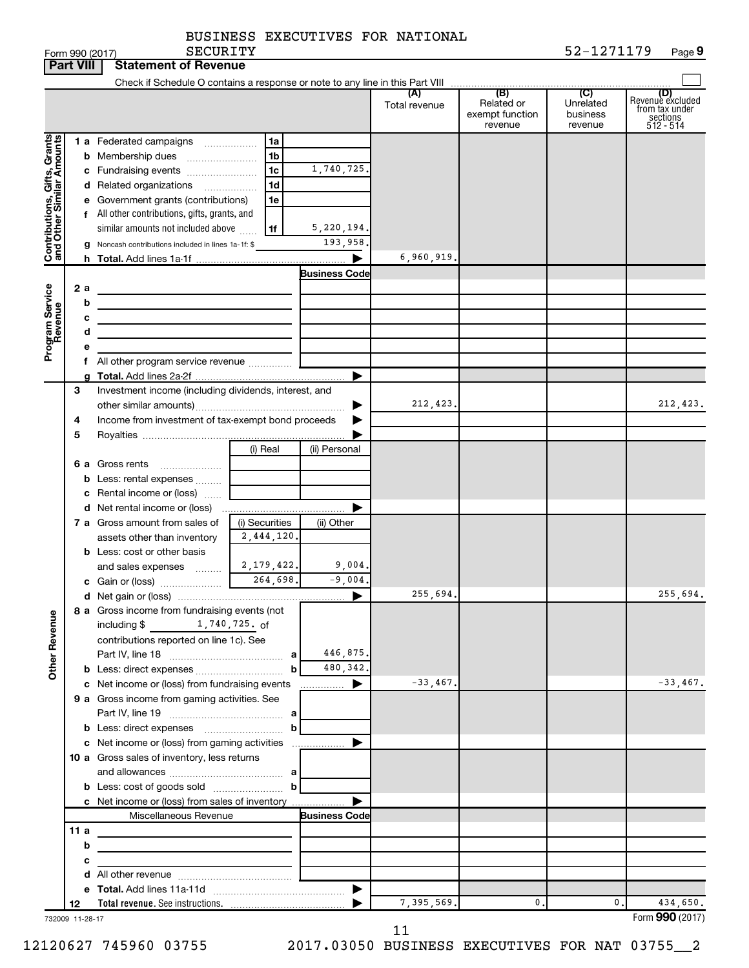| BUSINESS EXECUTIVES FOR NATIONAL |  |  |  |  |
|----------------------------------|--|--|--|--|
|----------------------------------|--|--|--|--|

|                                                           | <b>Part VIII</b> | <b>Statement of Revenue</b>                                                                                           |                |                       |                      |                                                 |                                         |                                                                    |
|-----------------------------------------------------------|------------------|-----------------------------------------------------------------------------------------------------------------------|----------------|-----------------------|----------------------|-------------------------------------------------|-----------------------------------------|--------------------------------------------------------------------|
|                                                           |                  |                                                                                                                       |                |                       |                      |                                                 |                                         |                                                                    |
|                                                           |                  |                                                                                                                       |                |                       | (A)<br>Total revenue | (B)<br>Related or<br>exempt function<br>revenue | (C)<br>Unrelated<br>business<br>revenue | (D)<br>Revenue excluded<br>from tax under<br>sections<br>512 - 514 |
|                                                           |                  | 1 a Federated campaigns                                                                                               | 1a             |                       |                      |                                                 |                                         |                                                                    |
| Contributions, Gifts, Grants<br>and Other Similar Amounts |                  | <b>b</b> Membership dues                                                                                              | 1b             |                       |                      |                                                 |                                         |                                                                    |
|                                                           |                  | c Fundraising events                                                                                                  | 1c             | 1,740,725.            |                      |                                                 |                                         |                                                                    |
|                                                           |                  | d Related organizations                                                                                               | 1 <sub>d</sub> |                       |                      |                                                 |                                         |                                                                    |
|                                                           |                  | e Government grants (contributions)                                                                                   | 1e             |                       |                      |                                                 |                                         |                                                                    |
|                                                           |                  | f All other contributions, gifts, grants, and                                                                         |                |                       |                      |                                                 |                                         |                                                                    |
|                                                           |                  | similar amounts not included above                                                                                    | 1f             | 5,220,194.            |                      |                                                 |                                         |                                                                    |
|                                                           |                  | g Noncash contributions included in lines 1a-1f: \$                                                                   |                | 193,958.              |                      |                                                 |                                         |                                                                    |
|                                                           |                  |                                                                                                                       |                |                       | 6,960,919            |                                                 |                                         |                                                                    |
|                                                           |                  |                                                                                                                       |                | <b>Business Code</b>  |                      |                                                 |                                         |                                                                    |
| Program Service<br>Revenue                                | 2a               |                                                                                                                       |                |                       |                      |                                                 |                                         |                                                                    |
|                                                           | b                |                                                                                                                       |                |                       |                      |                                                 |                                         |                                                                    |
|                                                           | c                | <u> 1980 - Johann Barbara, martin amerikan basal dan berasal dan berasal dalam basal dalam basal dalam basal dala</u> |                |                       |                      |                                                 |                                         |                                                                    |
|                                                           | d                | the control of the control of the control of the control of                                                           |                |                       |                      |                                                 |                                         |                                                                    |
|                                                           |                  | All other program service revenue  [                                                                                  |                |                       |                      |                                                 |                                         |                                                                    |
|                                                           |                  |                                                                                                                       |                |                       |                      |                                                 |                                         |                                                                    |
|                                                           | 3                | Investment income (including dividends, interest, and                                                                 |                |                       |                      |                                                 |                                         |                                                                    |
|                                                           |                  |                                                                                                                       |                |                       | 212,423.             |                                                 |                                         | 212,423.                                                           |
|                                                           | 4                | Income from investment of tax-exempt bond proceeds                                                                    |                |                       |                      |                                                 |                                         |                                                                    |
|                                                           | 5                |                                                                                                                       |                |                       |                      |                                                 |                                         |                                                                    |
|                                                           |                  |                                                                                                                       | (i) Real       | (ii) Personal         |                      |                                                 |                                         |                                                                    |
|                                                           |                  | 6 a Gross rents                                                                                                       |                |                       |                      |                                                 |                                         |                                                                    |
|                                                           |                  | <b>b</b> Less: rental expenses                                                                                        |                |                       |                      |                                                 |                                         |                                                                    |
|                                                           |                  | c Rental income or (loss)                                                                                             |                |                       |                      |                                                 |                                         |                                                                    |
|                                                           |                  |                                                                                                                       |                |                       |                      |                                                 |                                         |                                                                    |
|                                                           |                  | 7 a Gross amount from sales of                                                                                        | (i) Securities | (ii) Other            |                      |                                                 |                                         |                                                                    |
|                                                           |                  | assets other than inventory                                                                                           | 2,444,120.     |                       |                      |                                                 |                                         |                                                                    |
|                                                           |                  | <b>b</b> Less: cost or other basis                                                                                    |                | 9,004.                |                      |                                                 |                                         |                                                                    |
|                                                           |                  | and sales expenses  [                                                                                                 | 2,179,422.     | $-9,004.$             |                      |                                                 |                                         |                                                                    |
|                                                           |                  |                                                                                                                       |                | ▶                     | 255,694.             |                                                 |                                         | 255,694.                                                           |
|                                                           |                  | 8 a Gross income from fundraising events (not                                                                         |                |                       |                      |                                                 |                                         |                                                                    |
| <b>Other Revenue</b>                                      |                  | 1,740,725.of<br>including \$                                                                                          |                |                       |                      |                                                 |                                         |                                                                    |
|                                                           |                  | contributions reported on line 1c). See                                                                               |                |                       |                      |                                                 |                                         |                                                                    |
|                                                           |                  |                                                                                                                       |                | 446,875.              |                      |                                                 |                                         |                                                                    |
|                                                           |                  |                                                                                                                       | b              | 480,342.              |                      |                                                 |                                         |                                                                    |
|                                                           |                  | c Net income or (loss) from fundraising events                                                                        |                | $\Box$ $\Box$ $\Box$  | $-33,467.$           |                                                 |                                         | $-33,467.$                                                         |
|                                                           |                  | 9 a Gross income from gaming activities. See                                                                          |                |                       |                      |                                                 |                                         |                                                                    |
|                                                           |                  |                                                                                                                       |                |                       |                      |                                                 |                                         |                                                                    |
|                                                           |                  |                                                                                                                       | b              |                       |                      |                                                 |                                         |                                                                    |
|                                                           |                  |                                                                                                                       |                |                       |                      |                                                 |                                         |                                                                    |
|                                                           |                  | 10 a Gross sales of inventory, less returns                                                                           |                |                       |                      |                                                 |                                         |                                                                    |
|                                                           |                  |                                                                                                                       |                |                       |                      |                                                 |                                         |                                                                    |
|                                                           |                  |                                                                                                                       |                |                       |                      |                                                 |                                         |                                                                    |
|                                                           |                  | c Net income or (loss) from sales of inventory<br>Miscellaneous Revenue                                               |                | <b>Business Code</b>  |                      |                                                 |                                         |                                                                    |
|                                                           | 11a              |                                                                                                                       |                |                       |                      |                                                 |                                         |                                                                    |
|                                                           | b                |                                                                                                                       |                |                       |                      |                                                 |                                         |                                                                    |
|                                                           | с                | the control of the control of the control of the control of the control of                                            |                |                       |                      |                                                 |                                         |                                                                    |
|                                                           |                  |                                                                                                                       |                |                       |                      |                                                 |                                         |                                                                    |
|                                                           |                  |                                                                                                                       |                | $\blacktriangleright$ |                      |                                                 |                                         |                                                                    |
|                                                           | 12               |                                                                                                                       |                |                       | 7,395,569.           | 0.                                              | 0.                                      | 434,650.                                                           |
| 732009 11-28-17                                           |                  |                                                                                                                       |                |                       |                      |                                                 |                                         | Form 990 (2017)                                                    |

11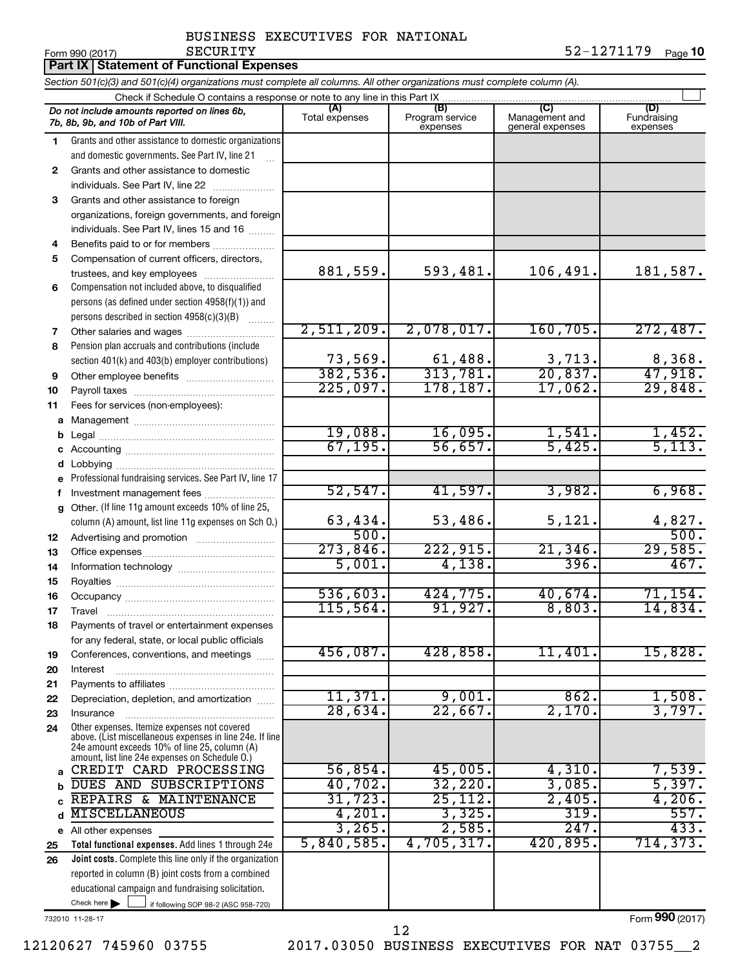Form 990 (2017) Page 52-1271179 Page 10 SECURITY 52-1271179

|    | Part IX Statement of Functional Expenses                                                                                                                                                                    |                       |                                    |                                           |                                |  |  |  |
|----|-------------------------------------------------------------------------------------------------------------------------------------------------------------------------------------------------------------|-----------------------|------------------------------------|-------------------------------------------|--------------------------------|--|--|--|
|    | Section 501(c)(3) and 501(c)(4) organizations must complete all columns. All other organizations must complete column (A).                                                                                  |                       |                                    |                                           |                                |  |  |  |
|    | Check if Schedule O contains a response or note to any line in this Part IX                                                                                                                                 |                       |                                    |                                           |                                |  |  |  |
|    | Do not include amounts reported on lines 6b,<br>7b, 8b, 9b, and 10b of Part VIII.                                                                                                                           | (A)<br>Total expenses | (B)<br>Program service<br>expenses | (C)<br>Management and<br>general expenses | (D)<br>Fundraising<br>expenses |  |  |  |
| 1  | Grants and other assistance to domestic organizations                                                                                                                                                       |                       |                                    |                                           |                                |  |  |  |
|    | and domestic governments. See Part IV, line 21                                                                                                                                                              |                       |                                    |                                           |                                |  |  |  |
| 2  | Grants and other assistance to domestic                                                                                                                                                                     |                       |                                    |                                           |                                |  |  |  |
|    | individuals. See Part IV, line 22                                                                                                                                                                           |                       |                                    |                                           |                                |  |  |  |
| 3  | Grants and other assistance to foreign                                                                                                                                                                      |                       |                                    |                                           |                                |  |  |  |
|    | organizations, foreign governments, and foreign                                                                                                                                                             |                       |                                    |                                           |                                |  |  |  |
| 4  | individuals. See Part IV, lines 15 and 16<br>Benefits paid to or for members                                                                                                                                |                       |                                    |                                           |                                |  |  |  |
| 5  | Compensation of current officers, directors,                                                                                                                                                                |                       |                                    |                                           |                                |  |  |  |
|    | trustees, and key employees                                                                                                                                                                                 | 881,559.              | 593,481.                           | 106,491.                                  | 181,587.                       |  |  |  |
| 6  | Compensation not included above, to disqualified                                                                                                                                                            |                       |                                    |                                           |                                |  |  |  |
|    | persons (as defined under section 4958(f)(1)) and                                                                                                                                                           |                       |                                    |                                           |                                |  |  |  |
|    | persons described in section 4958(c)(3)(B)                                                                                                                                                                  |                       |                                    |                                           |                                |  |  |  |
| 7  |                                                                                                                                                                                                             | 2,511,209.            | 2,078,017.                         | 160, 705.                                 | 272,487.                       |  |  |  |
| 8  | Pension plan accruals and contributions (include                                                                                                                                                            |                       |                                    |                                           |                                |  |  |  |
|    | section 401(k) and 403(b) employer contributions)                                                                                                                                                           | 73,569.               | 61,488.                            | 3,713.                                    | $\frac{8,368}{47,918}$         |  |  |  |
| 9  |                                                                                                                                                                                                             | 382,536.              | 313,781.                           | 20,837.                                   |                                |  |  |  |
| 10 |                                                                                                                                                                                                             | 225,097.              | 178, 187.                          | 17,062.                                   | 29,848.                        |  |  |  |
| 11 | Fees for services (non-employees):                                                                                                                                                                          |                       |                                    |                                           |                                |  |  |  |
| a  |                                                                                                                                                                                                             |                       |                                    |                                           |                                |  |  |  |
| b  |                                                                                                                                                                                                             | 19,088.               | 16,095.                            | 1,541.                                    | 1,452.<br>5,113.               |  |  |  |
| с  |                                                                                                                                                                                                             | 67, 195.              | 56,657.                            | 5,425.                                    |                                |  |  |  |
| d  |                                                                                                                                                                                                             |                       |                                    |                                           |                                |  |  |  |
| е  | Professional fundraising services. See Part IV, line 17                                                                                                                                                     | 52, 547.              | 41,597.                            | 3,982.                                    | 6,968.                         |  |  |  |
| f  | Investment management fees<br>Other. (If line 11g amount exceeds 10% of line 25,                                                                                                                            |                       |                                    |                                           |                                |  |  |  |
| g  | column (A) amount, list line 11g expenses on Sch O.)                                                                                                                                                        | 63,434.               | 53,486.                            | 5,121.                                    | 4,827.                         |  |  |  |
| 12 |                                                                                                                                                                                                             | 500.                  |                                    |                                           | 500.                           |  |  |  |
| 13 |                                                                                                                                                                                                             | 273,846.              | 222,915.                           | 21,346.                                   | 29,585.                        |  |  |  |
| 14 |                                                                                                                                                                                                             | 5,001.                | 4,138.                             | 396.                                      | 467.                           |  |  |  |
| 15 |                                                                                                                                                                                                             |                       |                                    |                                           |                                |  |  |  |
| 16 |                                                                                                                                                                                                             | 536,603.              | 424,775.                           | 40,674.                                   | 71,154.                        |  |  |  |
| 17 | Travel                                                                                                                                                                                                      | 115,564.              | 91,927.                            | 8,803.                                    | 14,834.                        |  |  |  |
| 18 | Payments of travel or entertainment expenses                                                                                                                                                                |                       |                                    |                                           |                                |  |  |  |
|    | for any federal, state, or local public officials                                                                                                                                                           |                       |                                    |                                           |                                |  |  |  |
| 19 | Conferences, conventions, and meetings                                                                                                                                                                      | 456,087.              | 428,858.                           | 11,401.                                   | 15,828.                        |  |  |  |
| 20 | Interest                                                                                                                                                                                                    |                       |                                    |                                           |                                |  |  |  |
| 21 |                                                                                                                                                                                                             |                       |                                    |                                           |                                |  |  |  |
| 22 | Depreciation, depletion, and amortization                                                                                                                                                                   | 11,371.<br>28,634.    | 9,001.<br>22,667.                  | 862.<br>2,170.                            | 1,508.<br>3,797.               |  |  |  |
| 23 | Insurance                                                                                                                                                                                                   |                       |                                    |                                           |                                |  |  |  |
| 24 | Other expenses. Itemize expenses not covered<br>above. (List miscellaneous expenses in line 24e. If line<br>24e amount exceeds 10% of line 25, column (A)<br>amount, list line 24e expenses on Schedule O.) |                       |                                    |                                           |                                |  |  |  |
| a  | CREDIT CARD PROCESSING                                                                                                                                                                                      | 56,854.               | 45,005.                            | 4,310.                                    | 7,539.                         |  |  |  |
| b  | DUES AND SUBSCRIPTIONS                                                                                                                                                                                      | 40,702.               | 32,220.                            | 3,085.                                    | 5,397.                         |  |  |  |
| C  | REPAIRS & MAINTENANCE                                                                                                                                                                                       | 31, 723.              | 25, 112.                           | 2,405.                                    | 4,206.                         |  |  |  |
| d  | <b>MISCELLANEOUS</b>                                                                                                                                                                                        | 4,201.                | 3,325.                             | 319.                                      | 557.                           |  |  |  |
|    | e All other expenses                                                                                                                                                                                        | 3,265.                | 2,585.                             | 247.                                      | 433.                           |  |  |  |
| 25 | Total functional expenses. Add lines 1 through 24e                                                                                                                                                          | 5,840,585.            | 4,705,317.                         | 420,895.                                  | 714, 373.                      |  |  |  |
| 26 | Joint costs. Complete this line only if the organization                                                                                                                                                    |                       |                                    |                                           |                                |  |  |  |
|    | reported in column (B) joint costs from a combined<br>educational campaign and fundraising solicitation.                                                                                                    |                       |                                    |                                           |                                |  |  |  |
|    | Check here $\blacktriangleright$<br>if following SOP 98-2 (ASC 958-720)                                                                                                                                     |                       |                                    |                                           |                                |  |  |  |
|    |                                                                                                                                                                                                             |                       |                                    |                                           |                                |  |  |  |

732010 11-28-17

Form (2017) **990**

12120627 745960 03755 2017.03050 BUSINESS EXECUTIVES FOR NAT 03755\_\_2

12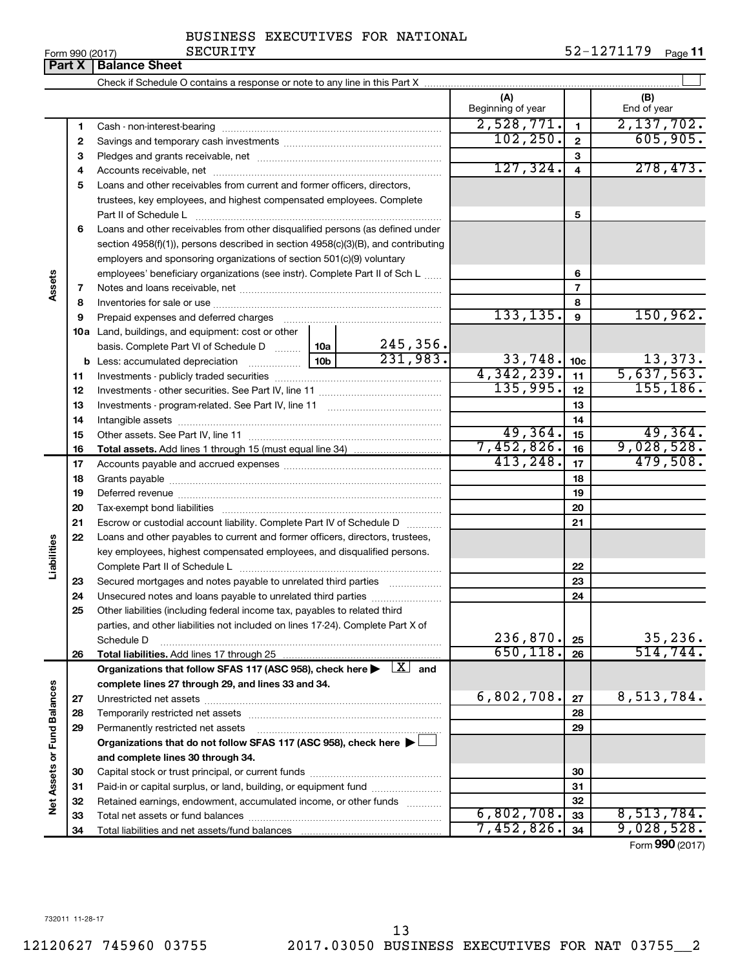**Assets**

**Liabilities**

# 12120627 745960 03755 2017.03050 BUSINESS EXECUTIVES FOR NAT 03755\_\_2 13

732011 11-28-17

# BUSINESS EXECUTIVES FOR NATIONAL

**Part X** | Balance Sheet

Check if Schedule O contains a response or note to any line in this Part X

|                   | 1  |                                                                                                                  |                                                                      |            | 2,528,771. | 1                       | 2,137,702. |  |  |
|-------------------|----|------------------------------------------------------------------------------------------------------------------|----------------------------------------------------------------------|------------|------------|-------------------------|------------|--|--|
|                   | 2  |                                                                                                                  |                                                                      |            | 102, 250.  | $\mathbf{2}$            | 605,905.   |  |  |
|                   | З  |                                                                                                                  |                                                                      |            |            | 3                       |            |  |  |
|                   | 4  |                                                                                                                  |                                                                      |            | 127, 324.  | $\overline{\mathbf{4}}$ | 278,473.   |  |  |
|                   | 5  | Loans and other receivables from current and former officers, directors,                                         |                                                                      |            |            |                         |            |  |  |
|                   |    |                                                                                                                  | trustees, key employees, and highest compensated employees. Complete |            |            |                         |            |  |  |
|                   |    | Part II of Schedule L                                                                                            |                                                                      | 5          |            |                         |            |  |  |
|                   | 6  | Loans and other receivables from other disqualified persons (as defined under                                    |                                                                      |            |            |                         |            |  |  |
|                   |    | section $4958(f)(1)$ , persons described in section $4958(c)(3)(B)$ , and contributing                           |                                                                      |            |            |                         |            |  |  |
|                   |    | employers and sponsoring organizations of section 501(c)(9) voluntary                                            |                                                                      |            |            |                         |            |  |  |
|                   |    | employees' beneficiary organizations (see instr). Complete Part II of Sch L                                      |                                                                      |            |            | 6                       |            |  |  |
| ssets             | 7  |                                                                                                                  |                                                                      |            |            | 7                       |            |  |  |
|                   | 8  |                                                                                                                  |                                                                      |            |            | 8                       |            |  |  |
|                   | 9  |                                                                                                                  |                                                                      |            | 133, 135.  | 9                       | 150,962.   |  |  |
|                   |    | 10a Land, buildings, and equipment: cost or other                                                                |                                                                      |            |            |                         |            |  |  |
|                   |    | basis. Complete Part VI of Schedule D                                                                            | 10a                                                                  | 245,356.   |            |                         |            |  |  |
|                   |    |                                                                                                                  |                                                                      | 231,983.   | 33,748.    | 10 <sub>c</sub>         | 13,373.    |  |  |
|                   | 11 |                                                                                                                  |                                                                      |            | 4,342,239. | 11                      | 5,637,563. |  |  |
|                   | 12 |                                                                                                                  |                                                                      |            | 135,995.   | 12                      | 155, 186.  |  |  |
|                   | 13 |                                                                                                                  |                                                                      |            |            | 13                      |            |  |  |
|                   | 14 |                                                                                                                  |                                                                      |            |            | 14                      |            |  |  |
|                   | 15 |                                                                                                                  |                                                                      |            | 49,364.    | 15                      | 49,364.    |  |  |
|                   | 16 |                                                                                                                  |                                                                      |            | 7,452,826. | 16                      | 9,028,528. |  |  |
|                   | 17 |                                                                                                                  |                                                                      |            | 413, 248.  | 17                      | 479,508.   |  |  |
|                   | 18 |                                                                                                                  |                                                                      |            |            | 18                      |            |  |  |
|                   | 19 |                                                                                                                  |                                                                      |            |            | 19                      |            |  |  |
|                   | 20 |                                                                                                                  |                                                                      |            |            | 20                      |            |  |  |
|                   | 21 | Escrow or custodial account liability. Complete Part IV of Schedule D                                            |                                                                      |            |            | 21                      |            |  |  |
|                   | 22 | Loans and other payables to current and former officers, directors, trustees,                                    |                                                                      |            |            |                         |            |  |  |
| iabilities        |    | key employees, highest compensated employees, and disqualified persons.                                          |                                                                      |            |            |                         |            |  |  |
|                   |    |                                                                                                                  |                                                                      |            |            | 22                      |            |  |  |
|                   | 23 | Secured mortgages and notes payable to unrelated third parties                                                   |                                                                      |            |            | 23                      |            |  |  |
|                   | 24 |                                                                                                                  |                                                                      |            |            | 24                      |            |  |  |
|                   | 25 | Other liabilities (including federal income tax, payables to related third                                       |                                                                      |            |            |                         |            |  |  |
|                   |    | parties, and other liabilities not included on lines 17-24). Complete Part X of                                  |                                                                      |            |            |                         |            |  |  |
|                   |    | Schedule D                                                                                                       |                                                                      |            | 236,870.   | 25                      | 35, 236.   |  |  |
|                   | 26 |                                                                                                                  |                                                                      |            | 650, 118.  | 26                      | 514, 744.  |  |  |
|                   |    | Organizations that follow SFAS 117 (ASC 958), check here $\blacktriangleright \lfloor \underline{X} \rfloor$ and |                                                                      |            |            |                         |            |  |  |
|                   |    | complete lines 27 through 29, and lines 33 and 34.                                                               |                                                                      |            |            |                         |            |  |  |
|                   | 27 |                                                                                                                  |                                                                      |            | 6,802,708. | 27                      | 8,513,784. |  |  |
|                   | 28 |                                                                                                                  |                                                                      |            | 28         |                         |            |  |  |
| or Fund Balances  | 29 | Permanently restricted net assets                                                                                |                                                                      |            |            | 29                      |            |  |  |
|                   |    | Organizations that do not follow SFAS 117 (ASC 958), check here ▶ □                                              |                                                                      |            |            |                         |            |  |  |
|                   |    | and complete lines 30 through 34.                                                                                |                                                                      |            |            |                         |            |  |  |
| <b>Net Assets</b> | 30 |                                                                                                                  |                                                                      |            |            | 30                      |            |  |  |
|                   | 31 |                                                                                                                  |                                                                      |            |            | 31                      |            |  |  |
|                   | 32 | Retained earnings, endowment, accumulated income, or other funds                                                 |                                                                      |            |            | 32                      |            |  |  |
|                   | 33 |                                                                                                                  |                                                                      |            | 6,802,708. | 33                      | 8,513,784. |  |  |
|                   | 34 |                                                                                                                  |                                                                      | 7,452,826. | 34         | 9,028,528.              |            |  |  |

 $\perp$ 

Form (2017) **990**

**(A) (B)**

Beginning of year  $\vert$  | End of year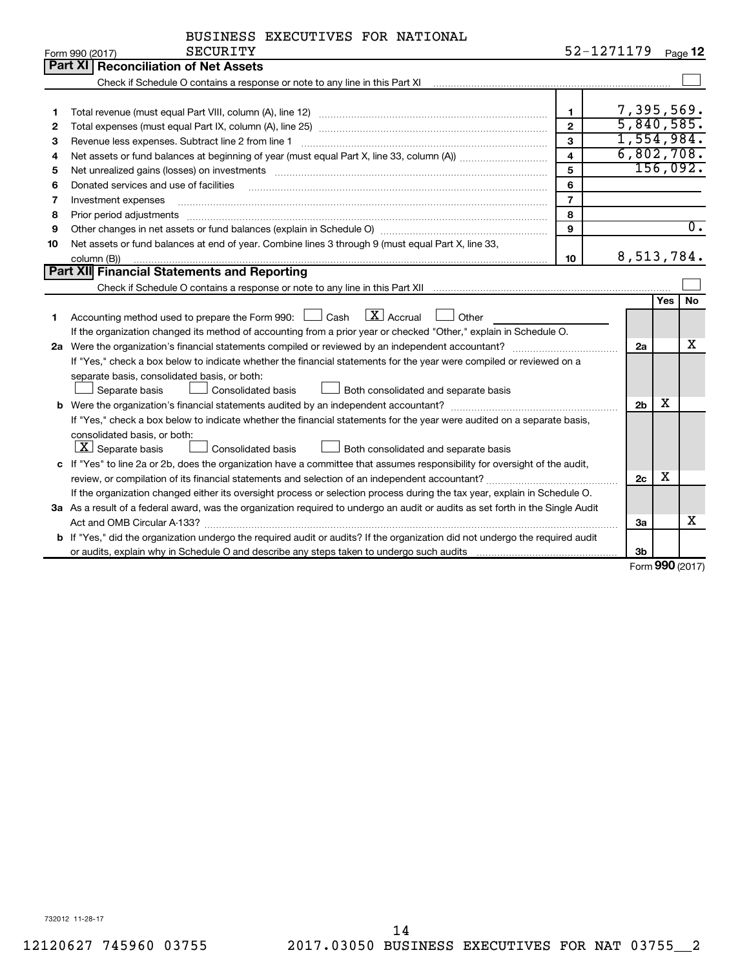| BUSINESS EXECUTIVES FOR NATIONAL |  |  |  |
|----------------------------------|--|--|--|
|----------------------------------|--|--|--|

|    | <b>SECURITY</b><br>Form 990 (2017)                                                                                              |                         | 52-1271179     |            | Page 12          |
|----|---------------------------------------------------------------------------------------------------------------------------------|-------------------------|----------------|------------|------------------|
|    | <b>Part XI Reconciliation of Net Assets</b>                                                                                     |                         |                |            |                  |
|    |                                                                                                                                 |                         |                |            |                  |
|    |                                                                                                                                 |                         |                |            |                  |
| 1  |                                                                                                                                 | $\mathbf 1$             | 7,395,569.     |            |                  |
| 2  |                                                                                                                                 | $\overline{2}$          | 5,840,585.     |            |                  |
| З  |                                                                                                                                 | 3                       | 1,554,984.     |            |                  |
| 4  |                                                                                                                                 | $\overline{\mathbf{4}}$ | 6,802,708.     |            |                  |
| 5  |                                                                                                                                 | 5                       |                |            | 156,092.         |
| 6  | Donated services and use of facilities                                                                                          | 6                       |                |            |                  |
| 7  | Investment expenses                                                                                                             | $\overline{7}$          |                |            |                  |
| 8  | Prior period adjustments                                                                                                        | 8                       |                |            |                  |
| 9  |                                                                                                                                 | 9                       |                |            | $\overline{0}$ . |
| 10 | Net assets or fund balances at end of year. Combine lines 3 through 9 (must equal Part X, line 33,                              |                         |                |            |                  |
|    | column (B))                                                                                                                     | 10                      | 8,513,784.     |            |                  |
|    | <b>Part XII</b> Financial Statements and Reporting                                                                              |                         |                |            |                  |
|    |                                                                                                                                 |                         |                |            |                  |
|    |                                                                                                                                 |                         |                | <b>Yes</b> | No               |
| 1  | $\boxed{\text{X}}$ Accrual<br>Accounting method used to prepare the Form 990: [130] Cash<br>Other                               |                         |                |            |                  |
|    | If the organization changed its method of accounting from a prior year or checked "Other," explain in Schedule O.               |                         |                |            |                  |
|    |                                                                                                                                 |                         | 2a             |            | х                |
|    | If "Yes," check a box below to indicate whether the financial statements for the year were compiled or reviewed on a            |                         |                |            |                  |
|    | separate basis, consolidated basis, or both:                                                                                    |                         |                |            |                  |
|    | Separate basis<br>Consolidated basis<br>Both consolidated and separate basis                                                    |                         |                |            |                  |
|    |                                                                                                                                 |                         | 2 <sub>b</sub> | х          |                  |
|    | If "Yes," check a box below to indicate whether the financial statements for the year were audited on a separate basis,         |                         |                |            |                  |
|    | consolidated basis, or both:                                                                                                    |                         |                |            |                  |
|    | $ \mathbf{X} $ Separate basis<br><b>Consolidated basis</b><br>Both consolidated and separate basis                              |                         |                |            |                  |
|    | c If "Yes" to line 2a or 2b, does the organization have a committee that assumes responsibility for oversight of the audit,     |                         |                |            |                  |
|    |                                                                                                                                 |                         | 2 <sub>c</sub> | x          |                  |
|    | If the organization changed either its oversight process or selection process during the tax year, explain in Schedule O.       |                         |                |            |                  |
|    | 3a As a result of a federal award, was the organization required to undergo an audit or audits as set forth in the Single Audit |                         |                |            |                  |
|    |                                                                                                                                 |                         | За             |            | x                |
|    | b If "Yes," did the organization undergo the required audit or audits? If the organization did not undergo the required audit   |                         |                |            |                  |
|    |                                                                                                                                 |                         | 3 <sub>b</sub> |            |                  |

Form (2017) **990**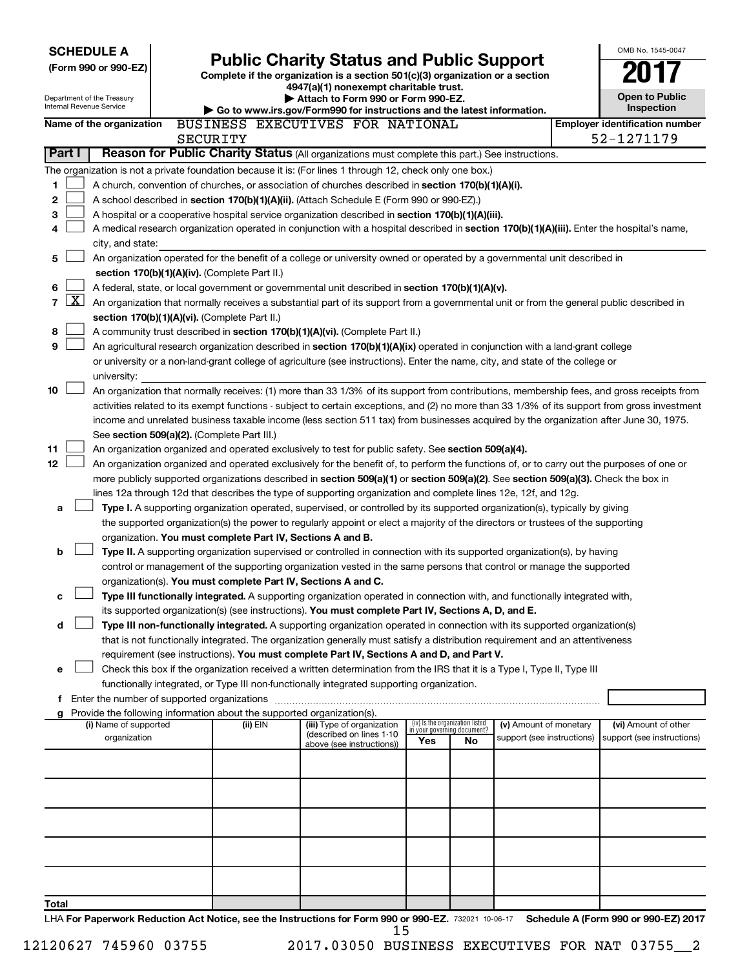| <b>SCHEDULE A</b><br>(Form 990 or 990-EZ)<br>Department of the Treasury<br>Internal Revenue Service                                                                                                                                                                                                                                                                                                                                                                                                                                                                                                                                                                                                                                                                                                                                                                                                                                                                                                                                                                                                                                                                                                                                                                                                                                                                                                                                                                                                                                                                                                                                                                                                                                                                                                                                                                                                                         |                                                                                                                                                                                                                                                                                                                                                                                                                                                                                                                                                                                                                                                                                                    | <b>Public Charity Status and Public Support</b><br>Complete if the organization is a section 501(c)(3) organization or a section<br>4947(a)(1) nonexempt charitable trust.<br>Attach to Form 990 or Form 990-EZ.<br>Go to www.irs.gov/Form990 for instructions and the latest information. |  |  |  |  | OMB No. 1545-0047<br><b>Open to Public</b><br>Inspection |  |
|-----------------------------------------------------------------------------------------------------------------------------------------------------------------------------------------------------------------------------------------------------------------------------------------------------------------------------------------------------------------------------------------------------------------------------------------------------------------------------------------------------------------------------------------------------------------------------------------------------------------------------------------------------------------------------------------------------------------------------------------------------------------------------------------------------------------------------------------------------------------------------------------------------------------------------------------------------------------------------------------------------------------------------------------------------------------------------------------------------------------------------------------------------------------------------------------------------------------------------------------------------------------------------------------------------------------------------------------------------------------------------------------------------------------------------------------------------------------------------------------------------------------------------------------------------------------------------------------------------------------------------------------------------------------------------------------------------------------------------------------------------------------------------------------------------------------------------------------------------------------------------------------------------------------------------|----------------------------------------------------------------------------------------------------------------------------------------------------------------------------------------------------------------------------------------------------------------------------------------------------------------------------------------------------------------------------------------------------------------------------------------------------------------------------------------------------------------------------------------------------------------------------------------------------------------------------------------------------------------------------------------------------|--------------------------------------------------------------------------------------------------------------------------------------------------------------------------------------------------------------------------------------------------------------------------------------------|--|--|--|--|----------------------------------------------------------|--|
| Name of the organization                                                                                                                                                                                                                                                                                                                                                                                                                                                                                                                                                                                                                                                                                                                                                                                                                                                                                                                                                                                                                                                                                                                                                                                                                                                                                                                                                                                                                                                                                                                                                                                                                                                                                                                                                                                                                                                                                                    |                                                                                                                                                                                                                                                                                                                                                                                                                                                                                                                                                                                                                                                                                                    | BUSINESS EXECUTIVES FOR NATIONAL                                                                                                                                                                                                                                                           |  |  |  |  | <b>Employer identification number</b>                    |  |
|                                                                                                                                                                                                                                                                                                                                                                                                                                                                                                                                                                                                                                                                                                                                                                                                                                                                                                                                                                                                                                                                                                                                                                                                                                                                                                                                                                                                                                                                                                                                                                                                                                                                                                                                                                                                                                                                                                                             | SECURITY                                                                                                                                                                                                                                                                                                                                                                                                                                                                                                                                                                                                                                                                                           |                                                                                                                                                                                                                                                                                            |  |  |  |  | 52-1271179                                               |  |
| Reason for Public Charity Status (All organizations must complete this part.) See instructions.<br>Part I                                                                                                                                                                                                                                                                                                                                                                                                                                                                                                                                                                                                                                                                                                                                                                                                                                                                                                                                                                                                                                                                                                                                                                                                                                                                                                                                                                                                                                                                                                                                                                                                                                                                                                                                                                                                                   |                                                                                                                                                                                                                                                                                                                                                                                                                                                                                                                                                                                                                                                                                                    |                                                                                                                                                                                                                                                                                            |  |  |  |  |                                                          |  |
| The organization is not a private foundation because it is: (For lines 1 through 12, check only one box.)<br>1<br>A church, convention of churches, or association of churches described in section 170(b)(1)(A)(i).<br>$\mathbf 2$<br>A school described in section 170(b)(1)(A)(ii). (Attach Schedule E (Form 990 or 990-EZ).)<br>3<br>A hospital or a cooperative hospital service organization described in section 170(b)(1)(A)(iii).<br>A medical research organization operated in conjunction with a hospital described in section 170(b)(1)(A)(iii). Enter the hospital's name,<br>4<br>city, and state:                                                                                                                                                                                                                                                                                                                                                                                                                                                                                                                                                                                                                                                                                                                                                                                                                                                                                                                                                                                                                                                                                                                                                                                                                                                                                                           |                                                                                                                                                                                                                                                                                                                                                                                                                                                                                                                                                                                                                                                                                                    |                                                                                                                                                                                                                                                                                            |  |  |  |  |                                                          |  |
| 5<br>An organization operated for the benefit of a college or university owned or operated by a governmental unit described in                                                                                                                                                                                                                                                                                                                                                                                                                                                                                                                                                                                                                                                                                                                                                                                                                                                                                                                                                                                                                                                                                                                                                                                                                                                                                                                                                                                                                                                                                                                                                                                                                                                                                                                                                                                              |                                                                                                                                                                                                                                                                                                                                                                                                                                                                                                                                                                                                                                                                                                    |                                                                                                                                                                                                                                                                                            |  |  |  |  |                                                          |  |
| 6<br>$\mathbf{X}$<br>7<br>8<br>9                                                                                                                                                                                                                                                                                                                                                                                                                                                                                                                                                                                                                                                                                                                                                                                                                                                                                                                                                                                                                                                                                                                                                                                                                                                                                                                                                                                                                                                                                                                                                                                                                                                                                                                                                                                                                                                                                            | section 170(b)(1)(A)(iv). (Complete Part II.)<br>A federal, state, or local government or governmental unit described in section 170(b)(1)(A)(v).<br>An organization that normally receives a substantial part of its support from a governmental unit or from the general public described in<br>section 170(b)(1)(A)(vi). (Complete Part II.)<br>A community trust described in section 170(b)(1)(A)(vi). (Complete Part II.)<br>An agricultural research organization described in section 170(b)(1)(A)(ix) operated in conjunction with a land-grant college<br>or university or a non-land-grant college of agriculture (see instructions). Enter the name, city, and state of the college or |                                                                                                                                                                                                                                                                                            |  |  |  |  |                                                          |  |
| university:<br>10<br>An organization that normally receives: (1) more than 33 1/3% of its support from contributions, membership fees, and gross receipts from<br>activities related to its exempt functions - subject to certain exceptions, and (2) no more than 33 1/3% of its support from gross investment<br>income and unrelated business taxable income (less section 511 tax) from businesses acquired by the organization after June 30, 1975.<br>See section 509(a)(2). (Complete Part III.)                                                                                                                                                                                                                                                                                                                                                                                                                                                                                                                                                                                                                                                                                                                                                                                                                                                                                                                                                                                                                                                                                                                                                                                                                                                                                                                                                                                                                     |                                                                                                                                                                                                                                                                                                                                                                                                                                                                                                                                                                                                                                                                                                    |                                                                                                                                                                                                                                                                                            |  |  |  |  |                                                          |  |
| 11<br>An organization organized and operated exclusively to test for public safety. See section 509(a)(4).<br>12<br>An organization organized and operated exclusively for the benefit of, to perform the functions of, or to carry out the purposes of one or<br>more publicly supported organizations described in section 509(a)(1) or section 509(a)(2). See section 509(a)(3). Check the box in<br>lines 12a through 12d that describes the type of supporting organization and complete lines 12e, 12f, and 12g.<br>Type I. A supporting organization operated, supervised, or controlled by its supported organization(s), typically by giving<br>a<br>the supported organization(s) the power to regularly appoint or elect a majority of the directors or trustees of the supporting<br>organization. You must complete Part IV, Sections A and B.<br>b<br>Type II. A supporting organization supervised or controlled in connection with its supported organization(s), by having<br>control or management of the supporting organization vested in the same persons that control or manage the supported<br>organization(s). You must complete Part IV, Sections A and C.<br>Type III functionally integrated. A supporting organization operated in connection with, and functionally integrated with,<br>с<br>its supported organization(s) (see instructions). You must complete Part IV, Sections A, D, and E.<br>Type III non-functionally integrated. A supporting organization operated in connection with its supported organization(s)<br>d<br>that is not functionally integrated. The organization generally must satisfy a distribution requirement and an attentiveness<br>requirement (see instructions). You must complete Part IV, Sections A and D, and Part V.<br>Check this box if the organization received a written determination from the IRS that it is a Type I, Type II, Type III<br>е |                                                                                                                                                                                                                                                                                                                                                                                                                                                                                                                                                                                                                                                                                                    |                                                                                                                                                                                                                                                                                            |  |  |  |  |                                                          |  |
| f Enter the number of supported organizations                                                                                                                                                                                                                                                                                                                                                                                                                                                                                                                                                                                                                                                                                                                                                                                                                                                                                                                                                                                                                                                                                                                                                                                                                                                                                                                                                                                                                                                                                                                                                                                                                                                                                                                                                                                                                                                                               |                                                                                                                                                                                                                                                                                                                                                                                                                                                                                                                                                                                                                                                                                                    |                                                                                                                                                                                                                                                                                            |  |  |  |  |                                                          |  |
| (i) Name of supported<br>organization                                                                                                                                                                                                                                                                                                                                                                                                                                                                                                                                                                                                                                                                                                                                                                                                                                                                                                                                                                                                                                                                                                                                                                                                                                                                                                                                                                                                                                                                                                                                                                                                                                                                                                                                                                                                                                                                                       | g Provide the following information about the supported organization(s).<br>(iv) Is the organization listed<br>(ii) EIN<br>(iii) Type of organization<br>(v) Amount of monetary<br>(vi) Amount of other<br>in your governing document?<br>(described on lines 1-10<br>support (see instructions)<br>support (see instructions)<br>Yes<br>No<br>above (see instructions))                                                                                                                                                                                                                                                                                                                           |                                                                                                                                                                                                                                                                                            |  |  |  |  |                                                          |  |
| Total<br>I HA For Paperwork Reduction Act Notice, see the Instructions for Form 990 or 990-EZ, 732021 10-06-17 Schedule A (Form 990 or 990-EZ) 2017                                                                                                                                                                                                                                                                                                                                                                                                                                                                                                                                                                                                                                                                                                                                                                                                                                                                                                                                                                                                                                                                                                                                                                                                                                                                                                                                                                                                                                                                                                                                                                                                                                                                                                                                                                         |                                                                                                                                                                                                                                                                                                                                                                                                                                                                                                                                                                                                                                                                                                    |                                                                                                                                                                                                                                                                                            |  |  |  |  |                                                          |  |

732021 10-06-17 **Schedule A (For For Paperwork Reduction Act Notice, see the Instructions for Form 990 or 990-EZ. Schedule A (Form 990 or 990-EZ) 2017** A <mark>For Pap</mark> 15

12120627 745960 03755 2017.03050 BUSINESS EXECUTIVES FOR NAT 03755\_\_2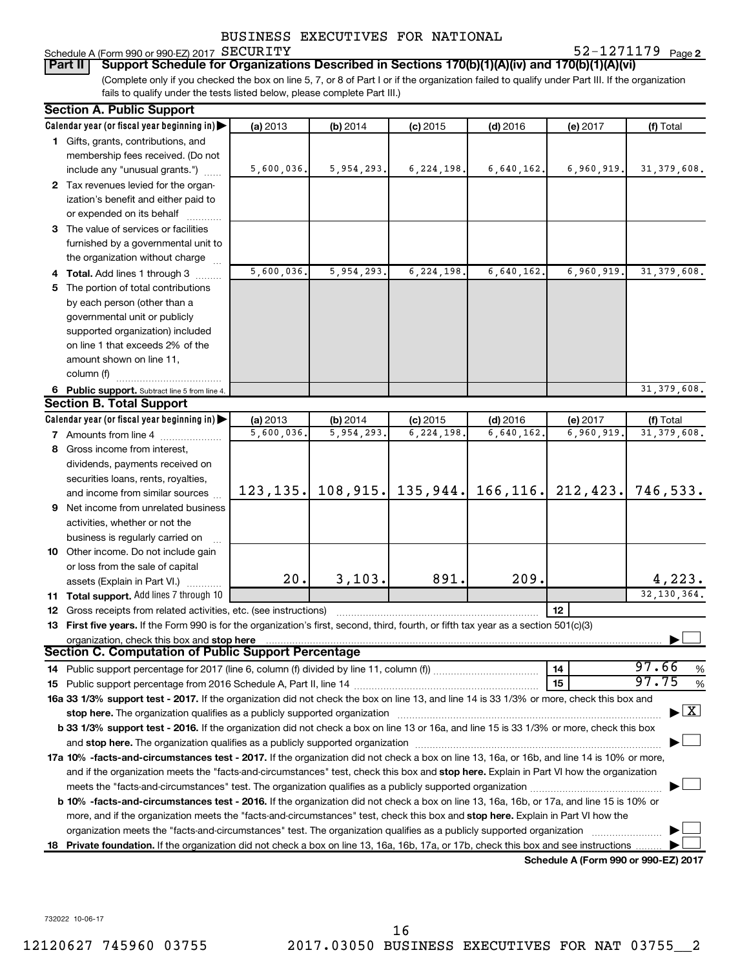# Schedule A (Form 990 or 990-EZ) 2017 SECURITY<br>| Part II | Support Schedule for Organization

**2** SECURITY 52-1271179

(Complete only if you checked the box on line 5, 7, or 8 of Part I or if the organization failed to qualify under Part III. If the organization fails to qualify under the tests listed below, please complete Part III.) **Part III Support Schedule for Organizations Described in Sections 170(b)(1)(A)(iv) and 170(b)(1)(A)(vi)** 

| Calendar year (or fiscal year beginning in)<br>(a) 2013<br>(b) 2014<br>$(d)$ 2016<br>(f) Total<br>$(c)$ 2015<br>(e) 2017<br>1 Gifts, grants, contributions, and<br>membership fees received. (Do not<br>5,600,036.<br>5,954,293.<br>6, 224, 198.<br>6,640,162.<br>6,960,919.<br>31, 379, 608.<br>include any "unusual grants.")<br>2 Tax revenues levied for the organ-<br>ization's benefit and either paid to<br>or expended on its behalf<br>3 The value of services or facilities<br>furnished by a governmental unit to<br>the organization without charge<br>5,600,036.<br>5,954,293.<br>6,224,198.<br>6,640,162.<br>6,960,919<br>31, 379, 608.<br>4 Total. Add lines 1 through 3<br>5 The portion of total contributions<br>by each person (other than a<br>governmental unit or publicly<br>supported organization) included<br>on line 1 that exceeds 2% of the<br>amount shown on line 11,<br>column (f)<br>31, 379, 608.<br>6 Public support. Subtract line 5 from line 4.<br><b>Section B. Total Support</b><br>Calendar year (or fiscal year beginning in)<br>(a) 2013<br>(b) 2014<br>$(c)$ 2015<br>$(d)$ 2016<br>(e) 2017<br>(f) Total<br>5,600,036.<br>5,954,293.<br>6,224,198<br>6,640,162.<br>6,960,919<br>31, 379, 608.<br><b>7</b> Amounts from line 4<br>8 Gross income from interest,<br>dividends, payments received on<br>securities loans, rents, royalties,<br>108, 915.<br>$135,944.$ 166, 116. 212, 423.<br>746,533.<br>123, 135.<br>and income from similar sources<br>9 Net income from unrelated business<br>activities, whether or not the<br>business is regularly carried on<br>10 Other income. Do not include gain<br>or loss from the sale of capital<br>3,103.<br>20.<br>891.<br>209.<br>4,223.<br>assets (Explain in Part VI.)<br>32, 130, 364.<br>11 Total support. Add lines 7 through 10<br>12<br>12 Gross receipts from related activities, etc. (see instructions)<br>13 First five years. If the Form 990 is for the organization's first, second, third, fourth, or fifth tax year as a section 501(c)(3)<br>organization, check this box and stop here<br>Section C. Computation of Public Support Percentage<br>97.66<br>14<br>%<br>97.75<br>15<br>%<br>16a 33 1/3% support test - 2017. If the organization did not check the box on line 13, and line 14 is 33 1/3% or more, check this box and<br>$\blacktriangleright$ $\mathbf{X}$<br>stop here. The organization qualifies as a publicly supported organization manufactured content and the organization manufactured or an analyzing the stress of the stress of the stress of the stress of the stress of the st<br>b 33 1/3% support test - 2016. If the organization did not check a box on line 13 or 16a, and line 15 is 33 1/3% or more, check this box<br>17a 10% -facts-and-circumstances test - 2017. If the organization did not check a box on line 13, 16a, or 16b, and line 14 is 10% or more,<br>and if the organization meets the "facts-and-circumstances" test, check this box and stop here. Explain in Part VI how the organization<br><b>b 10%</b> -facts-and-circumstances test - 2016. If the organization did not check a box on line 13, 16a, 16b, or 17a, and line 15 is 10% or<br>more, and if the organization meets the "facts-and-circumstances" test, check this box and stop here. Explain in Part VI how the<br>organization meets the "facts-and-circumstances" test. The organization qualifies as a publicly supported organization<br>18 Private foundation. If the organization did not check a box on line 13, 16a, 16b, 17a, or 17b, check this box and see instructions<br>Schedule A (Form 990 or 990-EZ) 2017 | <b>Section A. Public Support</b> |  |  |  |
|----------------------------------------------------------------------------------------------------------------------------------------------------------------------------------------------------------------------------------------------------------------------------------------------------------------------------------------------------------------------------------------------------------------------------------------------------------------------------------------------------------------------------------------------------------------------------------------------------------------------------------------------------------------------------------------------------------------------------------------------------------------------------------------------------------------------------------------------------------------------------------------------------------------------------------------------------------------------------------------------------------------------------------------------------------------------------------------------------------------------------------------------------------------------------------------------------------------------------------------------------------------------------------------------------------------------------------------------------------------------------------------------------------------------------------------------------------------------------------------------------------------------------------------------------------------------------------------------------------------------------------------------------------------------------------------------------------------------------------------------------------------------------------------------------------------------------------------------------------------------------------------------------------------------------------------------------------------------------------------------------------------------------------------------------------------------------------------------------------------------------------------------------------------------------------------------------------------------------------------------------------------------------------------------------------------------------------------------------------------------------------------------------------------------------------------------------------------------------------------------------------------------------------------------------------------------------------------------------------------------------------------------------------------------------------------------------------------------------------------------------------------------------------------------------------------------------------------------------------------------------------------------------------------------------------------------------------------------------------------------------------------------------------------------------------------------------------------------------------------------------------------------------------------------------------------------------------------------------------------------------------------------------------------------------------------------------------------------------------------------------------------------------------------------------------------------------------------------------------------------------------------------------------------------------------------------------------------------------------------------------------------------------------------|----------------------------------|--|--|--|
|                                                                                                                                                                                                                                                                                                                                                                                                                                                                                                                                                                                                                                                                                                                                                                                                                                                                                                                                                                                                                                                                                                                                                                                                                                                                                                                                                                                                                                                                                                                                                                                                                                                                                                                                                                                                                                                                                                                                                                                                                                                                                                                                                                                                                                                                                                                                                                                                                                                                                                                                                                                                                                                                                                                                                                                                                                                                                                                                                                                                                                                                                                                                                                                                                                                                                                                                                                                                                                                                                                                                                                                                                                                                |                                  |  |  |  |
|                                                                                                                                                                                                                                                                                                                                                                                                                                                                                                                                                                                                                                                                                                                                                                                                                                                                                                                                                                                                                                                                                                                                                                                                                                                                                                                                                                                                                                                                                                                                                                                                                                                                                                                                                                                                                                                                                                                                                                                                                                                                                                                                                                                                                                                                                                                                                                                                                                                                                                                                                                                                                                                                                                                                                                                                                                                                                                                                                                                                                                                                                                                                                                                                                                                                                                                                                                                                                                                                                                                                                                                                                                                                |                                  |  |  |  |
|                                                                                                                                                                                                                                                                                                                                                                                                                                                                                                                                                                                                                                                                                                                                                                                                                                                                                                                                                                                                                                                                                                                                                                                                                                                                                                                                                                                                                                                                                                                                                                                                                                                                                                                                                                                                                                                                                                                                                                                                                                                                                                                                                                                                                                                                                                                                                                                                                                                                                                                                                                                                                                                                                                                                                                                                                                                                                                                                                                                                                                                                                                                                                                                                                                                                                                                                                                                                                                                                                                                                                                                                                                                                |                                  |  |  |  |
|                                                                                                                                                                                                                                                                                                                                                                                                                                                                                                                                                                                                                                                                                                                                                                                                                                                                                                                                                                                                                                                                                                                                                                                                                                                                                                                                                                                                                                                                                                                                                                                                                                                                                                                                                                                                                                                                                                                                                                                                                                                                                                                                                                                                                                                                                                                                                                                                                                                                                                                                                                                                                                                                                                                                                                                                                                                                                                                                                                                                                                                                                                                                                                                                                                                                                                                                                                                                                                                                                                                                                                                                                                                                |                                  |  |  |  |
|                                                                                                                                                                                                                                                                                                                                                                                                                                                                                                                                                                                                                                                                                                                                                                                                                                                                                                                                                                                                                                                                                                                                                                                                                                                                                                                                                                                                                                                                                                                                                                                                                                                                                                                                                                                                                                                                                                                                                                                                                                                                                                                                                                                                                                                                                                                                                                                                                                                                                                                                                                                                                                                                                                                                                                                                                                                                                                                                                                                                                                                                                                                                                                                                                                                                                                                                                                                                                                                                                                                                                                                                                                                                |                                  |  |  |  |
|                                                                                                                                                                                                                                                                                                                                                                                                                                                                                                                                                                                                                                                                                                                                                                                                                                                                                                                                                                                                                                                                                                                                                                                                                                                                                                                                                                                                                                                                                                                                                                                                                                                                                                                                                                                                                                                                                                                                                                                                                                                                                                                                                                                                                                                                                                                                                                                                                                                                                                                                                                                                                                                                                                                                                                                                                                                                                                                                                                                                                                                                                                                                                                                                                                                                                                                                                                                                                                                                                                                                                                                                                                                                |                                  |  |  |  |
|                                                                                                                                                                                                                                                                                                                                                                                                                                                                                                                                                                                                                                                                                                                                                                                                                                                                                                                                                                                                                                                                                                                                                                                                                                                                                                                                                                                                                                                                                                                                                                                                                                                                                                                                                                                                                                                                                                                                                                                                                                                                                                                                                                                                                                                                                                                                                                                                                                                                                                                                                                                                                                                                                                                                                                                                                                                                                                                                                                                                                                                                                                                                                                                                                                                                                                                                                                                                                                                                                                                                                                                                                                                                |                                  |  |  |  |
|                                                                                                                                                                                                                                                                                                                                                                                                                                                                                                                                                                                                                                                                                                                                                                                                                                                                                                                                                                                                                                                                                                                                                                                                                                                                                                                                                                                                                                                                                                                                                                                                                                                                                                                                                                                                                                                                                                                                                                                                                                                                                                                                                                                                                                                                                                                                                                                                                                                                                                                                                                                                                                                                                                                                                                                                                                                                                                                                                                                                                                                                                                                                                                                                                                                                                                                                                                                                                                                                                                                                                                                                                                                                |                                  |  |  |  |
|                                                                                                                                                                                                                                                                                                                                                                                                                                                                                                                                                                                                                                                                                                                                                                                                                                                                                                                                                                                                                                                                                                                                                                                                                                                                                                                                                                                                                                                                                                                                                                                                                                                                                                                                                                                                                                                                                                                                                                                                                                                                                                                                                                                                                                                                                                                                                                                                                                                                                                                                                                                                                                                                                                                                                                                                                                                                                                                                                                                                                                                                                                                                                                                                                                                                                                                                                                                                                                                                                                                                                                                                                                                                |                                  |  |  |  |
|                                                                                                                                                                                                                                                                                                                                                                                                                                                                                                                                                                                                                                                                                                                                                                                                                                                                                                                                                                                                                                                                                                                                                                                                                                                                                                                                                                                                                                                                                                                                                                                                                                                                                                                                                                                                                                                                                                                                                                                                                                                                                                                                                                                                                                                                                                                                                                                                                                                                                                                                                                                                                                                                                                                                                                                                                                                                                                                                                                                                                                                                                                                                                                                                                                                                                                                                                                                                                                                                                                                                                                                                                                                                |                                  |  |  |  |
|                                                                                                                                                                                                                                                                                                                                                                                                                                                                                                                                                                                                                                                                                                                                                                                                                                                                                                                                                                                                                                                                                                                                                                                                                                                                                                                                                                                                                                                                                                                                                                                                                                                                                                                                                                                                                                                                                                                                                                                                                                                                                                                                                                                                                                                                                                                                                                                                                                                                                                                                                                                                                                                                                                                                                                                                                                                                                                                                                                                                                                                                                                                                                                                                                                                                                                                                                                                                                                                                                                                                                                                                                                                                |                                  |  |  |  |
|                                                                                                                                                                                                                                                                                                                                                                                                                                                                                                                                                                                                                                                                                                                                                                                                                                                                                                                                                                                                                                                                                                                                                                                                                                                                                                                                                                                                                                                                                                                                                                                                                                                                                                                                                                                                                                                                                                                                                                                                                                                                                                                                                                                                                                                                                                                                                                                                                                                                                                                                                                                                                                                                                                                                                                                                                                                                                                                                                                                                                                                                                                                                                                                                                                                                                                                                                                                                                                                                                                                                                                                                                                                                |                                  |  |  |  |
|                                                                                                                                                                                                                                                                                                                                                                                                                                                                                                                                                                                                                                                                                                                                                                                                                                                                                                                                                                                                                                                                                                                                                                                                                                                                                                                                                                                                                                                                                                                                                                                                                                                                                                                                                                                                                                                                                                                                                                                                                                                                                                                                                                                                                                                                                                                                                                                                                                                                                                                                                                                                                                                                                                                                                                                                                                                                                                                                                                                                                                                                                                                                                                                                                                                                                                                                                                                                                                                                                                                                                                                                                                                                |                                  |  |  |  |
|                                                                                                                                                                                                                                                                                                                                                                                                                                                                                                                                                                                                                                                                                                                                                                                                                                                                                                                                                                                                                                                                                                                                                                                                                                                                                                                                                                                                                                                                                                                                                                                                                                                                                                                                                                                                                                                                                                                                                                                                                                                                                                                                                                                                                                                                                                                                                                                                                                                                                                                                                                                                                                                                                                                                                                                                                                                                                                                                                                                                                                                                                                                                                                                                                                                                                                                                                                                                                                                                                                                                                                                                                                                                |                                  |  |  |  |
|                                                                                                                                                                                                                                                                                                                                                                                                                                                                                                                                                                                                                                                                                                                                                                                                                                                                                                                                                                                                                                                                                                                                                                                                                                                                                                                                                                                                                                                                                                                                                                                                                                                                                                                                                                                                                                                                                                                                                                                                                                                                                                                                                                                                                                                                                                                                                                                                                                                                                                                                                                                                                                                                                                                                                                                                                                                                                                                                                                                                                                                                                                                                                                                                                                                                                                                                                                                                                                                                                                                                                                                                                                                                |                                  |  |  |  |
|                                                                                                                                                                                                                                                                                                                                                                                                                                                                                                                                                                                                                                                                                                                                                                                                                                                                                                                                                                                                                                                                                                                                                                                                                                                                                                                                                                                                                                                                                                                                                                                                                                                                                                                                                                                                                                                                                                                                                                                                                                                                                                                                                                                                                                                                                                                                                                                                                                                                                                                                                                                                                                                                                                                                                                                                                                                                                                                                                                                                                                                                                                                                                                                                                                                                                                                                                                                                                                                                                                                                                                                                                                                                |                                  |  |  |  |
|                                                                                                                                                                                                                                                                                                                                                                                                                                                                                                                                                                                                                                                                                                                                                                                                                                                                                                                                                                                                                                                                                                                                                                                                                                                                                                                                                                                                                                                                                                                                                                                                                                                                                                                                                                                                                                                                                                                                                                                                                                                                                                                                                                                                                                                                                                                                                                                                                                                                                                                                                                                                                                                                                                                                                                                                                                                                                                                                                                                                                                                                                                                                                                                                                                                                                                                                                                                                                                                                                                                                                                                                                                                                |                                  |  |  |  |
|                                                                                                                                                                                                                                                                                                                                                                                                                                                                                                                                                                                                                                                                                                                                                                                                                                                                                                                                                                                                                                                                                                                                                                                                                                                                                                                                                                                                                                                                                                                                                                                                                                                                                                                                                                                                                                                                                                                                                                                                                                                                                                                                                                                                                                                                                                                                                                                                                                                                                                                                                                                                                                                                                                                                                                                                                                                                                                                                                                                                                                                                                                                                                                                                                                                                                                                                                                                                                                                                                                                                                                                                                                                                |                                  |  |  |  |
|                                                                                                                                                                                                                                                                                                                                                                                                                                                                                                                                                                                                                                                                                                                                                                                                                                                                                                                                                                                                                                                                                                                                                                                                                                                                                                                                                                                                                                                                                                                                                                                                                                                                                                                                                                                                                                                                                                                                                                                                                                                                                                                                                                                                                                                                                                                                                                                                                                                                                                                                                                                                                                                                                                                                                                                                                                                                                                                                                                                                                                                                                                                                                                                                                                                                                                                                                                                                                                                                                                                                                                                                                                                                |                                  |  |  |  |
|                                                                                                                                                                                                                                                                                                                                                                                                                                                                                                                                                                                                                                                                                                                                                                                                                                                                                                                                                                                                                                                                                                                                                                                                                                                                                                                                                                                                                                                                                                                                                                                                                                                                                                                                                                                                                                                                                                                                                                                                                                                                                                                                                                                                                                                                                                                                                                                                                                                                                                                                                                                                                                                                                                                                                                                                                                                                                                                                                                                                                                                                                                                                                                                                                                                                                                                                                                                                                                                                                                                                                                                                                                                                |                                  |  |  |  |
|                                                                                                                                                                                                                                                                                                                                                                                                                                                                                                                                                                                                                                                                                                                                                                                                                                                                                                                                                                                                                                                                                                                                                                                                                                                                                                                                                                                                                                                                                                                                                                                                                                                                                                                                                                                                                                                                                                                                                                                                                                                                                                                                                                                                                                                                                                                                                                                                                                                                                                                                                                                                                                                                                                                                                                                                                                                                                                                                                                                                                                                                                                                                                                                                                                                                                                                                                                                                                                                                                                                                                                                                                                                                |                                  |  |  |  |
|                                                                                                                                                                                                                                                                                                                                                                                                                                                                                                                                                                                                                                                                                                                                                                                                                                                                                                                                                                                                                                                                                                                                                                                                                                                                                                                                                                                                                                                                                                                                                                                                                                                                                                                                                                                                                                                                                                                                                                                                                                                                                                                                                                                                                                                                                                                                                                                                                                                                                                                                                                                                                                                                                                                                                                                                                                                                                                                                                                                                                                                                                                                                                                                                                                                                                                                                                                                                                                                                                                                                                                                                                                                                |                                  |  |  |  |
|                                                                                                                                                                                                                                                                                                                                                                                                                                                                                                                                                                                                                                                                                                                                                                                                                                                                                                                                                                                                                                                                                                                                                                                                                                                                                                                                                                                                                                                                                                                                                                                                                                                                                                                                                                                                                                                                                                                                                                                                                                                                                                                                                                                                                                                                                                                                                                                                                                                                                                                                                                                                                                                                                                                                                                                                                                                                                                                                                                                                                                                                                                                                                                                                                                                                                                                                                                                                                                                                                                                                                                                                                                                                |                                  |  |  |  |
|                                                                                                                                                                                                                                                                                                                                                                                                                                                                                                                                                                                                                                                                                                                                                                                                                                                                                                                                                                                                                                                                                                                                                                                                                                                                                                                                                                                                                                                                                                                                                                                                                                                                                                                                                                                                                                                                                                                                                                                                                                                                                                                                                                                                                                                                                                                                                                                                                                                                                                                                                                                                                                                                                                                                                                                                                                                                                                                                                                                                                                                                                                                                                                                                                                                                                                                                                                                                                                                                                                                                                                                                                                                                |                                  |  |  |  |
|                                                                                                                                                                                                                                                                                                                                                                                                                                                                                                                                                                                                                                                                                                                                                                                                                                                                                                                                                                                                                                                                                                                                                                                                                                                                                                                                                                                                                                                                                                                                                                                                                                                                                                                                                                                                                                                                                                                                                                                                                                                                                                                                                                                                                                                                                                                                                                                                                                                                                                                                                                                                                                                                                                                                                                                                                                                                                                                                                                                                                                                                                                                                                                                                                                                                                                                                                                                                                                                                                                                                                                                                                                                                |                                  |  |  |  |
|                                                                                                                                                                                                                                                                                                                                                                                                                                                                                                                                                                                                                                                                                                                                                                                                                                                                                                                                                                                                                                                                                                                                                                                                                                                                                                                                                                                                                                                                                                                                                                                                                                                                                                                                                                                                                                                                                                                                                                                                                                                                                                                                                                                                                                                                                                                                                                                                                                                                                                                                                                                                                                                                                                                                                                                                                                                                                                                                                                                                                                                                                                                                                                                                                                                                                                                                                                                                                                                                                                                                                                                                                                                                |                                  |  |  |  |
|                                                                                                                                                                                                                                                                                                                                                                                                                                                                                                                                                                                                                                                                                                                                                                                                                                                                                                                                                                                                                                                                                                                                                                                                                                                                                                                                                                                                                                                                                                                                                                                                                                                                                                                                                                                                                                                                                                                                                                                                                                                                                                                                                                                                                                                                                                                                                                                                                                                                                                                                                                                                                                                                                                                                                                                                                                                                                                                                                                                                                                                                                                                                                                                                                                                                                                                                                                                                                                                                                                                                                                                                                                                                |                                  |  |  |  |
|                                                                                                                                                                                                                                                                                                                                                                                                                                                                                                                                                                                                                                                                                                                                                                                                                                                                                                                                                                                                                                                                                                                                                                                                                                                                                                                                                                                                                                                                                                                                                                                                                                                                                                                                                                                                                                                                                                                                                                                                                                                                                                                                                                                                                                                                                                                                                                                                                                                                                                                                                                                                                                                                                                                                                                                                                                                                                                                                                                                                                                                                                                                                                                                                                                                                                                                                                                                                                                                                                                                                                                                                                                                                |                                  |  |  |  |
|                                                                                                                                                                                                                                                                                                                                                                                                                                                                                                                                                                                                                                                                                                                                                                                                                                                                                                                                                                                                                                                                                                                                                                                                                                                                                                                                                                                                                                                                                                                                                                                                                                                                                                                                                                                                                                                                                                                                                                                                                                                                                                                                                                                                                                                                                                                                                                                                                                                                                                                                                                                                                                                                                                                                                                                                                                                                                                                                                                                                                                                                                                                                                                                                                                                                                                                                                                                                                                                                                                                                                                                                                                                                |                                  |  |  |  |
|                                                                                                                                                                                                                                                                                                                                                                                                                                                                                                                                                                                                                                                                                                                                                                                                                                                                                                                                                                                                                                                                                                                                                                                                                                                                                                                                                                                                                                                                                                                                                                                                                                                                                                                                                                                                                                                                                                                                                                                                                                                                                                                                                                                                                                                                                                                                                                                                                                                                                                                                                                                                                                                                                                                                                                                                                                                                                                                                                                                                                                                                                                                                                                                                                                                                                                                                                                                                                                                                                                                                                                                                                                                                |                                  |  |  |  |
|                                                                                                                                                                                                                                                                                                                                                                                                                                                                                                                                                                                                                                                                                                                                                                                                                                                                                                                                                                                                                                                                                                                                                                                                                                                                                                                                                                                                                                                                                                                                                                                                                                                                                                                                                                                                                                                                                                                                                                                                                                                                                                                                                                                                                                                                                                                                                                                                                                                                                                                                                                                                                                                                                                                                                                                                                                                                                                                                                                                                                                                                                                                                                                                                                                                                                                                                                                                                                                                                                                                                                                                                                                                                |                                  |  |  |  |
|                                                                                                                                                                                                                                                                                                                                                                                                                                                                                                                                                                                                                                                                                                                                                                                                                                                                                                                                                                                                                                                                                                                                                                                                                                                                                                                                                                                                                                                                                                                                                                                                                                                                                                                                                                                                                                                                                                                                                                                                                                                                                                                                                                                                                                                                                                                                                                                                                                                                                                                                                                                                                                                                                                                                                                                                                                                                                                                                                                                                                                                                                                                                                                                                                                                                                                                                                                                                                                                                                                                                                                                                                                                                |                                  |  |  |  |
|                                                                                                                                                                                                                                                                                                                                                                                                                                                                                                                                                                                                                                                                                                                                                                                                                                                                                                                                                                                                                                                                                                                                                                                                                                                                                                                                                                                                                                                                                                                                                                                                                                                                                                                                                                                                                                                                                                                                                                                                                                                                                                                                                                                                                                                                                                                                                                                                                                                                                                                                                                                                                                                                                                                                                                                                                                                                                                                                                                                                                                                                                                                                                                                                                                                                                                                                                                                                                                                                                                                                                                                                                                                                |                                  |  |  |  |
|                                                                                                                                                                                                                                                                                                                                                                                                                                                                                                                                                                                                                                                                                                                                                                                                                                                                                                                                                                                                                                                                                                                                                                                                                                                                                                                                                                                                                                                                                                                                                                                                                                                                                                                                                                                                                                                                                                                                                                                                                                                                                                                                                                                                                                                                                                                                                                                                                                                                                                                                                                                                                                                                                                                                                                                                                                                                                                                                                                                                                                                                                                                                                                                                                                                                                                                                                                                                                                                                                                                                                                                                                                                                |                                  |  |  |  |
|                                                                                                                                                                                                                                                                                                                                                                                                                                                                                                                                                                                                                                                                                                                                                                                                                                                                                                                                                                                                                                                                                                                                                                                                                                                                                                                                                                                                                                                                                                                                                                                                                                                                                                                                                                                                                                                                                                                                                                                                                                                                                                                                                                                                                                                                                                                                                                                                                                                                                                                                                                                                                                                                                                                                                                                                                                                                                                                                                                                                                                                                                                                                                                                                                                                                                                                                                                                                                                                                                                                                                                                                                                                                |                                  |  |  |  |
|                                                                                                                                                                                                                                                                                                                                                                                                                                                                                                                                                                                                                                                                                                                                                                                                                                                                                                                                                                                                                                                                                                                                                                                                                                                                                                                                                                                                                                                                                                                                                                                                                                                                                                                                                                                                                                                                                                                                                                                                                                                                                                                                                                                                                                                                                                                                                                                                                                                                                                                                                                                                                                                                                                                                                                                                                                                                                                                                                                                                                                                                                                                                                                                                                                                                                                                                                                                                                                                                                                                                                                                                                                                                |                                  |  |  |  |
|                                                                                                                                                                                                                                                                                                                                                                                                                                                                                                                                                                                                                                                                                                                                                                                                                                                                                                                                                                                                                                                                                                                                                                                                                                                                                                                                                                                                                                                                                                                                                                                                                                                                                                                                                                                                                                                                                                                                                                                                                                                                                                                                                                                                                                                                                                                                                                                                                                                                                                                                                                                                                                                                                                                                                                                                                                                                                                                                                                                                                                                                                                                                                                                                                                                                                                                                                                                                                                                                                                                                                                                                                                                                |                                  |  |  |  |
|                                                                                                                                                                                                                                                                                                                                                                                                                                                                                                                                                                                                                                                                                                                                                                                                                                                                                                                                                                                                                                                                                                                                                                                                                                                                                                                                                                                                                                                                                                                                                                                                                                                                                                                                                                                                                                                                                                                                                                                                                                                                                                                                                                                                                                                                                                                                                                                                                                                                                                                                                                                                                                                                                                                                                                                                                                                                                                                                                                                                                                                                                                                                                                                                                                                                                                                                                                                                                                                                                                                                                                                                                                                                |                                  |  |  |  |
|                                                                                                                                                                                                                                                                                                                                                                                                                                                                                                                                                                                                                                                                                                                                                                                                                                                                                                                                                                                                                                                                                                                                                                                                                                                                                                                                                                                                                                                                                                                                                                                                                                                                                                                                                                                                                                                                                                                                                                                                                                                                                                                                                                                                                                                                                                                                                                                                                                                                                                                                                                                                                                                                                                                                                                                                                                                                                                                                                                                                                                                                                                                                                                                                                                                                                                                                                                                                                                                                                                                                                                                                                                                                |                                  |  |  |  |
|                                                                                                                                                                                                                                                                                                                                                                                                                                                                                                                                                                                                                                                                                                                                                                                                                                                                                                                                                                                                                                                                                                                                                                                                                                                                                                                                                                                                                                                                                                                                                                                                                                                                                                                                                                                                                                                                                                                                                                                                                                                                                                                                                                                                                                                                                                                                                                                                                                                                                                                                                                                                                                                                                                                                                                                                                                                                                                                                                                                                                                                                                                                                                                                                                                                                                                                                                                                                                                                                                                                                                                                                                                                                |                                  |  |  |  |
|                                                                                                                                                                                                                                                                                                                                                                                                                                                                                                                                                                                                                                                                                                                                                                                                                                                                                                                                                                                                                                                                                                                                                                                                                                                                                                                                                                                                                                                                                                                                                                                                                                                                                                                                                                                                                                                                                                                                                                                                                                                                                                                                                                                                                                                                                                                                                                                                                                                                                                                                                                                                                                                                                                                                                                                                                                                                                                                                                                                                                                                                                                                                                                                                                                                                                                                                                                                                                                                                                                                                                                                                                                                                |                                  |  |  |  |
|                                                                                                                                                                                                                                                                                                                                                                                                                                                                                                                                                                                                                                                                                                                                                                                                                                                                                                                                                                                                                                                                                                                                                                                                                                                                                                                                                                                                                                                                                                                                                                                                                                                                                                                                                                                                                                                                                                                                                                                                                                                                                                                                                                                                                                                                                                                                                                                                                                                                                                                                                                                                                                                                                                                                                                                                                                                                                                                                                                                                                                                                                                                                                                                                                                                                                                                                                                                                                                                                                                                                                                                                                                                                |                                  |  |  |  |
|                                                                                                                                                                                                                                                                                                                                                                                                                                                                                                                                                                                                                                                                                                                                                                                                                                                                                                                                                                                                                                                                                                                                                                                                                                                                                                                                                                                                                                                                                                                                                                                                                                                                                                                                                                                                                                                                                                                                                                                                                                                                                                                                                                                                                                                                                                                                                                                                                                                                                                                                                                                                                                                                                                                                                                                                                                                                                                                                                                                                                                                                                                                                                                                                                                                                                                                                                                                                                                                                                                                                                                                                                                                                |                                  |  |  |  |
|                                                                                                                                                                                                                                                                                                                                                                                                                                                                                                                                                                                                                                                                                                                                                                                                                                                                                                                                                                                                                                                                                                                                                                                                                                                                                                                                                                                                                                                                                                                                                                                                                                                                                                                                                                                                                                                                                                                                                                                                                                                                                                                                                                                                                                                                                                                                                                                                                                                                                                                                                                                                                                                                                                                                                                                                                                                                                                                                                                                                                                                                                                                                                                                                                                                                                                                                                                                                                                                                                                                                                                                                                                                                |                                  |  |  |  |
|                                                                                                                                                                                                                                                                                                                                                                                                                                                                                                                                                                                                                                                                                                                                                                                                                                                                                                                                                                                                                                                                                                                                                                                                                                                                                                                                                                                                                                                                                                                                                                                                                                                                                                                                                                                                                                                                                                                                                                                                                                                                                                                                                                                                                                                                                                                                                                                                                                                                                                                                                                                                                                                                                                                                                                                                                                                                                                                                                                                                                                                                                                                                                                                                                                                                                                                                                                                                                                                                                                                                                                                                                                                                |                                  |  |  |  |
|                                                                                                                                                                                                                                                                                                                                                                                                                                                                                                                                                                                                                                                                                                                                                                                                                                                                                                                                                                                                                                                                                                                                                                                                                                                                                                                                                                                                                                                                                                                                                                                                                                                                                                                                                                                                                                                                                                                                                                                                                                                                                                                                                                                                                                                                                                                                                                                                                                                                                                                                                                                                                                                                                                                                                                                                                                                                                                                                                                                                                                                                                                                                                                                                                                                                                                                                                                                                                                                                                                                                                                                                                                                                |                                  |  |  |  |
|                                                                                                                                                                                                                                                                                                                                                                                                                                                                                                                                                                                                                                                                                                                                                                                                                                                                                                                                                                                                                                                                                                                                                                                                                                                                                                                                                                                                                                                                                                                                                                                                                                                                                                                                                                                                                                                                                                                                                                                                                                                                                                                                                                                                                                                                                                                                                                                                                                                                                                                                                                                                                                                                                                                                                                                                                                                                                                                                                                                                                                                                                                                                                                                                                                                                                                                                                                                                                                                                                                                                                                                                                                                                |                                  |  |  |  |
|                                                                                                                                                                                                                                                                                                                                                                                                                                                                                                                                                                                                                                                                                                                                                                                                                                                                                                                                                                                                                                                                                                                                                                                                                                                                                                                                                                                                                                                                                                                                                                                                                                                                                                                                                                                                                                                                                                                                                                                                                                                                                                                                                                                                                                                                                                                                                                                                                                                                                                                                                                                                                                                                                                                                                                                                                                                                                                                                                                                                                                                                                                                                                                                                                                                                                                                                                                                                                                                                                                                                                                                                                                                                |                                  |  |  |  |
|                                                                                                                                                                                                                                                                                                                                                                                                                                                                                                                                                                                                                                                                                                                                                                                                                                                                                                                                                                                                                                                                                                                                                                                                                                                                                                                                                                                                                                                                                                                                                                                                                                                                                                                                                                                                                                                                                                                                                                                                                                                                                                                                                                                                                                                                                                                                                                                                                                                                                                                                                                                                                                                                                                                                                                                                                                                                                                                                                                                                                                                                                                                                                                                                                                                                                                                                                                                                                                                                                                                                                                                                                                                                |                                  |  |  |  |
|                                                                                                                                                                                                                                                                                                                                                                                                                                                                                                                                                                                                                                                                                                                                                                                                                                                                                                                                                                                                                                                                                                                                                                                                                                                                                                                                                                                                                                                                                                                                                                                                                                                                                                                                                                                                                                                                                                                                                                                                                                                                                                                                                                                                                                                                                                                                                                                                                                                                                                                                                                                                                                                                                                                                                                                                                                                                                                                                                                                                                                                                                                                                                                                                                                                                                                                                                                                                                                                                                                                                                                                                                                                                |                                  |  |  |  |

**Schedule A (Form 990 or 990-EZ) 2017**

732022 10-06-17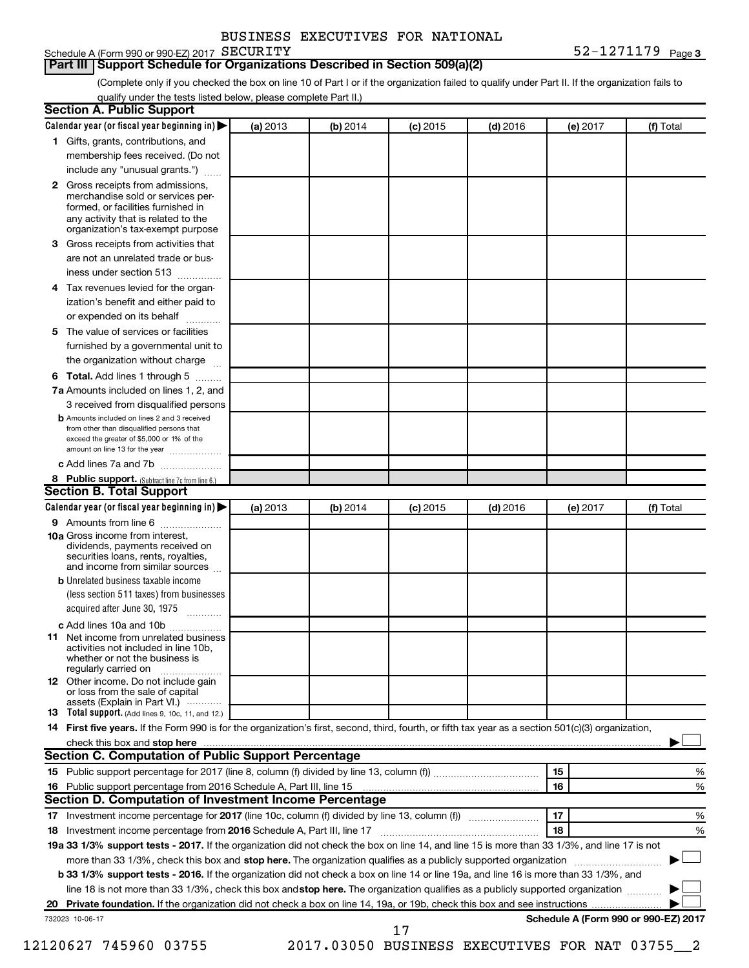| BUSINESS EXECUTIVES FOR NATIONAL |  |
|----------------------------------|--|
|                                  |  |

# Schedule A (Form 990 or 990-EZ) 2017 SECURITY

#### **Part III Support Schedule for Organizations Described in Section 509(a)(2)**

(Complete only if you checked the box on line 10 of Part I or if the organization failed to qualify under Part II. If the organization fails to qualify under the tests listed below, please complete Part II.)

|    | <b>Section A. Public Support</b>                                                                                                                                                                |          |          |            |            |          |                                      |
|----|-------------------------------------------------------------------------------------------------------------------------------------------------------------------------------------------------|----------|----------|------------|------------|----------|--------------------------------------|
|    | Calendar year (or fiscal year beginning in)                                                                                                                                                     | (a) 2013 | (b) 2014 | (c) 2015   | $(d)$ 2016 | (e) 2017 | (f) Total                            |
|    | 1 Gifts, grants, contributions, and                                                                                                                                                             |          |          |            |            |          |                                      |
|    | membership fees received. (Do not                                                                                                                                                               |          |          |            |            |          |                                      |
|    | include any "unusual grants.")                                                                                                                                                                  |          |          |            |            |          |                                      |
|    | <b>2</b> Gross receipts from admissions,<br>merchandise sold or services per-<br>formed, or facilities furnished in<br>any activity that is related to the<br>organization's tax-exempt purpose |          |          |            |            |          |                                      |
|    | 3 Gross receipts from activities that                                                                                                                                                           |          |          |            |            |          |                                      |
|    | are not an unrelated trade or bus-                                                                                                                                                              |          |          |            |            |          |                                      |
|    | iness under section 513                                                                                                                                                                         |          |          |            |            |          |                                      |
|    | 4 Tax revenues levied for the organ-                                                                                                                                                            |          |          |            |            |          |                                      |
|    | ization's benefit and either paid to                                                                                                                                                            |          |          |            |            |          |                                      |
|    | or expended on its behalf                                                                                                                                                                       |          |          |            |            |          |                                      |
|    | 5 The value of services or facilities                                                                                                                                                           |          |          |            |            |          |                                      |
|    | furnished by a governmental unit to                                                                                                                                                             |          |          |            |            |          |                                      |
|    | the organization without charge                                                                                                                                                                 |          |          |            |            |          |                                      |
|    | <b>6 Total.</b> Add lines 1 through 5                                                                                                                                                           |          |          |            |            |          |                                      |
|    | 7a Amounts included on lines 1, 2, and                                                                                                                                                          |          |          |            |            |          |                                      |
|    | 3 received from disqualified persons                                                                                                                                                            |          |          |            |            |          |                                      |
|    | <b>b</b> Amounts included on lines 2 and 3 received<br>from other than disqualified persons that<br>exceed the greater of \$5,000 or 1% of the<br>amount on line 13 for the year                |          |          |            |            |          |                                      |
|    | c Add lines 7a and 7b                                                                                                                                                                           |          |          |            |            |          |                                      |
|    | 8 Public support. (Subtract line 7c from line 6.)                                                                                                                                               |          |          |            |            |          |                                      |
|    | <b>Section B. Total Support</b>                                                                                                                                                                 |          |          |            |            |          |                                      |
|    | Calendar year (or fiscal year beginning in)                                                                                                                                                     | (a) 2013 | (b) 2014 | $(c)$ 2015 | $(d)$ 2016 | (e) 2017 | (f) Total                            |
|    | 9 Amounts from line 6                                                                                                                                                                           |          |          |            |            |          |                                      |
|    | <b>10a</b> Gross income from interest,<br>dividends, payments received on<br>securities loans, rents, royalties,<br>and income from similar sources                                             |          |          |            |            |          |                                      |
|    | <b>b</b> Unrelated business taxable income                                                                                                                                                      |          |          |            |            |          |                                      |
|    | (less section 511 taxes) from businesses                                                                                                                                                        |          |          |            |            |          |                                      |
|    | acquired after June 30, 1975                                                                                                                                                                    |          |          |            |            |          |                                      |
|    | c Add lines 10a and 10b                                                                                                                                                                         |          |          |            |            |          |                                      |
|    | <b>11</b> Net income from unrelated business<br>activities not included in line 10b.<br>whether or not the business is<br>regularly carried on                                                  |          |          |            |            |          |                                      |
|    | 12 Other income. Do not include gain<br>or loss from the sale of capital<br>assets (Explain in Part VI.)                                                                                        |          |          |            |            |          |                                      |
|    | <b>13</b> Total support. (Add lines 9, 10c, 11, and 12.)                                                                                                                                        |          |          |            |            |          |                                      |
|    | 14 First five years. If the Form 990 is for the organization's first, second, third, fourth, or fifth tax year as a section 501(c)(3) organization,                                             |          |          |            |            |          |                                      |
|    |                                                                                                                                                                                                 |          |          |            |            |          |                                      |
|    | Section C. Computation of Public Support Percentage                                                                                                                                             |          |          |            |            |          |                                      |
|    |                                                                                                                                                                                                 |          |          |            |            | 15       | %                                    |
|    |                                                                                                                                                                                                 |          |          |            |            | 16       | %                                    |
|    | Section D. Computation of Investment Income Percentage                                                                                                                                          |          |          |            |            |          |                                      |
|    |                                                                                                                                                                                                 |          |          |            |            | 17       | %                                    |
|    | 18 Investment income percentage from 2016 Schedule A, Part III, line 17                                                                                                                         |          |          |            |            | 18       | %                                    |
|    | 19a 33 1/3% support tests - 2017. If the organization did not check the box on line 14, and line 15 is more than 33 1/3%, and line 17 is not                                                    |          |          |            |            |          |                                      |
|    | more than 33 1/3%, check this box and stop here. The organization qualifies as a publicly supported organization                                                                                |          |          |            |            |          |                                      |
|    | b 33 1/3% support tests - 2016. If the organization did not check a box on line 14 or line 19a, and line 16 is more than 33 1/3%, and                                                           |          |          |            |            |          |                                      |
|    | line 18 is not more than 33 1/3%, check this box and stop here. The organization qualifies as a publicly supported organization                                                                 |          |          |            |            |          |                                      |
| 20 |                                                                                                                                                                                                 |          |          |            |            |          |                                      |
|    | 732023 10-06-17                                                                                                                                                                                 |          |          | 17         |            |          | Schedule A (Form 990 or 990-EZ) 2017 |

12120627 745960 03755 2017.03050 BUSINESS EXECUTIVES FOR NAT 03755\_\_2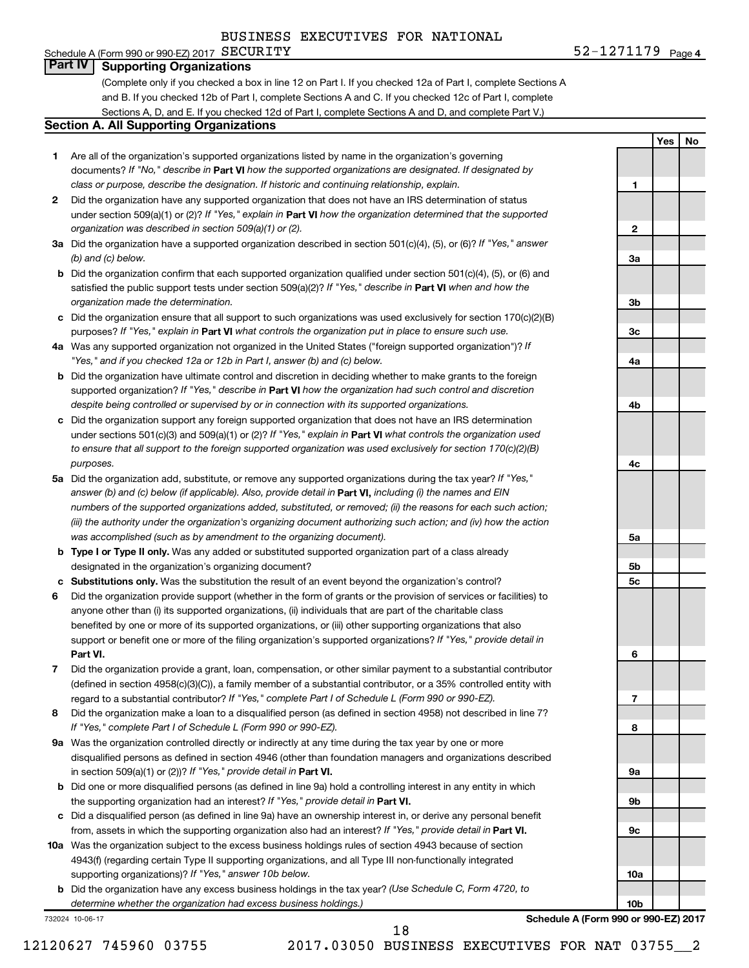#### **4** 52-1271179 Page 4 Schedule A (Form 990 or 990-EZ) 2017  ${\tt SECURITY}$ **Part IV Supporting Organizations**

(Complete only if you checked a box in line 12 on Part I. If you checked 12a of Part I, complete Sections A and B. If you checked 12b of Part I, complete Sections A and C. If you checked 12c of Part I, complete Sections A, D, and E. If you checked 12d of Part I, complete Sections A and D, and complete Part V.)

#### **Section A. All Supporting Organizations**

- **1** Are all of the organization's supported organizations listed by name in the organization's governing documents? If "No," describe in Part VI how the supported organizations are designated. If designated by *class or purpose, describe the designation. If historic and continuing relationship, explain.*
- **2** Did the organization have any supported organization that does not have an IRS determination of status under section 509(a)(1) or (2)? If "Yes," explain in Part **VI** how the organization determined that the supported *organization was described in section 509(a)(1) or (2).*
- **3a** Did the organization have a supported organization described in section 501(c)(4), (5), or (6)? If "Yes," answer *(b) and (c) below.*
- **b** Did the organization confirm that each supported organization qualified under section 501(c)(4), (5), or (6) and satisfied the public support tests under section 509(a)(2)? If "Yes," describe in Part VI when and how the *organization made the determination.*
- **c** Did the organization ensure that all support to such organizations was used exclusively for section 170(c)(2)(B) purposes? If "Yes," explain in Part VI what controls the organization put in place to ensure such use.
- **4 a** *If* Was any supported organization not organized in the United States ("foreign supported organization")? *"Yes," and if you checked 12a or 12b in Part I, answer (b) and (c) below.*
- **b** Did the organization have ultimate control and discretion in deciding whether to make grants to the foreign supported organization? If "Yes," describe in Part VI how the organization had such control and discretion *despite being controlled or supervised by or in connection with its supported organizations.*
- **c** Did the organization support any foreign supported organization that does not have an IRS determination under sections 501(c)(3) and 509(a)(1) or (2)? If "Yes," explain in Part VI what controls the organization used *to ensure that all support to the foreign supported organization was used exclusively for section 170(c)(2)(B) purposes.*
- **5a** Did the organization add, substitute, or remove any supported organizations during the tax year? If "Yes," answer (b) and (c) below (if applicable). Also, provide detail in **Part VI,** including (i) the names and EIN *numbers of the supported organizations added, substituted, or removed; (ii) the reasons for each such action; (iii) the authority under the organization's organizing document authorizing such action; and (iv) how the action was accomplished (such as by amendment to the organizing document).*
- **b** Type I or Type II only. Was any added or substituted supported organization part of a class already designated in the organization's organizing document?
- **c Substitutions only.**  Was the substitution the result of an event beyond the organization's control?
- **6** Did the organization provide support (whether in the form of grants or the provision of services or facilities) to **Part VI.** support or benefit one or more of the filing organization's supported organizations? If "Yes," provide detail in anyone other than (i) its supported organizations, (ii) individuals that are part of the charitable class benefited by one or more of its supported organizations, or (iii) other supporting organizations that also
- **7** Did the organization provide a grant, loan, compensation, or other similar payment to a substantial contributor regard to a substantial contributor? If "Yes," complete Part I of Schedule L (Form 990 or 990-EZ). (defined in section 4958(c)(3)(C)), a family member of a substantial contributor, or a 35% controlled entity with
- **8** Did the organization make a loan to a disqualified person (as defined in section 4958) not described in line 7? *If "Yes," complete Part I of Schedule L (Form 990 or 990-EZ).*
- **9 a** Was the organization controlled directly or indirectly at any time during the tax year by one or more in section 509(a)(1) or (2))? If "Yes," provide detail in **Part VI.** disqualified persons as defined in section 4946 (other than foundation managers and organizations described
- **b** Did one or more disqualified persons (as defined in line 9a) hold a controlling interest in any entity in which the supporting organization had an interest? If "Yes," provide detail in Part VI.
- **c** Did a disqualified person (as defined in line 9a) have an ownership interest in, or derive any personal benefit from, assets in which the supporting organization also had an interest? If "Yes," provide detail in Part VI.
- **10 a** Was the organization subject to the excess business holdings rules of section 4943 because of section supporting organizations)? If "Yes," answer 10b below. 4943(f) (regarding certain Type II supporting organizations, and all Type III non-functionally integrated
	- **b** Did the organization have any excess business holdings in the tax year? (Use Schedule C, Form 4720, to *determine whether the organization had excess business holdings.)*

732024 10-06-17

**10a 10b Schedule A (Form 990 or 990-EZ) 2017**

**Yes No**

**1**

**2**

**3a**

**3b**

**3c**

**4a**

**4b**

**4c**

**5a**

**5b 5c**

**6**

**7**

**8**

**9a**

**9b**

**9c**

18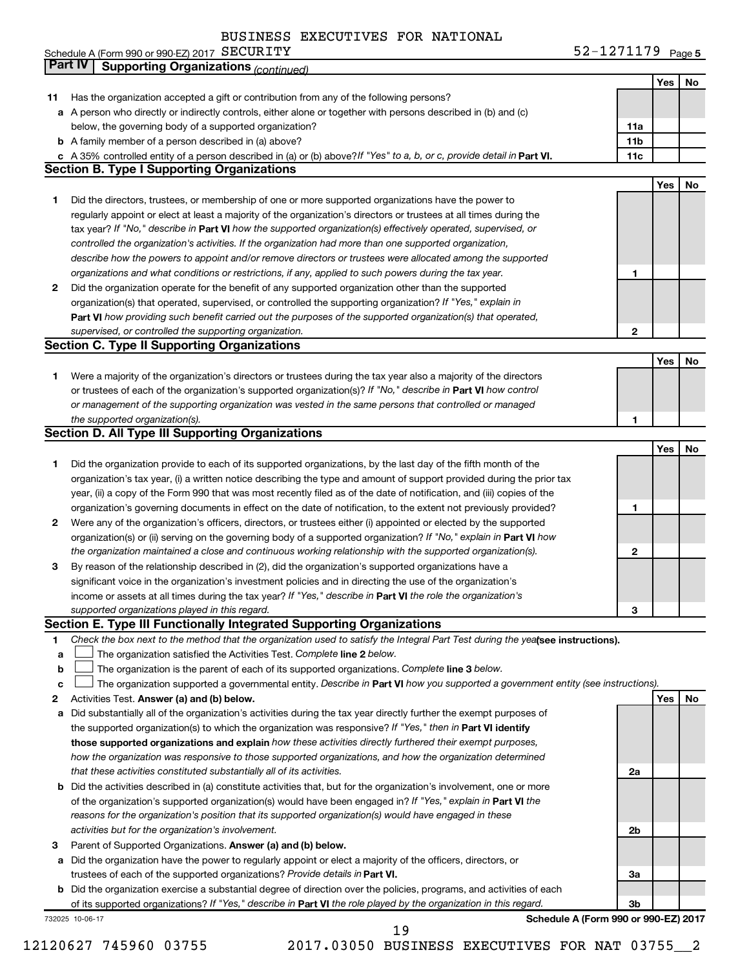# BURCUPTURE DOR NIAMIONAL

|    | BUSINESS EXECUTIVES FOR NATIONAL                                                                                                                                         | 52-1271179 Page 5 |     |    |
|----|--------------------------------------------------------------------------------------------------------------------------------------------------------------------------|-------------------|-----|----|
|    | Schedule A (Form 990 or 990-EZ) 2017 SECURITY<br><b>Part IV</b>                                                                                                          |                   |     |    |
|    | <b>Supporting Organizations (continued)</b>                                                                                                                              |                   |     |    |
|    |                                                                                                                                                                          |                   | Yes | No |
| 11 | Has the organization accepted a gift or contribution from any of the following persons?                                                                                  |                   |     |    |
|    | a A person who directly or indirectly controls, either alone or together with persons described in (b) and (c)<br>below, the governing body of a supported organization? | 11a               |     |    |
|    | <b>b</b> A family member of a person described in (a) above?                                                                                                             | 11b               |     |    |
|    | c A 35% controlled entity of a person described in (a) or (b) above? If "Yes" to a, b, or c, provide detail in Part VI.                                                  | 11c               |     |    |
|    | <b>Section B. Type I Supporting Organizations</b>                                                                                                                        |                   |     |    |
|    |                                                                                                                                                                          |                   | Yes | No |
| 1  | Did the directors, trustees, or membership of one or more supported organizations have the power to                                                                      |                   |     |    |
|    | regularly appoint or elect at least a majority of the organization's directors or trustees at all times during the                                                       |                   |     |    |
|    | tax year? If "No," describe in Part VI how the supported organization(s) effectively operated, supervised, or                                                            |                   |     |    |
|    | controlled the organization's activities. If the organization had more than one supported organization,                                                                  |                   |     |    |
|    | describe how the powers to appoint and/or remove directors or trustees were allocated among the supported                                                                |                   |     |    |
|    | organizations and what conditions or restrictions, if any, applied to such powers during the tax year.                                                                   | 1                 |     |    |
| 2  | Did the organization operate for the benefit of any supported organization other than the supported                                                                      |                   |     |    |
|    | organization(s) that operated, supervised, or controlled the supporting organization? If "Yes," explain in                                                               |                   |     |    |
|    | Part VI how providing such benefit carried out the purposes of the supported organization(s) that operated,                                                              |                   |     |    |
|    | supervised, or controlled the supporting organization.                                                                                                                   | $\mathbf 2$       |     |    |
|    | <b>Section C. Type II Supporting Organizations</b>                                                                                                                       |                   |     |    |
|    |                                                                                                                                                                          |                   | Yes | No |
| 1  | Were a majority of the organization's directors or trustees during the tax year also a majority of the directors                                                         |                   |     |    |
|    | or trustees of each of the organization's supported organization(s)? If "No," describe in Part VI how control                                                            |                   |     |    |
|    | or management of the supporting organization was vested in the same persons that controlled or managed                                                                   |                   |     |    |
|    | the supported organization(s).                                                                                                                                           | 1                 |     |    |
|    | <b>Section D. All Type III Supporting Organizations</b>                                                                                                                  |                   |     |    |
|    |                                                                                                                                                                          |                   | Yes | No |
| 1  | Did the organization provide to each of its supported organizations, by the last day of the fifth month of the                                                           |                   |     |    |
|    | organization's tax year, (i) a written notice describing the type and amount of support provided during the prior tax                                                    |                   |     |    |
|    | year, (ii) a copy of the Form 990 that was most recently filed as of the date of notification, and (iii) copies of the                                                   |                   |     |    |
|    | organization's governing documents in effect on the date of notification, to the extent not previously provided?                                                         | 1                 |     |    |
| 2  | Were any of the organization's officers, directors, or trustees either (i) appointed or elected by the supported                                                         |                   |     |    |
|    | organization(s) or (ii) serving on the governing body of a supported organization? If "No," explain in Part VI how                                                       |                   |     |    |
|    | the organization maintained a close and continuous working relationship with the supported organization(s).                                                              | 2                 |     |    |
| З  | By reason of the relationship described in (2), did the organization's supported organizations have a                                                                    |                   |     |    |
|    | significant voice in the organization's investment policies and in directing the use of the organization's                                                               |                   |     |    |
|    | income or assets at all times during the tax year? If "Yes," describe in Part VI the role the organization's                                                             |                   |     |    |
|    | supported organizations played in this regard.                                                                                                                           | 3                 |     |    |
|    | Section E. Type III Functionally Integrated Supporting Organizations                                                                                                     |                   |     |    |
| 1  | Check the box next to the method that the organization used to satisfy the Integral Part Test during the yealsee instructions).                                          |                   |     |    |
| a  | The organization satisfied the Activities Test. Complete line 2 below.                                                                                                   |                   |     |    |
| b  | The organization is the parent of each of its supported organizations. Complete line 3 below.                                                                            |                   |     |    |
| с  | The organization supported a governmental entity. Describe in Part VI how you supported a government entity (see instructions).                                          |                   |     |    |
| 2  | Activities Test. Answer (a) and (b) below.                                                                                                                               |                   | Yes | No |
| а  | Did substantially all of the organization's activities during the tax year directly further the exempt purposes of                                                       |                   |     |    |
|    | the supported organization(s) to which the organization was responsive? If "Yes," then in Part VI identify                                                               |                   |     |    |
|    | those supported organizations and explain how these activities directly furthered their exempt purposes,                                                                 |                   |     |    |
|    | how the organization was responsive to those supported organizations, and how the organization determined                                                                |                   |     |    |
|    | that these activities constituted substantially all of its activities.                                                                                                   | 2a                |     |    |
|    | b Did the activities described in (a) constitute activities that, but for the organization's involvement, one or more                                                    |                   |     |    |
|    | of the organization's supported organization(s) would have been engaged in? If "Yes," explain in Part VI the                                                             |                   |     |    |
|    | reasons for the organization's position that its supported organization(s) would have engaged in these                                                                   |                   |     |    |
|    | activities but for the organization's involvement.                                                                                                                       | 2b                |     |    |
| з  | Parent of Supported Organizations. Answer (a) and (b) below.                                                                                                             |                   |     |    |
|    | a Did the organization have the power to regularly appoint or elect a majority of the officers, directors, or                                                            |                   |     |    |
|    | trustees of each of the supported organizations? Provide details in Part VI.                                                                                             | За                |     |    |
|    | <b>b</b> Did the organization exercise a substantial degree of direction over the policies, programs, and activities of each                                             |                   |     |    |
|    | of its supported organizations? If "Yes," describe in Part VI the role played by the organization in this regard.                                                        | 3b                |     |    |
|    | Schedule A (Form 990 or 990-EZ) 2017<br>732025 10-06-17                                                                                                                  |                   |     |    |

12120627 745960 03755 2017.03050 BUSINESS EXECUTIVES FOR NAT 03755\_\_2

19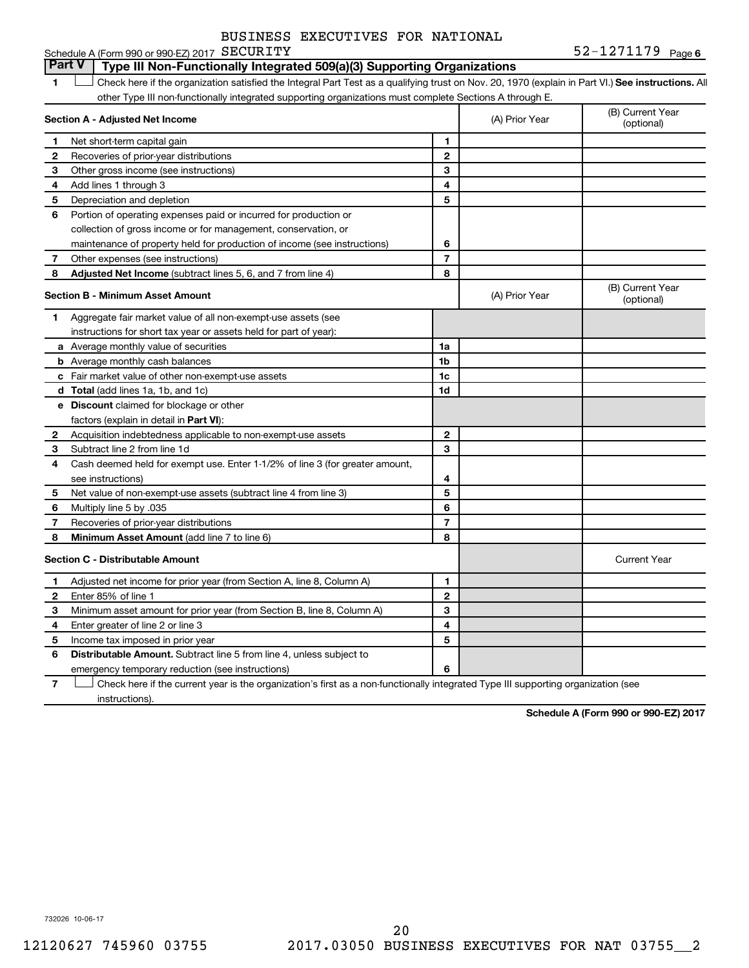**6** SECURITY **6**  $52-1271179$  Page 6 **1 Letter or if the organization satisfied the Integral Part Test as a qualifying trust on Nov. 20, 1970 (explain in Part VI.) See instructions. All Section A - Adjusted Net Income 1 2 3 4 5 6 7 8 1 2 3 4 5 6 7 Adjusted Net Income** (subtract lines 5, 6, and 7 from line 4) **8 8 Section B - Minimum Asset Amount 1 2 3 4 5 6 7 8 a** Average monthly value of securities **b** Average monthly cash balances **c** Fair market value of other non-exempt-use assets **d Total**  (add lines 1a, 1b, and 1c) **e Discount** claimed for blockage or other **1a 1b 1c 1d 2 3 4 5 6 7 8** factors (explain in detail in Part VI): **Minimum Asset Amount**  (add line 7 to line 6) **Section C - Distributable Amount 1 2 3 4 5 6 1 2 3 4 5 6** Distributable Amount. Subtract line 5 from line 4, unless subject to Schedule A (Form 990 or 990-EZ) 2017 SECURITY other Type III non-functionally integrated supporting organizations must complete Sections A through E. (B) Current Year (A) Prior Year Net short-term capital gain Recoveries of prior-year distributions Other gross income (see instructions) Add lines 1 through 3 Depreciation and depletion Portion of operating expenses paid or incurred for production or collection of gross income or for management, conservation, or maintenance of property held for production of income (see instructions) Other expenses (see instructions) (B) Current Year  $(A)$  Prior Year  $\left\{\n\begin{array}{ccc}\n\end{array}\n\right\}$  (optional) Aggregate fair market value of all non-exempt-use assets (see instructions for short tax year or assets held for part of year): Acquisition indebtedness applicable to non-exempt-use assets Subtract line 2 from line 1d Cash deemed held for exempt use. Enter 1-1/2% of line 3 (for greater amount, see instructions) Net value of non-exempt-use assets (subtract line 4 from line 3) Multiply line 5 by .035 Recoveries of prior-year distributions Current Year Adjusted net income for prior year (from Section A, line 8, Column A) Enter 85% of line 1 Minimum asset amount for prior year (from Section B, line 8, Column A) Enter greater of line 2 or line 3 Income tax imposed in prior year emergency temporary reduction (see instructions) **Part V Type III Non-Functionally Integrated 509(a)(3) Supporting Organizations**   $\Box$ 

**7** Check here if the current year is the organization's first as a non-functionally integrated Type III supporting organization (see † instructions).

**Schedule A (Form 990 or 990-EZ) 2017**

732026 10-06-17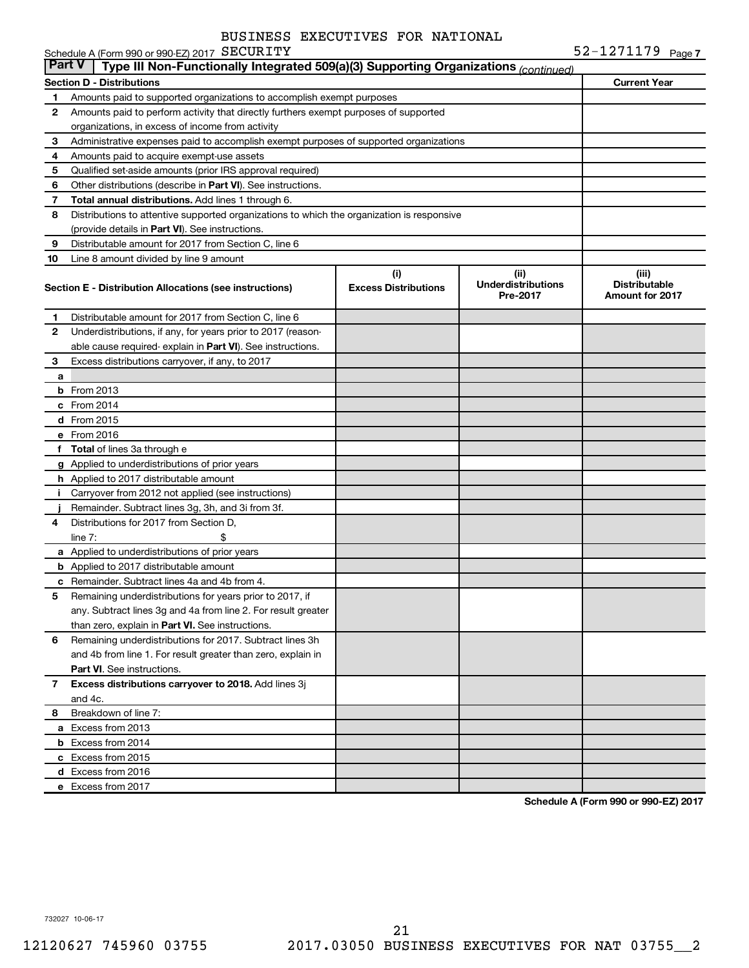|              | Schedule A (Form 990 or 990-EZ) 2017 SECURITY                                                        |                                    |                                                | 52-1271179 Page 7                                       |  |  |  |  |  |
|--------------|------------------------------------------------------------------------------------------------------|------------------------------------|------------------------------------------------|---------------------------------------------------------|--|--|--|--|--|
|              | Type III Non-Functionally Integrated 509(a)(3) Supporting Organizations (continued)<br><b>Part V</b> |                                    |                                                |                                                         |  |  |  |  |  |
|              | <b>Section D - Distributions</b>                                                                     |                                    |                                                | <b>Current Year</b>                                     |  |  |  |  |  |
| 1            | Amounts paid to supported organizations to accomplish exempt purposes                                |                                    |                                                |                                                         |  |  |  |  |  |
| 2            | Amounts paid to perform activity that directly furthers exempt purposes of supported                 |                                    |                                                |                                                         |  |  |  |  |  |
|              | organizations, in excess of income from activity                                                     |                                    |                                                |                                                         |  |  |  |  |  |
| 3            | Administrative expenses paid to accomplish exempt purposes of supported organizations                |                                    |                                                |                                                         |  |  |  |  |  |
| 4            | Amounts paid to acquire exempt-use assets                                                            |                                    |                                                |                                                         |  |  |  |  |  |
| 5            | Qualified set-aside amounts (prior IRS approval required)                                            |                                    |                                                |                                                         |  |  |  |  |  |
| 6            | Other distributions (describe in <b>Part VI</b> ). See instructions.                                 |                                    |                                                |                                                         |  |  |  |  |  |
| 7            | Total annual distributions. Add lines 1 through 6.                                                   |                                    |                                                |                                                         |  |  |  |  |  |
| 8            | Distributions to attentive supported organizations to which the organization is responsive           |                                    |                                                |                                                         |  |  |  |  |  |
|              | (provide details in Part VI). See instructions.                                                      |                                    |                                                |                                                         |  |  |  |  |  |
| 9            | Distributable amount for 2017 from Section C, line 6                                                 |                                    |                                                |                                                         |  |  |  |  |  |
| 10           | Line 8 amount divided by line 9 amount                                                               |                                    |                                                |                                                         |  |  |  |  |  |
|              | Section E - Distribution Allocations (see instructions)                                              | (i)<br><b>Excess Distributions</b> | (iii)<br><b>Underdistributions</b><br>Pre-2017 | (iii)<br><b>Distributable</b><br><b>Amount for 2017</b> |  |  |  |  |  |
| 1            | Distributable amount for 2017 from Section C, line 6                                                 |                                    |                                                |                                                         |  |  |  |  |  |
| 2            | Underdistributions, if any, for years prior to 2017 (reason-                                         |                                    |                                                |                                                         |  |  |  |  |  |
|              | able cause required- explain in <b>Part VI</b> ). See instructions.                                  |                                    |                                                |                                                         |  |  |  |  |  |
| 3            | Excess distributions carryover, if any, to 2017                                                      |                                    |                                                |                                                         |  |  |  |  |  |
| a            |                                                                                                      |                                    |                                                |                                                         |  |  |  |  |  |
|              | <b>b</b> From 2013                                                                                   |                                    |                                                |                                                         |  |  |  |  |  |
|              | $c$ From 2014                                                                                        |                                    |                                                |                                                         |  |  |  |  |  |
|              | d From 2015                                                                                          |                                    |                                                |                                                         |  |  |  |  |  |
|              | e From 2016                                                                                          |                                    |                                                |                                                         |  |  |  |  |  |
|              | f Total of lines 3a through e                                                                        |                                    |                                                |                                                         |  |  |  |  |  |
|              | g Applied to underdistributions of prior years                                                       |                                    |                                                |                                                         |  |  |  |  |  |
|              | <b>h</b> Applied to 2017 distributable amount                                                        |                                    |                                                |                                                         |  |  |  |  |  |
| Ť.           | Carryover from 2012 not applied (see instructions)                                                   |                                    |                                                |                                                         |  |  |  |  |  |
|              | Remainder. Subtract lines 3g, 3h, and 3i from 3f.                                                    |                                    |                                                |                                                         |  |  |  |  |  |
| 4            | Distributions for 2017 from Section D,                                                               |                                    |                                                |                                                         |  |  |  |  |  |
|              | \$<br>$line 7$ :                                                                                     |                                    |                                                |                                                         |  |  |  |  |  |
|              | a Applied to underdistributions of prior years                                                       |                                    |                                                |                                                         |  |  |  |  |  |
|              | <b>b</b> Applied to 2017 distributable amount                                                        |                                    |                                                |                                                         |  |  |  |  |  |
|              | <b>c</b> Remainder. Subtract lines 4a and 4b from 4.                                                 |                                    |                                                |                                                         |  |  |  |  |  |
| 5            | Remaining underdistributions for years prior to 2017, if                                             |                                    |                                                |                                                         |  |  |  |  |  |
|              | any. Subtract lines 3g and 4a from line 2. For result greater                                        |                                    |                                                |                                                         |  |  |  |  |  |
|              | than zero, explain in Part VI. See instructions.                                                     |                                    |                                                |                                                         |  |  |  |  |  |
| 6            | Remaining underdistributions for 2017. Subtract lines 3h                                             |                                    |                                                |                                                         |  |  |  |  |  |
|              | and 4b from line 1. For result greater than zero, explain in                                         |                                    |                                                |                                                         |  |  |  |  |  |
|              | <b>Part VI.</b> See instructions.                                                                    |                                    |                                                |                                                         |  |  |  |  |  |
| $\mathbf{7}$ | Excess distributions carryover to 2018. Add lines 3j                                                 |                                    |                                                |                                                         |  |  |  |  |  |
|              | and 4c.                                                                                              |                                    |                                                |                                                         |  |  |  |  |  |
| 8            | Breakdown of line 7:                                                                                 |                                    |                                                |                                                         |  |  |  |  |  |
|              | a Excess from 2013                                                                                   |                                    |                                                |                                                         |  |  |  |  |  |
|              | <b>b</b> Excess from 2014                                                                            |                                    |                                                |                                                         |  |  |  |  |  |
|              | c Excess from 2015                                                                                   |                                    |                                                |                                                         |  |  |  |  |  |
|              | d Excess from 2016                                                                                   |                                    |                                                |                                                         |  |  |  |  |  |
|              |                                                                                                      |                                    |                                                |                                                         |  |  |  |  |  |
|              | e Excess from 2017                                                                                   |                                    |                                                |                                                         |  |  |  |  |  |

**Schedule A (Form 990 or 990-EZ) 2017**

732027 10-06-17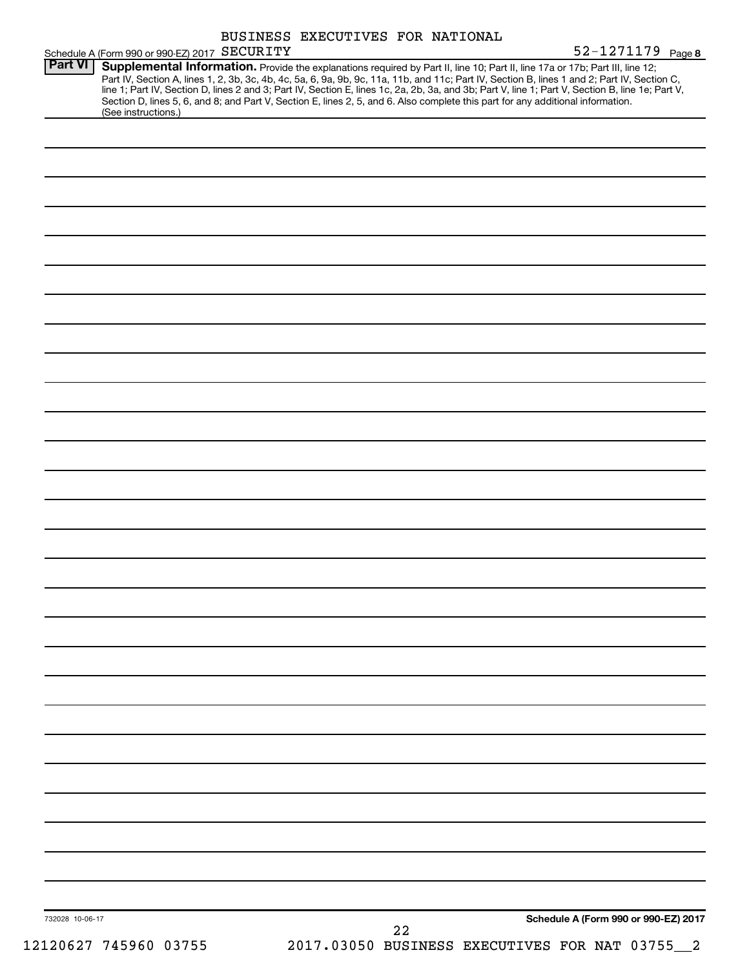|                 |                                                                                                                                                                                                                                                                                                                                                                                                                                                                                                                                                                                             | BUSINESS EXECUTIVES FOR NATIONAL |    |                                      |  |
|-----------------|---------------------------------------------------------------------------------------------------------------------------------------------------------------------------------------------------------------------------------------------------------------------------------------------------------------------------------------------------------------------------------------------------------------------------------------------------------------------------------------------------------------------------------------------------------------------------------------------|----------------------------------|----|--------------------------------------|--|
| <b>Part VI</b>  | Schedule A (Form 990 or 990-EZ) 2017 SECURITY                                                                                                                                                                                                                                                                                                                                                                                                                                                                                                                                               |                                  |    | 52-1271179 Page 8                    |  |
|                 | Supplemental Information. Provide the explanations required by Part II, line 10; Part II, line 17a or 17b; Part III, line 12;<br>Part IV, Section A, lines 1, 2, 3b, 3c, 4b, 4c, 5a, 6, 9a, 9b, 9c, 11a, 11b, and 11c; Part IV, Section B, lines 1 and 2; Part IV, Section C,<br>line 1; Part IV, Section D, lines 2 and 3; Part IV, Section E, lines 1c, 2a, 2b, 3a, and 3b; Part V, line 1; Part V, Section B, line 1e; Part V,<br>Section D, lines 5, 6, and 8; and Part V, Section E, lines 2, 5, and 6. Also complete this part for any additional information.<br>(See instructions.) |                                  |    |                                      |  |
|                 |                                                                                                                                                                                                                                                                                                                                                                                                                                                                                                                                                                                             |                                  |    |                                      |  |
|                 |                                                                                                                                                                                                                                                                                                                                                                                                                                                                                                                                                                                             |                                  |    |                                      |  |
|                 |                                                                                                                                                                                                                                                                                                                                                                                                                                                                                                                                                                                             |                                  |    |                                      |  |
|                 |                                                                                                                                                                                                                                                                                                                                                                                                                                                                                                                                                                                             |                                  |    |                                      |  |
|                 |                                                                                                                                                                                                                                                                                                                                                                                                                                                                                                                                                                                             |                                  |    |                                      |  |
|                 |                                                                                                                                                                                                                                                                                                                                                                                                                                                                                                                                                                                             |                                  |    |                                      |  |
|                 |                                                                                                                                                                                                                                                                                                                                                                                                                                                                                                                                                                                             |                                  |    |                                      |  |
|                 |                                                                                                                                                                                                                                                                                                                                                                                                                                                                                                                                                                                             |                                  |    |                                      |  |
|                 |                                                                                                                                                                                                                                                                                                                                                                                                                                                                                                                                                                                             |                                  |    |                                      |  |
|                 |                                                                                                                                                                                                                                                                                                                                                                                                                                                                                                                                                                                             |                                  |    |                                      |  |
|                 |                                                                                                                                                                                                                                                                                                                                                                                                                                                                                                                                                                                             |                                  |    |                                      |  |
|                 |                                                                                                                                                                                                                                                                                                                                                                                                                                                                                                                                                                                             |                                  |    |                                      |  |
|                 |                                                                                                                                                                                                                                                                                                                                                                                                                                                                                                                                                                                             |                                  |    |                                      |  |
|                 |                                                                                                                                                                                                                                                                                                                                                                                                                                                                                                                                                                                             |                                  |    |                                      |  |
|                 |                                                                                                                                                                                                                                                                                                                                                                                                                                                                                                                                                                                             |                                  |    |                                      |  |
|                 |                                                                                                                                                                                                                                                                                                                                                                                                                                                                                                                                                                                             |                                  |    |                                      |  |
|                 |                                                                                                                                                                                                                                                                                                                                                                                                                                                                                                                                                                                             |                                  |    |                                      |  |
|                 |                                                                                                                                                                                                                                                                                                                                                                                                                                                                                                                                                                                             |                                  |    |                                      |  |
|                 |                                                                                                                                                                                                                                                                                                                                                                                                                                                                                                                                                                                             |                                  |    |                                      |  |
|                 |                                                                                                                                                                                                                                                                                                                                                                                                                                                                                                                                                                                             |                                  |    |                                      |  |
|                 |                                                                                                                                                                                                                                                                                                                                                                                                                                                                                                                                                                                             |                                  |    |                                      |  |
|                 |                                                                                                                                                                                                                                                                                                                                                                                                                                                                                                                                                                                             |                                  |    |                                      |  |
|                 |                                                                                                                                                                                                                                                                                                                                                                                                                                                                                                                                                                                             |                                  |    |                                      |  |
|                 |                                                                                                                                                                                                                                                                                                                                                                                                                                                                                                                                                                                             |                                  |    |                                      |  |
|                 |                                                                                                                                                                                                                                                                                                                                                                                                                                                                                                                                                                                             |                                  |    |                                      |  |
|                 |                                                                                                                                                                                                                                                                                                                                                                                                                                                                                                                                                                                             |                                  |    |                                      |  |
|                 |                                                                                                                                                                                                                                                                                                                                                                                                                                                                                                                                                                                             |                                  |    |                                      |  |
|                 |                                                                                                                                                                                                                                                                                                                                                                                                                                                                                                                                                                                             |                                  |    |                                      |  |
|                 |                                                                                                                                                                                                                                                                                                                                                                                                                                                                                                                                                                                             |                                  |    |                                      |  |
|                 |                                                                                                                                                                                                                                                                                                                                                                                                                                                                                                                                                                                             |                                  |    |                                      |  |
|                 |                                                                                                                                                                                                                                                                                                                                                                                                                                                                                                                                                                                             |                                  |    |                                      |  |
| 732028 10-06-17 |                                                                                                                                                                                                                                                                                                                                                                                                                                                                                                                                                                                             |                                  | 22 | Schedule A (Form 990 or 990-EZ) 2017 |  |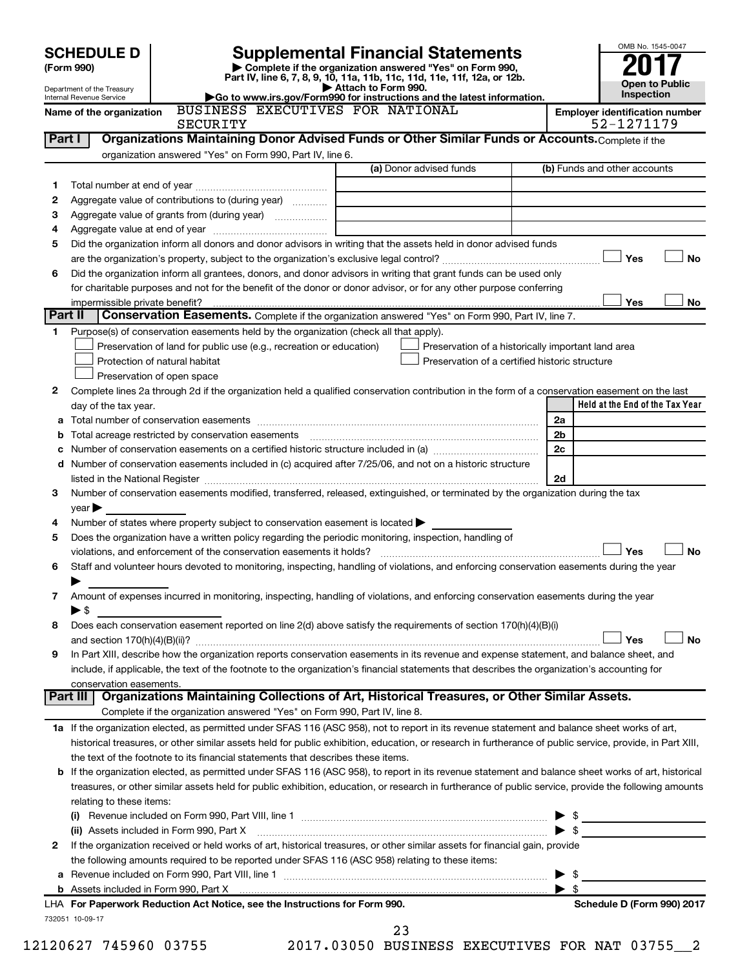|         |                                                                                                                                         |                                                                                                        |                                                                                                                                                                                                                                                                                                            | OMB No. 1545-0047                                   |  |  |  |  |  |
|---------|-----------------------------------------------------------------------------------------------------------------------------------------|--------------------------------------------------------------------------------------------------------|------------------------------------------------------------------------------------------------------------------------------------------------------------------------------------------------------------------------------------------------------------------------------------------------------------|-----------------------------------------------------|--|--|--|--|--|
|         | <b>Supplemental Financial Statements</b><br><b>SCHEDULE D</b><br>Complete if the organization answered "Yes" on Form 990,<br>(Form 990) |                                                                                                        |                                                                                                                                                                                                                                                                                                            |                                                     |  |  |  |  |  |
|         |                                                                                                                                         |                                                                                                        |                                                                                                                                                                                                                                                                                                            |                                                     |  |  |  |  |  |
|         | Department of the Treasury<br>Internal Revenue Service                                                                                  |                                                                                                        | Attach to Form 990.<br>Go to www.irs.gov/Form990 for instructions and the latest information.                                                                                                                                                                                                              | <b>Open to Public</b><br>Inspection                 |  |  |  |  |  |
|         | Name of the organization                                                                                                                | BUSINESS EXECUTIVES FOR NATIONAL<br><b>SECURITY</b>                                                    |                                                                                                                                                                                                                                                                                                            | <b>Employer identification number</b><br>52-1271179 |  |  |  |  |  |
| Part I  |                                                                                                                                         |                                                                                                        | Organizations Maintaining Donor Advised Funds or Other Similar Funds or Accounts. Complete if the                                                                                                                                                                                                          |                                                     |  |  |  |  |  |
|         |                                                                                                                                         | organization answered "Yes" on Form 990, Part IV, line 6.                                              |                                                                                                                                                                                                                                                                                                            |                                                     |  |  |  |  |  |
|         |                                                                                                                                         |                                                                                                        | (a) Donor advised funds                                                                                                                                                                                                                                                                                    | (b) Funds and other accounts                        |  |  |  |  |  |
| 1.      |                                                                                                                                         |                                                                                                        |                                                                                                                                                                                                                                                                                                            |                                                     |  |  |  |  |  |
| 2       |                                                                                                                                         | Aggregate value of contributions to (during year)                                                      |                                                                                                                                                                                                                                                                                                            |                                                     |  |  |  |  |  |
| 3       |                                                                                                                                         | Aggregate value of grants from (during year)                                                           |                                                                                                                                                                                                                                                                                                            |                                                     |  |  |  |  |  |
| 4       |                                                                                                                                         |                                                                                                        |                                                                                                                                                                                                                                                                                                            |                                                     |  |  |  |  |  |
| 5       |                                                                                                                                         |                                                                                                        | Did the organization inform all donors and donor advisors in writing that the assets held in donor advised funds                                                                                                                                                                                           |                                                     |  |  |  |  |  |
|         |                                                                                                                                         |                                                                                                        |                                                                                                                                                                                                                                                                                                            | Yes<br>No                                           |  |  |  |  |  |
| 6       |                                                                                                                                         |                                                                                                        | Did the organization inform all grantees, donors, and donor advisors in writing that grant funds can be used only                                                                                                                                                                                          |                                                     |  |  |  |  |  |
|         |                                                                                                                                         |                                                                                                        | for charitable purposes and not for the benefit of the donor or donor advisor, or for any other purpose conferring                                                                                                                                                                                         |                                                     |  |  |  |  |  |
|         | impermissible private benefit?                                                                                                          |                                                                                                        |                                                                                                                                                                                                                                                                                                            | Yes<br>No                                           |  |  |  |  |  |
| Part II |                                                                                                                                         |                                                                                                        | Conservation Easements. Complete if the organization answered "Yes" on Form 990, Part IV, line 7.                                                                                                                                                                                                          |                                                     |  |  |  |  |  |
| 1.      |                                                                                                                                         | Purpose(s) of conservation easements held by the organization (check all that apply).                  |                                                                                                                                                                                                                                                                                                            |                                                     |  |  |  |  |  |
|         |                                                                                                                                         | Preservation of land for public use (e.g., recreation or education)                                    | Preservation of a historically important land area                                                                                                                                                                                                                                                         |                                                     |  |  |  |  |  |
|         |                                                                                                                                         | Protection of natural habitat                                                                          | Preservation of a certified historic structure                                                                                                                                                                                                                                                             |                                                     |  |  |  |  |  |
|         |                                                                                                                                         | Preservation of open space                                                                             |                                                                                                                                                                                                                                                                                                            |                                                     |  |  |  |  |  |
| 2       |                                                                                                                                         |                                                                                                        | Complete lines 2a through 2d if the organization held a qualified conservation contribution in the form of a conservation easement on the last                                                                                                                                                             | Held at the End of the Tax Year                     |  |  |  |  |  |
|         | day of the tax year.                                                                                                                    |                                                                                                        |                                                                                                                                                                                                                                                                                                            | 2a                                                  |  |  |  |  |  |
| b       |                                                                                                                                         | Total acreage restricted by conservation easements                                                     |                                                                                                                                                                                                                                                                                                            | 2 <sub>b</sub>                                      |  |  |  |  |  |
| с       |                                                                                                                                         |                                                                                                        |                                                                                                                                                                                                                                                                                                            | 2c                                                  |  |  |  |  |  |
| d       |                                                                                                                                         |                                                                                                        | Number of conservation easements included in (c) acquired after 7/25/06, and not on a historic structure                                                                                                                                                                                                   |                                                     |  |  |  |  |  |
|         |                                                                                                                                         |                                                                                                        | listed in the National Register [111] Marshall Register [11] Marshall Register [11] Marshall Register [11] Marshall Register [11] Marshall Register [11] Marshall Register [11] Marshall Register [11] Marshall Register [11]                                                                              | 2d                                                  |  |  |  |  |  |
| 3       |                                                                                                                                         |                                                                                                        | Number of conservation easements modified, transferred, released, extinguished, or terminated by the organization during the tax                                                                                                                                                                           |                                                     |  |  |  |  |  |
|         | $year \triangleright$                                                                                                                   |                                                                                                        |                                                                                                                                                                                                                                                                                                            |                                                     |  |  |  |  |  |
| 4       |                                                                                                                                         | Number of states where property subject to conservation easement is located >                          |                                                                                                                                                                                                                                                                                                            |                                                     |  |  |  |  |  |
| 5       |                                                                                                                                         | Does the organization have a written policy regarding the periodic monitoring, inspection, handling of |                                                                                                                                                                                                                                                                                                            |                                                     |  |  |  |  |  |
|         |                                                                                                                                         | violations, and enforcement of the conservation easements it holds?                                    |                                                                                                                                                                                                                                                                                                            | Yes<br>No                                           |  |  |  |  |  |
| 6       |                                                                                                                                         |                                                                                                        | Staff and volunteer hours devoted to monitoring, inspecting, handling of violations, and enforcing conservation easements during the year                                                                                                                                                                  |                                                     |  |  |  |  |  |
|         |                                                                                                                                         |                                                                                                        |                                                                                                                                                                                                                                                                                                            |                                                     |  |  |  |  |  |
| 7       |                                                                                                                                         |                                                                                                        | Amount of expenses incurred in monitoring, inspecting, handling of violations, and enforcing conservation easements during the year                                                                                                                                                                        |                                                     |  |  |  |  |  |
|         | $\blacktriangleright$ \$                                                                                                                |                                                                                                        |                                                                                                                                                                                                                                                                                                            |                                                     |  |  |  |  |  |
| 8       |                                                                                                                                         |                                                                                                        | Does each conservation easement reported on line 2(d) above satisfy the requirements of section 170(h)(4)(B)(i)                                                                                                                                                                                            |                                                     |  |  |  |  |  |
|         |                                                                                                                                         |                                                                                                        |                                                                                                                                                                                                                                                                                                            | Yes<br><b>No</b>                                    |  |  |  |  |  |
| 9       |                                                                                                                                         |                                                                                                        | In Part XIII, describe how the organization reports conservation easements in its revenue and expense statement, and balance sheet, and                                                                                                                                                                    |                                                     |  |  |  |  |  |
|         |                                                                                                                                         |                                                                                                        | include, if applicable, the text of the footnote to the organization's financial statements that describes the organization's accounting for                                                                                                                                                               |                                                     |  |  |  |  |  |
|         | conservation easements.<br>Part III                                                                                                     |                                                                                                        | Organizations Maintaining Collections of Art, Historical Treasures, or Other Similar Assets.                                                                                                                                                                                                               |                                                     |  |  |  |  |  |
|         |                                                                                                                                         | Complete if the organization answered "Yes" on Form 990, Part IV, line 8.                              |                                                                                                                                                                                                                                                                                                            |                                                     |  |  |  |  |  |
|         |                                                                                                                                         |                                                                                                        |                                                                                                                                                                                                                                                                                                            |                                                     |  |  |  |  |  |
|         |                                                                                                                                         |                                                                                                        | 1a If the organization elected, as permitted under SFAS 116 (ASC 958), not to report in its revenue statement and balance sheet works of art,<br>historical treasures, or other similar assets held for public exhibition, education, or research in furtherance of public service, provide, in Part XIII, |                                                     |  |  |  |  |  |
|         |                                                                                                                                         | the text of the footnote to its financial statements that describes these items.                       |                                                                                                                                                                                                                                                                                                            |                                                     |  |  |  |  |  |
| b       |                                                                                                                                         |                                                                                                        | If the organization elected, as permitted under SFAS 116 (ASC 958), to report in its revenue statement and balance sheet works of art, historical                                                                                                                                                          |                                                     |  |  |  |  |  |
|         |                                                                                                                                         |                                                                                                        | treasures, or other similar assets held for public exhibition, education, or research in furtherance of public service, provide the following amounts                                                                                                                                                      |                                                     |  |  |  |  |  |
|         | relating to these items:                                                                                                                |                                                                                                        |                                                                                                                                                                                                                                                                                                            |                                                     |  |  |  |  |  |
|         |                                                                                                                                         |                                                                                                        |                                                                                                                                                                                                                                                                                                            |                                                     |  |  |  |  |  |
|         |                                                                                                                                         | (ii) Assets included in Form 990, Part X                                                               |                                                                                                                                                                                                                                                                                                            | $\blacktriangleright$ \$                            |  |  |  |  |  |
| 2       |                                                                                                                                         |                                                                                                        | If the organization received or held works of art, historical treasures, or other similar assets for financial gain, provide                                                                                                                                                                               |                                                     |  |  |  |  |  |
|         |                                                                                                                                         | the following amounts required to be reported under SFAS 116 (ASC 958) relating to these items:        |                                                                                                                                                                                                                                                                                                            |                                                     |  |  |  |  |  |
| а       |                                                                                                                                         |                                                                                                        |                                                                                                                                                                                                                                                                                                            | - \$<br>▶                                           |  |  |  |  |  |
|         |                                                                                                                                         |                                                                                                        |                                                                                                                                                                                                                                                                                                            | $\blacktriangleright$ s                             |  |  |  |  |  |
|         |                                                                                                                                         | LHA For Paperwork Reduction Act Notice, see the Instructions for Form 990.                             |                                                                                                                                                                                                                                                                                                            | Schedule D (Form 990) 2017                          |  |  |  |  |  |

732051 10-09-17

12120627 745960 03755 2017.03050 BUSINESS EXECUTIVES FOR NAT 03755\_\_2 23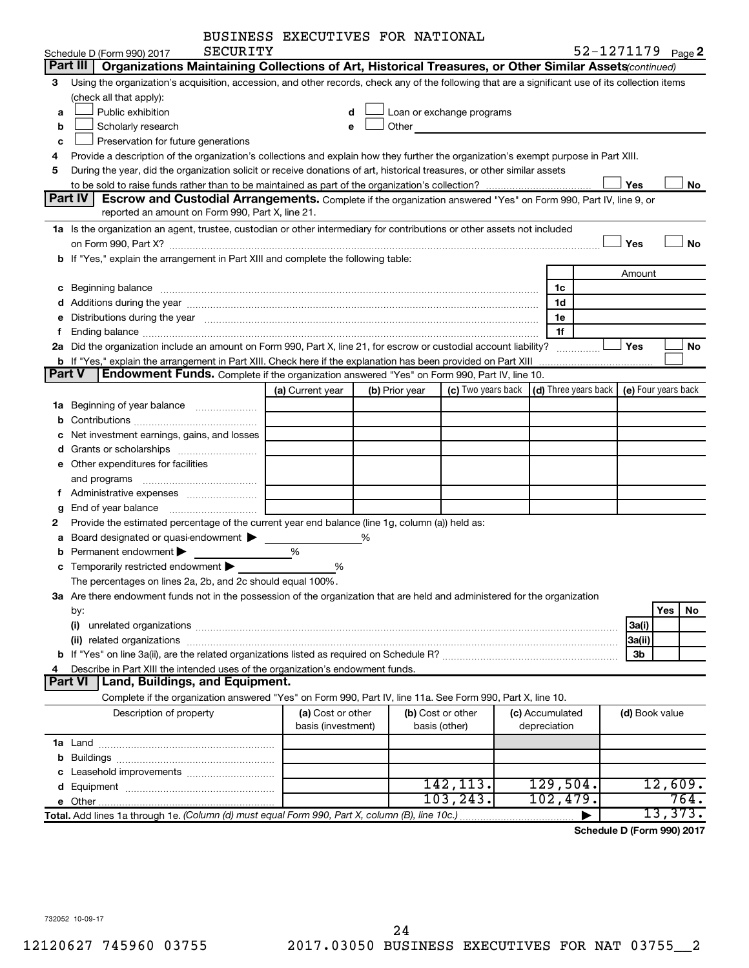| BUSINESS EXECUTIVES FOR NATIONAL |  |
|----------------------------------|--|
|                                  |  |

|        | <b>SECURITY</b><br>Schedule D (Form 990) 2017                                                                                                                                                                                  | EXPLOITIVED TOR NAIIONA |                |                                                                                                                       |                                                         |                | 52-1271179 Page 2   |
|--------|--------------------------------------------------------------------------------------------------------------------------------------------------------------------------------------------------------------------------------|-------------------------|----------------|-----------------------------------------------------------------------------------------------------------------------|---------------------------------------------------------|----------------|---------------------|
|        | Part III<br>Organizations Maintaining Collections of Art, Historical Treasures, or Other Similar Assets (continued)                                                                                                            |                         |                |                                                                                                                       |                                                         |                |                     |
| 3      | Using the organization's acquisition, accession, and other records, check any of the following that are a significant use of its collection items                                                                              |                         |                |                                                                                                                       |                                                         |                |                     |
|        | (check all that apply):                                                                                                                                                                                                        |                         |                |                                                                                                                       |                                                         |                |                     |
| a      | Public exhibition                                                                                                                                                                                                              | d                       |                | Loan or exchange programs                                                                                             |                                                         |                |                     |
| b      | Scholarly research                                                                                                                                                                                                             | e                       | Other          | <u> 1989 - Johann Harry Barn, mars and de Branch and de Branch and de Branch and de Branch and de Branch and de B</u> |                                                         |                |                     |
| c      | Preservation for future generations                                                                                                                                                                                            |                         |                |                                                                                                                       |                                                         |                |                     |
| 4      | Provide a description of the organization's collections and explain how they further the organization's exempt purpose in Part XIII.                                                                                           |                         |                |                                                                                                                       |                                                         |                |                     |
| 5      | During the year, did the organization solicit or receive donations of art, historical treasures, or other similar assets                                                                                                       |                         |                |                                                                                                                       |                                                         |                |                     |
|        |                                                                                                                                                                                                                                |                         |                |                                                                                                                       |                                                         | Yes            | No                  |
|        | Part IV<br>Escrow and Custodial Arrangements. Complete if the organization answered "Yes" on Form 990, Part IV, line 9, or                                                                                                     |                         |                |                                                                                                                       |                                                         |                |                     |
|        | reported an amount on Form 990, Part X, line 21.                                                                                                                                                                               |                         |                |                                                                                                                       |                                                         |                |                     |
|        | 1a Is the organization an agent, trustee, custodian or other intermediary for contributions or other assets not included                                                                                                       |                         |                |                                                                                                                       |                                                         |                |                     |
|        | on Form 990, Part X? [11] matter contracts and contracts and contracts are contracted as a form 990, Part X?                                                                                                                   |                         |                |                                                                                                                       |                                                         | Yes            | No                  |
|        | b If "Yes," explain the arrangement in Part XIII and complete the following table:                                                                                                                                             |                         |                |                                                                                                                       |                                                         |                |                     |
|        |                                                                                                                                                                                                                                |                         |                |                                                                                                                       |                                                         | Amount         |                     |
|        | c Beginning balance measurements and the contract of the contract of the contract of the contract of the contract of the contract of the contract of the contract of the contract of the contract of the contract of the contr |                         |                |                                                                                                                       | 1c                                                      |                |                     |
|        |                                                                                                                                                                                                                                |                         |                |                                                                                                                       | 1d                                                      |                |                     |
|        | Distributions during the year manufactured and an account of the year manufactured and the year manufactured and the year manufactured and the year manufactured and the year manufactured and the year manufactured and the y |                         |                |                                                                                                                       | 1e                                                      |                |                     |
| f.     | Ending balance manufactured and contract the contract of the contract of the contract of the contract of the contract of the contract of the contract of the contract of the contract of the contract of the contract of the c |                         |                |                                                                                                                       | 1f                                                      |                |                     |
|        | 2a Did the organization include an amount on Form 990, Part X, line 21, for escrow or custodial account liability?                                                                                                             |                         |                |                                                                                                                       |                                                         | Yes            | No                  |
|        | <b>b</b> If "Yes," explain the arrangement in Part XIII. Check here if the explanation has been provided on Part XIII                                                                                                          |                         |                |                                                                                                                       |                                                         |                |                     |
| Part V | <b>Endowment Funds.</b> Complete if the organization answered "Yes" on Form 990, Part IV, line 10.                                                                                                                             |                         |                |                                                                                                                       |                                                         |                |                     |
|        |                                                                                                                                                                                                                                | (a) Current year        | (b) Prior year |                                                                                                                       | (c) Two years back $\vert$ (d) Three years back $\vert$ |                | (e) Four years back |
|        | 1a Beginning of year balance                                                                                                                                                                                                   |                         |                |                                                                                                                       |                                                         |                |                     |
|        |                                                                                                                                                                                                                                |                         |                |                                                                                                                       |                                                         |                |                     |
|        | c Net investment earnings, gains, and losses                                                                                                                                                                                   |                         |                |                                                                                                                       |                                                         |                |                     |
| d      |                                                                                                                                                                                                                                |                         |                |                                                                                                                       |                                                         |                |                     |
|        | <b>e</b> Other expenditures for facilities                                                                                                                                                                                     |                         |                |                                                                                                                       |                                                         |                |                     |
|        | and programs                                                                                                                                                                                                                   |                         |                |                                                                                                                       |                                                         |                |                     |
| f.     |                                                                                                                                                                                                                                |                         |                |                                                                                                                       |                                                         |                |                     |
|        |                                                                                                                                                                                                                                |                         |                |                                                                                                                       |                                                         |                |                     |
| g<br>2 | Provide the estimated percentage of the current year end balance (line 1g, column (a)) held as:                                                                                                                                |                         |                |                                                                                                                       |                                                         |                |                     |
| a      | Board designated or quasi-endowment                                                                                                                                                                                            |                         |                |                                                                                                                       |                                                         |                |                     |
| b      | Permanent endowment                                                                                                                                                                                                            | %                       |                |                                                                                                                       |                                                         |                |                     |
|        | c Temporarily restricted endowment $\blacktriangleright$                                                                                                                                                                       | %                       |                |                                                                                                                       |                                                         |                |                     |
|        | The percentages on lines 2a, 2b, and 2c should equal 100%.                                                                                                                                                                     |                         |                |                                                                                                                       |                                                         |                |                     |
|        | 3a Are there endowment funds not in the possession of the organization that are held and administered for the organization                                                                                                     |                         |                |                                                                                                                       |                                                         |                |                     |
|        |                                                                                                                                                                                                                                |                         |                |                                                                                                                       |                                                         |                | Yes<br>No.          |
|        | by:                                                                                                                                                                                                                            |                         |                |                                                                                                                       |                                                         |                |                     |
|        | (i)                                                                                                                                                                                                                            |                         |                |                                                                                                                       |                                                         | 3a(i)          |                     |
|        |                                                                                                                                                                                                                                |                         |                |                                                                                                                       |                                                         | 3a(ii)         |                     |
|        | Describe in Part XIII the intended uses of the organization's endowment funds.                                                                                                                                                 |                         |                |                                                                                                                       |                                                         | 3b             |                     |
|        | Part VI<br>Land, Buildings, and Equipment.                                                                                                                                                                                     |                         |                |                                                                                                                       |                                                         |                |                     |
|        | Complete if the organization answered "Yes" on Form 990, Part IV, line 11a. See Form 990, Part X, line 10.                                                                                                                     |                         |                |                                                                                                                       |                                                         |                |                     |
|        | Description of property                                                                                                                                                                                                        | (a) Cost or other       |                | (b) Cost or other                                                                                                     | (c) Accumulated                                         | (d) Book value |                     |
|        |                                                                                                                                                                                                                                | basis (investment)      |                | basis (other)                                                                                                         | depreciation                                            |                |                     |
|        |                                                                                                                                                                                                                                |                         |                |                                                                                                                       |                                                         |                |                     |
|        |                                                                                                                                                                                                                                |                         |                |                                                                                                                       |                                                         |                |                     |
|        |                                                                                                                                                                                                                                |                         |                |                                                                                                                       |                                                         |                |                     |
|        |                                                                                                                                                                                                                                |                         |                | 142, 113.                                                                                                             | 129,504.                                                |                | 12,609.             |
|        |                                                                                                                                                                                                                                |                         |                | 103, 243.                                                                                                             | 102,479.                                                |                | 764.                |
|        | Total. Add lines 1a through 1e. (Column (d) must equal Form 990, Part X, column (B), line 10c.)                                                                                                                                |                         |                |                                                                                                                       |                                                         |                | 13,373.             |

**Schedule D (Form 990) 2017**

732052 10-09-17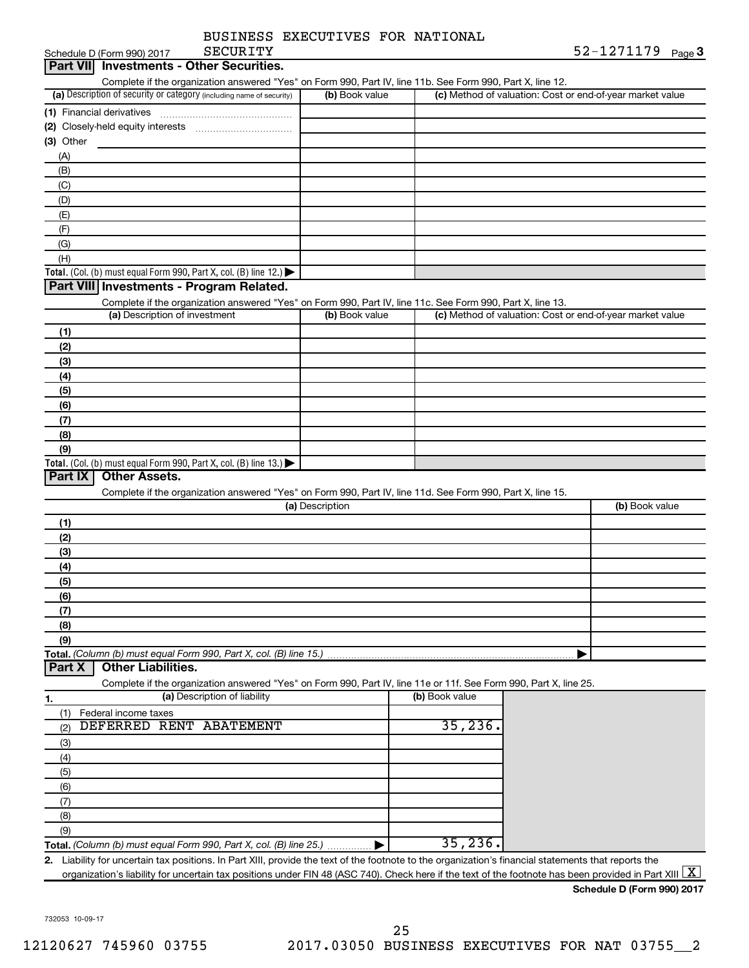|                  | BUSINESS EXECUTIVES FOR NATIONAL |  |            |
|------------------|----------------------------------|--|------------|
| <b>SECIIRTTY</b> |                                  |  | 52-1271179 |

|                                                     | (c) Method of valuation: Cost or end-of-year market value                                                                                                                                                                                                                                                                                                                                                                                                                                 |
|-----------------------------------------------------|-------------------------------------------------------------------------------------------------------------------------------------------------------------------------------------------------------------------------------------------------------------------------------------------------------------------------------------------------------------------------------------------------------------------------------------------------------------------------------------------|
|                                                     |                                                                                                                                                                                                                                                                                                                                                                                                                                                                                           |
|                                                     |                                                                                                                                                                                                                                                                                                                                                                                                                                                                                           |
|                                                     |                                                                                                                                                                                                                                                                                                                                                                                                                                                                                           |
|                                                     |                                                                                                                                                                                                                                                                                                                                                                                                                                                                                           |
|                                                     |                                                                                                                                                                                                                                                                                                                                                                                                                                                                                           |
|                                                     |                                                                                                                                                                                                                                                                                                                                                                                                                                                                                           |
|                                                     |                                                                                                                                                                                                                                                                                                                                                                                                                                                                                           |
|                                                     |                                                                                                                                                                                                                                                                                                                                                                                                                                                                                           |
|                                                     |                                                                                                                                                                                                                                                                                                                                                                                                                                                                                           |
|                                                     |                                                                                                                                                                                                                                                                                                                                                                                                                                                                                           |
|                                                     |                                                                                                                                                                                                                                                                                                                                                                                                                                                                                           |
|                                                     |                                                                                                                                                                                                                                                                                                                                                                                                                                                                                           |
|                                                     |                                                                                                                                                                                                                                                                                                                                                                                                                                                                                           |
|                                                     |                                                                                                                                                                                                                                                                                                                                                                                                                                                                                           |
|                                                     | (c) Method of valuation: Cost or end-of-year market value                                                                                                                                                                                                                                                                                                                                                                                                                                 |
|                                                     |                                                                                                                                                                                                                                                                                                                                                                                                                                                                                           |
|                                                     |                                                                                                                                                                                                                                                                                                                                                                                                                                                                                           |
|                                                     |                                                                                                                                                                                                                                                                                                                                                                                                                                                                                           |
|                                                     |                                                                                                                                                                                                                                                                                                                                                                                                                                                                                           |
|                                                     |                                                                                                                                                                                                                                                                                                                                                                                                                                                                                           |
|                                                     |                                                                                                                                                                                                                                                                                                                                                                                                                                                                                           |
|                                                     |                                                                                                                                                                                                                                                                                                                                                                                                                                                                                           |
|                                                     |                                                                                                                                                                                                                                                                                                                                                                                                                                                                                           |
|                                                     |                                                                                                                                                                                                                                                                                                                                                                                                                                                                                           |
|                                                     |                                                                                                                                                                                                                                                                                                                                                                                                                                                                                           |
|                                                     |                                                                                                                                                                                                                                                                                                                                                                                                                                                                                           |
|                                                     |                                                                                                                                                                                                                                                                                                                                                                                                                                                                                           |
|                                                     | (b) Book value                                                                                                                                                                                                                                                                                                                                                                                                                                                                            |
|                                                     |                                                                                                                                                                                                                                                                                                                                                                                                                                                                                           |
|                                                     |                                                                                                                                                                                                                                                                                                                                                                                                                                                                                           |
|                                                     |                                                                                                                                                                                                                                                                                                                                                                                                                                                                                           |
|                                                     |                                                                                                                                                                                                                                                                                                                                                                                                                                                                                           |
|                                                     |                                                                                                                                                                                                                                                                                                                                                                                                                                                                                           |
|                                                     |                                                                                                                                                                                                                                                                                                                                                                                                                                                                                           |
|                                                     |                                                                                                                                                                                                                                                                                                                                                                                                                                                                                           |
|                                                     |                                                                                                                                                                                                                                                                                                                                                                                                                                                                                           |
|                                                     |                                                                                                                                                                                                                                                                                                                                                                                                                                                                                           |
|                                                     |                                                                                                                                                                                                                                                                                                                                                                                                                                                                                           |
|                                                     |                                                                                                                                                                                                                                                                                                                                                                                                                                                                                           |
|                                                     |                                                                                                                                                                                                                                                                                                                                                                                                                                                                                           |
|                                                     |                                                                                                                                                                                                                                                                                                                                                                                                                                                                                           |
|                                                     |                                                                                                                                                                                                                                                                                                                                                                                                                                                                                           |
|                                                     |                                                                                                                                                                                                                                                                                                                                                                                                                                                                                           |
|                                                     |                                                                                                                                                                                                                                                                                                                                                                                                                                                                                           |
|                                                     |                                                                                                                                                                                                                                                                                                                                                                                                                                                                                           |
|                                                     |                                                                                                                                                                                                                                                                                                                                                                                                                                                                                           |
|                                                     |                                                                                                                                                                                                                                                                                                                                                                                                                                                                                           |
|                                                     |                                                                                                                                                                                                                                                                                                                                                                                                                                                                                           |
|                                                     |                                                                                                                                                                                                                                                                                                                                                                                                                                                                                           |
|                                                     |                                                                                                                                                                                                                                                                                                                                                                                                                                                                                           |
|                                                     |                                                                                                                                                                                                                                                                                                                                                                                                                                                                                           |
| (b) Book value<br>(b) Book value<br>(a) Description | Complete if the organization answered "Yes" on Form 990, Part IV, line 11b. See Form 990, Part X, line 12.<br>Complete if the organization answered "Yes" on Form 990, Part IV, line 11c. See Form 990, Part X, line 13.<br>Complete if the organization answered "Yes" on Form 990, Part IV, line 11d. See Form 990, Part X, line 15.<br>Complete if the organization answered "Yes" on Form 990, Part IV, line 11e or 11f. See Form 990, Part X, line 25.<br>(b) Book value<br>35, 236. |

732053 10-09-17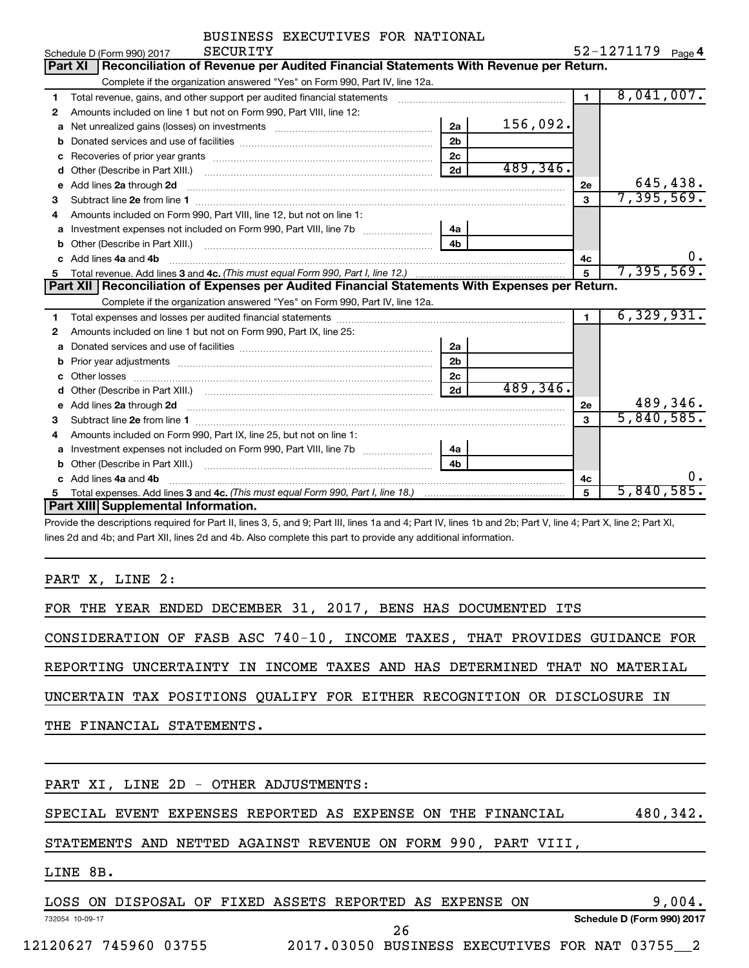| BUSINESS EXECUTIVES FOR NATIONAL |  |
|----------------------------------|--|
|                                  |  |

|   | <b>SECURITY</b><br>Schedule D (Form 990) 2017                                                                           |                |           |                | $52 - 1271179$ Page 4 |
|---|-------------------------------------------------------------------------------------------------------------------------|----------------|-----------|----------------|-----------------------|
|   | Reconciliation of Revenue per Audited Financial Statements With Revenue per Return.<br><b>Part XI</b>                   |                |           |                |                       |
|   | Complete if the organization answered "Yes" on Form 990, Part IV, line 12a.                                             |                |           |                |                       |
| 1 | Total revenue, gains, and other support per audited financial statements                                                |                |           | $\blacksquare$ | 8,041,007.            |
| 2 | Amounts included on line 1 but not on Form 990, Part VIII, line 12:                                                     |                |           |                |                       |
| a |                                                                                                                         | 2a             | 156,092.  |                |                       |
|   |                                                                                                                         | 2 <sub>b</sub> |           |                |                       |
| с |                                                                                                                         | 2c             |           |                |                       |
| d |                                                                                                                         | 2d             | 489, 346. |                |                       |
| e | Add lines 2a through 2d                                                                                                 |                |           | 2е             | 645,438.              |
| 3 |                                                                                                                         |                |           | $\mathbf{3}$   | 7,395,569.            |
| 4 | Amounts included on Form 990, Part VIII, line 12, but not on line 1:                                                    |                |           |                |                       |
|   |                                                                                                                         | 4a             |           |                |                       |
|   |                                                                                                                         | 4 <sub>b</sub> |           |                |                       |
|   | c Add lines 4a and 4b                                                                                                   |                |           | 4c             | 0.                    |
|   |                                                                                                                         |                | 5         | 7,395,569.     |                       |
|   | Part XII   Reconciliation of Expenses per Audited Financial Statements With Expenses per Return.                        |                |           |                |                       |
|   | Complete if the organization answered "Yes" on Form 990, Part IV, line 12a.                                             |                |           |                |                       |
| 1 |                                                                                                                         |                |           |                | 6,329,931.            |
| 2 | Amounts included on line 1 but not on Form 990, Part IX, line 25:                                                       |                |           |                |                       |
| a |                                                                                                                         | 2a             |           |                |                       |
| b |                                                                                                                         | 2 <sub>b</sub> |           |                |                       |
|   | Other losses                                                                                                            |                |           |                |                       |
| d |                                                                                                                         | 2c             |           |                |                       |
|   |                                                                                                                         | 2d             | 489,346.  |                |                       |
| е | Add lines 2a through 2d <b>continuum contract and all contract and all contract and all contract and all contract a</b> |                |           | 2e             | 489,346.              |
| з |                                                                                                                         |                |           | $\mathbf{a}$   | 5,840,585.            |
| 4 | Amounts included on Form 990, Part IX, line 25, but not on line 1:                                                      |                |           |                |                       |
| a |                                                                                                                         | 4a             |           |                |                       |
|   |                                                                                                                         | 4 <sub>h</sub> |           |                |                       |
|   | c Add lines 4a and 4b                                                                                                   |                |           | 4c             | 0.                    |
| 5 |                                                                                                                         |                |           | 5              | 5,840,585.            |
|   | Part XIII Supplemental Information.                                                                                     |                |           |                |                       |

Provide the descriptions required for Part II, lines 3, 5, and 9; Part III, lines 1a and 4; Part IV, lines 1b and 2b; Part V, line 4; Part X, line 2; Part XI, lines 2d and 4b; and Part XII, lines 2d and 4b. Also complete this part to provide any additional information.

PART X, LINE 2:

FOR THE YEAR ENDED DECEMBER 31, 2017, BENS HAS DOCUMENTED ITS

CONSIDERATION OF FASB ASC 740-10, INCOME TAXES, THAT PROVIDES GUIDANCE FOR

REPORTING UNCERTAINTY IN INCOME TAXES AND HAS DETERMINED THAT NO MATERIAL

UNCERTAIN TAX POSITIONS QUALIFY FOR EITHER RECOGNITION OR DISCLOSURE IN

THE FINANCIAL STATEMENTS.

PART XI, LINE 2D - OTHER ADJUSTMENTS:

SPECIAL EVENT EXPENSES REPORTED AS EXPENSE ON THE FINANCIAL 480,342.

STATEMENTS AND NETTED AGAINST REVENUE ON FORM 990, PART VIII,

LINE 8B.

|                 | LOSS ON DISPOSAL OF FIXED ASSETS REPORTED AS EXPENSE |  |     |  | ON | 004.                       |
|-----------------|------------------------------------------------------|--|-----|--|----|----------------------------|
| 732054 10-09-17 |                                                      |  |     |  |    | Schedule D (Form 990) 2017 |
|                 |                                                      |  | ∠ ס |  |    |                            |

12120627 745960 03755 2017.03050 BUSINESS EXECUTIVES FOR NAT 03755\_\_2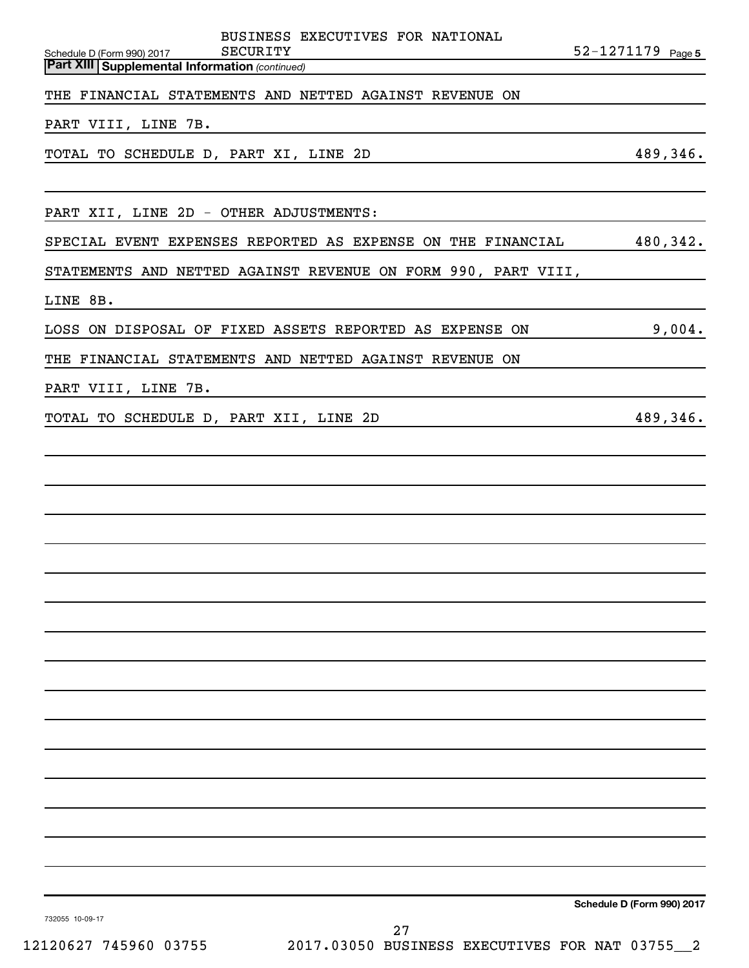| Part XIII Supplemental Information (continued)                                                               |          |
|--------------------------------------------------------------------------------------------------------------|----------|
| THE FINANCIAL STATEMENTS AND NETTED AGAINST REVENUE ON                                                       |          |
| PART VIII, LINE 7B.                                                                                          |          |
| TOTAL TO SCHEDULE D, PART XI, LINE 2D                                                                        | 489,346. |
|                                                                                                              |          |
| PART XII, LINE 2D - OTHER ADJUSTMENTS:                                                                       |          |
| SPECIAL EVENT EXPENSES REPORTED AS EXPENSE ON THE FINANCIAL                                                  | 480,342. |
| STATEMENTS AND NETTED AGAINST REVENUE ON FORM 990, PART VIII,                                                |          |
| LINE 8B.                                                                                                     |          |
| LOSS ON DISPOSAL OF FIXED ASSETS REPORTED AS EXPENSE ON                                                      | 9,004.   |
| THE FINANCIAL STATEMENTS AND NETTED AGAINST REVENUE ON                                                       |          |
| PART VIII, LINE 7B.                                                                                          |          |
| TOTAL TO SCHEDULE D, PART XII, LINE 2D<br><u> 1980 - Johann Barbara, martxa amerikan personal (h. 1980).</u> | 489,346. |
|                                                                                                              |          |
|                                                                                                              |          |
|                                                                                                              |          |
|                                                                                                              |          |
|                                                                                                              |          |
|                                                                                                              |          |
|                                                                                                              |          |
|                                                                                                              |          |
|                                                                                                              |          |
|                                                                                                              |          |
|                                                                                                              |          |
|                                                                                                              |          |
|                                                                                                              |          |
|                                                                                                              |          |
|                                                                                                              |          |
|                                                                                                              |          |

Schedule D (Form 990) 2017 Page

BUSINESS EXECUTIVES FOR NATIONAL

**SECURITY** 22-1271179 Page 5

732055 10-09-17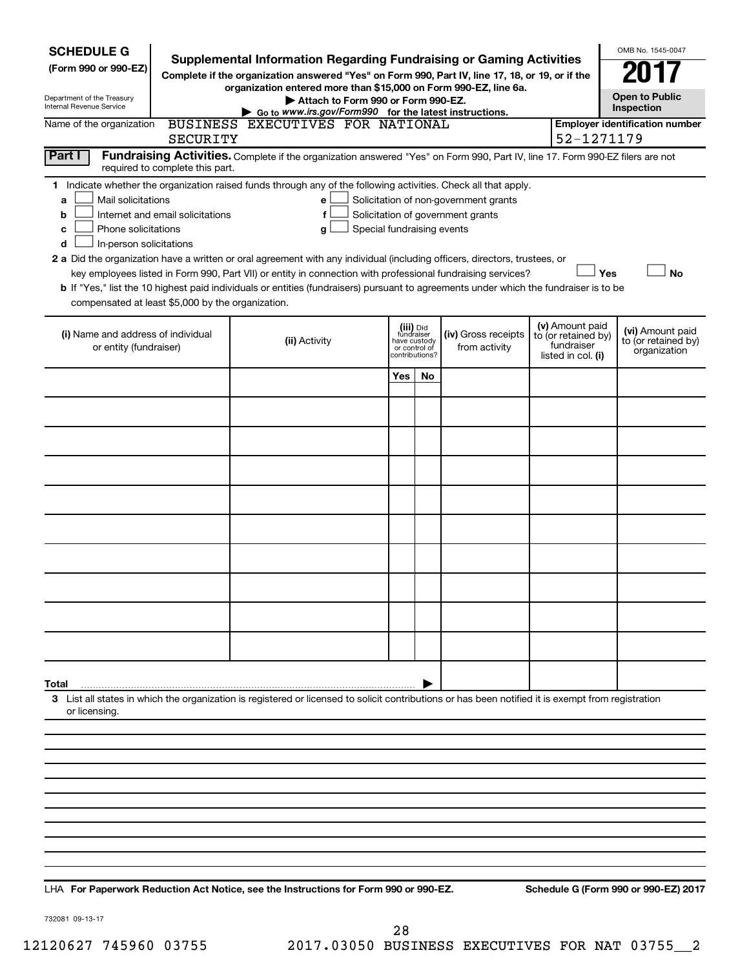| <b>SCHEDULE G</b><br>(Form 990 or 990-EZ)<br>Department of the Treasury<br>Internal Revenue Service                                                                        |                                  | OMB No. 1545-0047<br><b>Open to Public</b><br>Inspection                                                                                                                                                                                                                                                                                                                                                                                                                                                                                           |                                         |                                 |                                                                            |                                                                            |     |                                                         |  |  |
|----------------------------------------------------------------------------------------------------------------------------------------------------------------------------|----------------------------------|----------------------------------------------------------------------------------------------------------------------------------------------------------------------------------------------------------------------------------------------------------------------------------------------------------------------------------------------------------------------------------------------------------------------------------------------------------------------------------------------------------------------------------------------------|-----------------------------------------|---------------------------------|----------------------------------------------------------------------------|----------------------------------------------------------------------------|-----|---------------------------------------------------------|--|--|
| Name of the organization                                                                                                                                                   | <b>SECURITY</b>                  | Go to www.irs.gov/Form990 for the latest instructions.<br>BUSINESS EXECUTIVES FOR NATIONAL                                                                                                                                                                                                                                                                                                                                                                                                                                                         |                                         |                                 |                                                                            | 52-1271179                                                                 |     | <b>Employer identification number</b>                   |  |  |
| Part I<br>Fundraising Activities. Complete if the organization answered "Yes" on Form 990, Part IV, line 17. Form 990-EZ filers are not<br>required to complete this part. |                                  |                                                                                                                                                                                                                                                                                                                                                                                                                                                                                                                                                    |                                         |                                 |                                                                            |                                                                            |     |                                                         |  |  |
| Mail solicitations<br>a<br>b<br>Phone solicitations<br>с<br>In-person solicitations<br>d<br>compensated at least \$5,000 by the organization.                              | Internet and email solicitations | 1 Indicate whether the organization raised funds through any of the following activities. Check all that apply.<br>е<br>f<br>Special fundraising events<br>g<br>2 a Did the organization have a written or oral agreement with any individual (including officers, directors, trustees, or<br>key employees listed in Form 990, Part VII) or entity in connection with professional fundraising services?<br>b If "Yes," list the 10 highest paid individuals or entities (fundraisers) pursuant to agreements under which the fundraiser is to be |                                         |                                 | Solicitation of non-government grants<br>Solicitation of government grants |                                                                            | Yes | <b>No</b>                                               |  |  |
| (i) Name and address of individual<br>or entity (fundraiser)                                                                                                               |                                  | (ii) Activity                                                                                                                                                                                                                                                                                                                                                                                                                                                                                                                                      | (iii) Did<br>fundraiser<br>have custody | or control of<br>contributions? | (iv) Gross receipts<br>from activity                                       | (v) Amount paid<br>to (or retained by)<br>fundraiser<br>listed in col. (i) |     | (vi) Amount paid<br>to (or retained by)<br>organization |  |  |
|                                                                                                                                                                            |                                  |                                                                                                                                                                                                                                                                                                                                                                                                                                                                                                                                                    | Yes                                     | No                              |                                                                            |                                                                            |     |                                                         |  |  |
|                                                                                                                                                                            |                                  |                                                                                                                                                                                                                                                                                                                                                                                                                                                                                                                                                    |                                         |                                 |                                                                            |                                                                            |     |                                                         |  |  |
|                                                                                                                                                                            |                                  |                                                                                                                                                                                                                                                                                                                                                                                                                                                                                                                                                    |                                         |                                 |                                                                            |                                                                            |     |                                                         |  |  |
|                                                                                                                                                                            |                                  |                                                                                                                                                                                                                                                                                                                                                                                                                                                                                                                                                    |                                         |                                 |                                                                            |                                                                            |     |                                                         |  |  |
|                                                                                                                                                                            |                                  |                                                                                                                                                                                                                                                                                                                                                                                                                                                                                                                                                    |                                         |                                 |                                                                            |                                                                            |     |                                                         |  |  |
|                                                                                                                                                                            |                                  |                                                                                                                                                                                                                                                                                                                                                                                                                                                                                                                                                    |                                         |                                 |                                                                            |                                                                            |     |                                                         |  |  |
|                                                                                                                                                                            |                                  |                                                                                                                                                                                                                                                                                                                                                                                                                                                                                                                                                    |                                         |                                 |                                                                            |                                                                            |     |                                                         |  |  |
|                                                                                                                                                                            |                                  |                                                                                                                                                                                                                                                                                                                                                                                                                                                                                                                                                    |                                         |                                 |                                                                            |                                                                            |     |                                                         |  |  |
|                                                                                                                                                                            |                                  |                                                                                                                                                                                                                                                                                                                                                                                                                                                                                                                                                    |                                         |                                 |                                                                            |                                                                            |     |                                                         |  |  |
|                                                                                                                                                                            |                                  |                                                                                                                                                                                                                                                                                                                                                                                                                                                                                                                                                    |                                         |                                 |                                                                            |                                                                            |     |                                                         |  |  |
| Total                                                                                                                                                                      |                                  |                                                                                                                                                                                                                                                                                                                                                                                                                                                                                                                                                    |                                         |                                 |                                                                            |                                                                            |     |                                                         |  |  |
| or licensing.                                                                                                                                                              |                                  | 3 List all states in which the organization is registered or licensed to solicit contributions or has been notified it is exempt from registration                                                                                                                                                                                                                                                                                                                                                                                                 |                                         |                                 |                                                                            |                                                                            |     |                                                         |  |  |
|                                                                                                                                                                            |                                  |                                                                                                                                                                                                                                                                                                                                                                                                                                                                                                                                                    |                                         |                                 |                                                                            |                                                                            |     |                                                         |  |  |
|                                                                                                                                                                            |                                  |                                                                                                                                                                                                                                                                                                                                                                                                                                                                                                                                                    |                                         |                                 |                                                                            |                                                                            |     |                                                         |  |  |
|                                                                                                                                                                            |                                  |                                                                                                                                                                                                                                                                                                                                                                                                                                                                                                                                                    |                                         |                                 |                                                                            |                                                                            |     |                                                         |  |  |
|                                                                                                                                                                            |                                  |                                                                                                                                                                                                                                                                                                                                                                                                                                                                                                                                                    |                                         |                                 |                                                                            |                                                                            |     |                                                         |  |  |
|                                                                                                                                                                            |                                  |                                                                                                                                                                                                                                                                                                                                                                                                                                                                                                                                                    |                                         |                                 |                                                                            |                                                                            |     |                                                         |  |  |
|                                                                                                                                                                            |                                  |                                                                                                                                                                                                                                                                                                                                                                                                                                                                                                                                                    |                                         |                                 |                                                                            |                                                                            |     |                                                         |  |  |
|                                                                                                                                                                            |                                  |                                                                                                                                                                                                                                                                                                                                                                                                                                                                                                                                                    |                                         |                                 |                                                                            |                                                                            |     |                                                         |  |  |

**For Paperwork Reduction Act Notice, see the Instructions for Form 990 or 990-EZ. Schedule G (Form 990 or 990-EZ) 2017** LHA

732081 09-13-17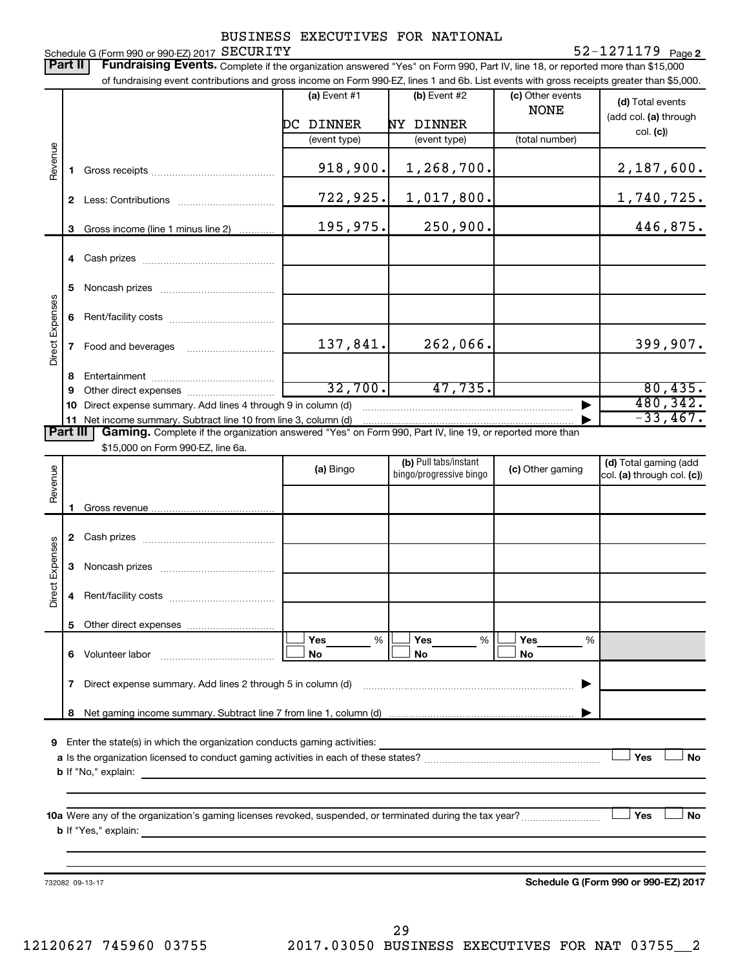Schedule G (Form 990 or 990-EZ) 2017  ${\tt SECURITY}$ BUSINESS EXECUTIVES FOR NATIONAL

### **2** SECURITY 52-1271179

Part II | Fundraising Events. Complete if the organization answered "Yes" on Form 990, Part IV, line 18, or reported more than \$15,000 of fundraising event contributions and gross income on Form 990-EZ, lines 1 and 6b. List events with gross receipts greater than \$5,000. **(a)** Event #1  $\vert$  **(b)** Event #2 (c) Other events **(d)**  Total events NONE (add col. (a) through DC DINNER NY DINNER col. **(c)**) (event type) (event type) (total number) Revenue 918,900. 1,268,700. 2,187,600. **1** Gross receipts ~~~~~~~~~~~~~~ 722,925. 1,017,800. 1,740,725. **2** Less: Contributions ~~~~~~~~~~~ 195,975. 250,900. 250. **3** Gross income (line 1 minus line 2) . . . . . . . . . . . . **4** Cash prizes ~~~~~~~~~~~~~~~ **5** Noncash prizes ~~~~~~~~~~~~~ Direct Expenses Direct Expenses **6** Rent/facility costs ~~~~~~~~~~~~ 137,841. 262,066. 399,907. **7** Food and beverages **with the State Proof 8** Entertainment ~~~~~~~~~~~~~~ 32,700. 47,735. 80,435. **9** Other direct expenses  $\ldots$  **............................** 480,342. **10** Direct expense summary. Add lines 4 through 9 in column (d) ~~~~~~~~~~~~ -33,467. **11** Net income summary. Subtract line 10 from line 3, column (d) | Part III | Gaming. Complete if the organization answered "Yes" on Form 990, Part IV, line 19, or reported more than \$15,000 on Form 990-EZ, line 6a. (b) Pull tabs/instant (d) Total gaming (add Revenue **(a)** Bingo **a b**ingo/progressive bingo **(c)** Other gaming bingo/progressive bingo col. (a) through col. (c)) Gross revenue **1 2** Cash prizes ~~~~~~~~~~~~~~~ Expenses Direct Expenses **3** Noncash prizes ~~~~~~~~~~~~~ Direct **4** Rent/facility costs ~~~~~~~~~~~~ **5** Other direct expenses  $|\Box$  Yes  $\qquad \%$   $|\Box$  Yes  $\qquad \%$   $|\Box$ **Yes Yes Yes** % % %  $|\Box$  No  $|\Box$  No  $|\Box$ **6** Volunteer labor ~~~~~~~~~~~~~ **No No No 7** Direct expense summary. Add lines 2 through 5 in column (d) ~~~~~~~~~~~~~~~~~~~~~~~~ | **8** Net gaming income summary. Subtract line 7 from line 1, column (d) | **9** Enter the state(s) in which the organization conducts gaming activities:  $|$  Yes **Yes No a** Is the organization licensed to conduct gaming activities in each of these states? ~~~~~~~~~~~~~~~~~~~~ **b** If "No," explain: **10 a** Were any of the organization's gaming licenses revoked, suspended, or terminated during the tax year? ~~~~~~~~~ † † **Yes No b** If "Yes," explain: **Schedule G (Form 990 or 990-EZ) 2017** 732082 09-13-17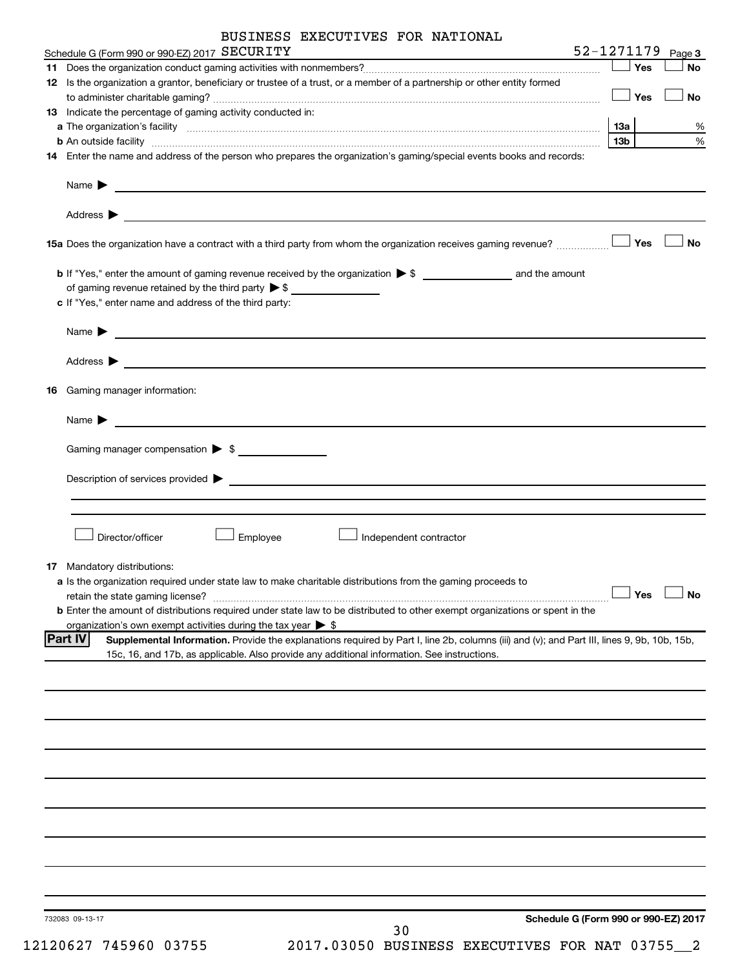|    | BUSINESS EXECUTIVES FOR NATIONAL                                                                                                                                                                                                              |                       |           |
|----|-----------------------------------------------------------------------------------------------------------------------------------------------------------------------------------------------------------------------------------------------|-----------------------|-----------|
|    | Schedule G (Form 990 or 990-EZ) 2017 SECURITY                                                                                                                                                                                                 | $52 - 1271179$ Page 3 |           |
|    |                                                                                                                                                                                                                                               | Yes                   | No        |
|    | 12 Is the organization a grantor, beneficiary or trustee of a trust, or a member of a partnership or other entity formed                                                                                                                      | Yes                   | No        |
|    | 13 Indicate the percentage of gaming activity conducted in:                                                                                                                                                                                   |                       |           |
|    |                                                                                                                                                                                                                                               | 13а                   | %         |
|    |                                                                                                                                                                                                                                               | 13b                   | $\%$      |
|    | 14 Enter the name and address of the person who prepares the organization's gaming/special events books and records:                                                                                                                          |                       |           |
|    | Name $\blacktriangleright$<br>and the control of the control of the control of the control of the control of the control of the control of the                                                                                                |                       |           |
|    | Address $\blacktriangleright$                                                                                                                                                                                                                 |                       |           |
|    | 15a Does the organization have a contract with a third party from whom the organization receives gaming revenue?                                                                                                                              | Yes                   | <b>No</b> |
|    |                                                                                                                                                                                                                                               |                       |           |
|    | of gaming revenue retained by the third party $\triangleright$ \$                                                                                                                                                                             |                       |           |
|    | c If "Yes," enter name and address of the third party:                                                                                                                                                                                        |                       |           |
|    | Name $\blacktriangleright$<br><u> 1989 - John Harry Harry Harry Harry Harry Harry Harry Harry Harry Harry Harry Harry Harry Harry Harry Harry H</u>                                                                                           |                       |           |
|    | Address $\blacktriangleright$                                                                                                                                                                                                                 |                       |           |
| 16 | Gaming manager information:                                                                                                                                                                                                                   |                       |           |
|    | Name $\blacktriangleright$<br><u> 1989 - Johann Harry Harry Harry Harry Harry Harry Harry Harry Harry Harry Harry Harry Harry Harry Harry Harry</u>                                                                                           |                       |           |
|    | Gaming manager compensation > \$                                                                                                                                                                                                              |                       |           |
|    | Description of services provided > example and the contract of the contract of the contract of the contract of                                                                                                                                |                       |           |
|    |                                                                                                                                                                                                                                               |                       |           |
|    |                                                                                                                                                                                                                                               |                       |           |
|    | Director/officer<br>Employee<br>Independent contractor                                                                                                                                                                                        |                       |           |
|    | 17 Mandatory distributions:                                                                                                                                                                                                                   |                       |           |
|    | a Is the organization required under state law to make charitable distributions from the gaming proceeds to                                                                                                                                   |                       |           |
|    | retain the state gaming license?                                                                                                                                                                                                              | Yes                   | <b>No</b> |
|    | b Enter the amount of distributions required under state law to be distributed to other exempt organizations or spent in the                                                                                                                  |                       |           |
|    | organization's own exempt activities during the tax year $\triangleright$ \$<br><b>Part IV</b><br>Supplemental Information. Provide the explanations required by Part I, line 2b, columns (iii) and (v); and Part III, lines 9, 9b, 10b, 15b, |                       |           |
|    | 15c, 16, and 17b, as applicable. Also provide any additional information. See instructions.                                                                                                                                                   |                       |           |
|    |                                                                                                                                                                                                                                               |                       |           |
|    |                                                                                                                                                                                                                                               |                       |           |
|    |                                                                                                                                                                                                                                               |                       |           |
|    |                                                                                                                                                                                                                                               |                       |           |
|    |                                                                                                                                                                                                                                               |                       |           |
|    |                                                                                                                                                                                                                                               |                       |           |
|    |                                                                                                                                                                                                                                               |                       |           |
|    |                                                                                                                                                                                                                                               |                       |           |
|    |                                                                                                                                                                                                                                               |                       |           |
|    |                                                                                                                                                                                                                                               |                       |           |
|    |                                                                                                                                                                                                                                               |                       |           |
|    |                                                                                                                                                                                                                                               |                       |           |
|    |                                                                                                                                                                                                                                               |                       |           |
|    | Schedule G (Form 990 or 990-EZ) 2017<br>732083 09-13-17                                                                                                                                                                                       |                       |           |
|    | 30                                                                                                                                                                                                                                            |                       |           |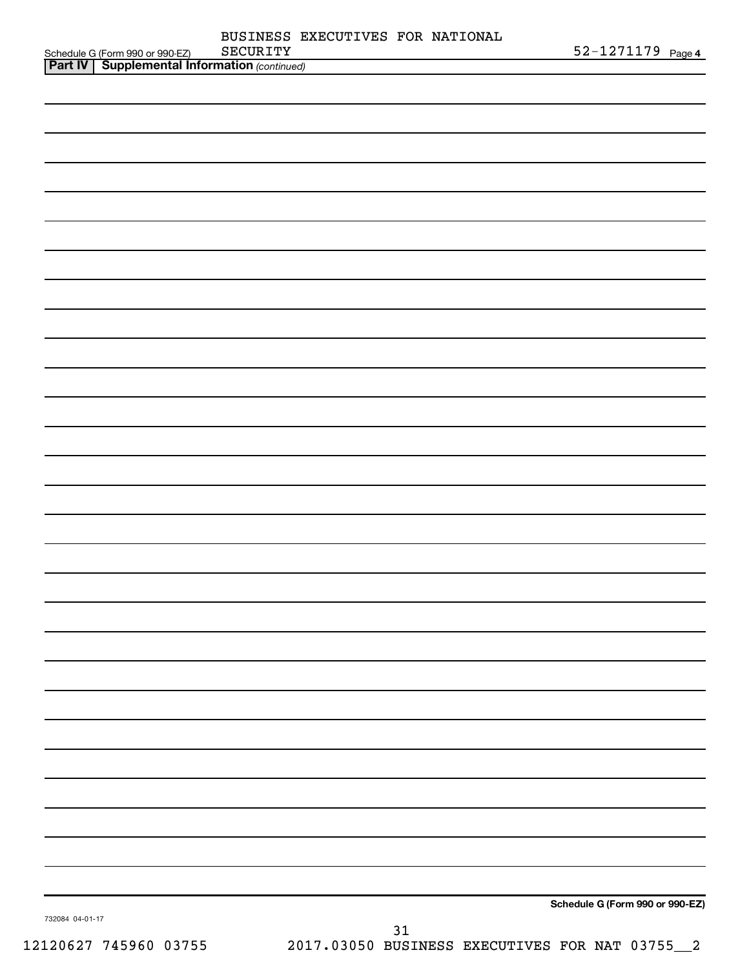|                 |                                                                                                   | SECURITY | BUSINESS EXECUTIVES FOR NATIONAL |    | 52-1271179 Page 4               |  |
|-----------------|---------------------------------------------------------------------------------------------------|----------|----------------------------------|----|---------------------------------|--|
|                 | Schedule G (Form 990 or 990-EZ) SECURITY<br><b>Part IV   Supplemental Information</b> (continued) |          |                                  |    |                                 |  |
|                 |                                                                                                   |          |                                  |    |                                 |  |
|                 |                                                                                                   |          |                                  |    |                                 |  |
|                 |                                                                                                   |          |                                  |    |                                 |  |
|                 |                                                                                                   |          |                                  |    |                                 |  |
|                 |                                                                                                   |          |                                  |    |                                 |  |
|                 |                                                                                                   |          |                                  |    |                                 |  |
|                 |                                                                                                   |          |                                  |    |                                 |  |
|                 |                                                                                                   |          |                                  |    |                                 |  |
|                 |                                                                                                   |          |                                  |    |                                 |  |
|                 |                                                                                                   |          |                                  |    |                                 |  |
|                 |                                                                                                   |          |                                  |    |                                 |  |
|                 |                                                                                                   |          |                                  |    |                                 |  |
|                 |                                                                                                   |          |                                  |    |                                 |  |
|                 |                                                                                                   |          |                                  |    |                                 |  |
|                 |                                                                                                   |          |                                  |    |                                 |  |
|                 |                                                                                                   |          |                                  |    |                                 |  |
|                 |                                                                                                   |          |                                  |    |                                 |  |
|                 |                                                                                                   |          |                                  |    |                                 |  |
|                 |                                                                                                   |          |                                  |    |                                 |  |
|                 |                                                                                                   |          |                                  |    |                                 |  |
|                 |                                                                                                   |          |                                  |    |                                 |  |
|                 |                                                                                                   |          |                                  |    |                                 |  |
|                 |                                                                                                   |          |                                  |    |                                 |  |
|                 |                                                                                                   |          |                                  |    |                                 |  |
|                 |                                                                                                   |          |                                  |    |                                 |  |
|                 |                                                                                                   |          |                                  |    |                                 |  |
|                 |                                                                                                   |          |                                  |    |                                 |  |
|                 |                                                                                                   |          |                                  |    |                                 |  |
|                 |                                                                                                   |          |                                  |    |                                 |  |
|                 |                                                                                                   |          |                                  |    |                                 |  |
|                 |                                                                                                   |          |                                  |    |                                 |  |
|                 |                                                                                                   |          |                                  |    |                                 |  |
|                 |                                                                                                   |          |                                  |    |                                 |  |
|                 |                                                                                                   |          |                                  |    |                                 |  |
|                 |                                                                                                   |          |                                  |    |                                 |  |
|                 |                                                                                                   |          |                                  |    |                                 |  |
|                 |                                                                                                   |          |                                  |    |                                 |  |
|                 |                                                                                                   |          |                                  |    |                                 |  |
|                 |                                                                                                   |          |                                  |    |                                 |  |
|                 |                                                                                                   |          |                                  |    |                                 |  |
|                 |                                                                                                   |          |                                  |    |                                 |  |
|                 |                                                                                                   |          |                                  |    |                                 |  |
|                 |                                                                                                   |          |                                  |    |                                 |  |
|                 |                                                                                                   |          |                                  |    |                                 |  |
|                 |                                                                                                   |          |                                  |    |                                 |  |
|                 |                                                                                                   |          |                                  |    |                                 |  |
|                 |                                                                                                   |          |                                  |    |                                 |  |
|                 |                                                                                                   |          |                                  |    | Schedule G (Form 990 or 990-EZ) |  |
| 732084 04-01-17 |                                                                                                   |          |                                  |    |                                 |  |
|                 |                                                                                                   |          |                                  | 31 |                                 |  |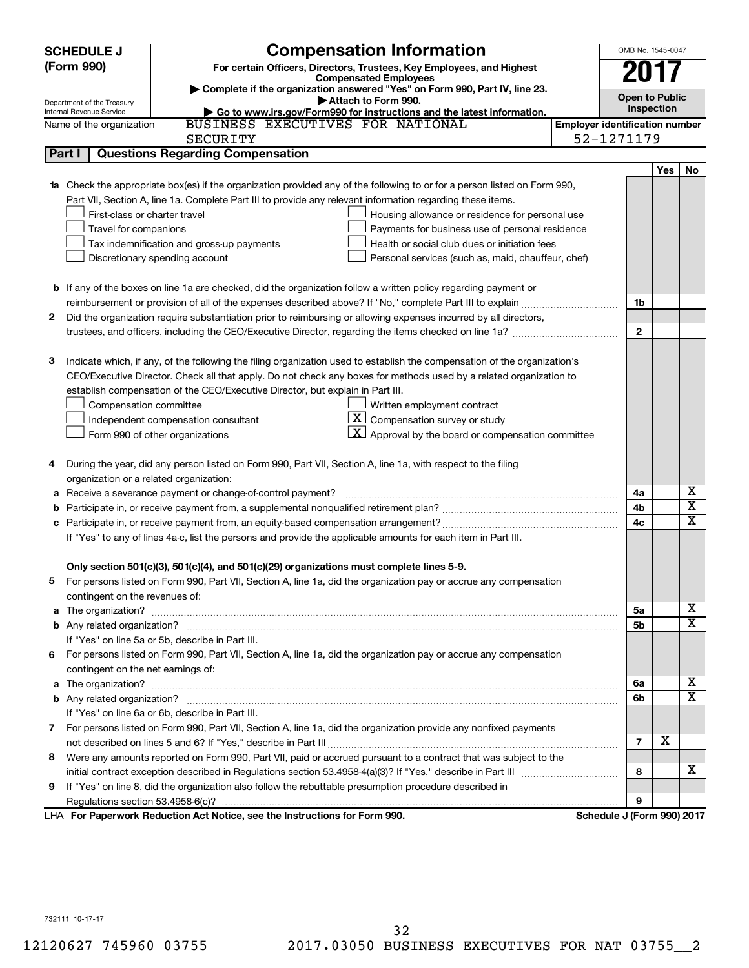| (Form 990)<br>For certain Officers, Directors, Trustees, Key Employees, and Highest<br><b>Compensated Employees</b><br>Complete if the organization answered "Yes" on Form 990, Part IV, line 23.<br><b>Open to Public</b><br>Attach to Form 990.<br>Department of the Treasury<br>Inspection<br>Internal Revenue Service<br>Go to www.irs.gov/Form990 for instructions and the latest information.<br>BUSINESS EXECUTIVES FOR NATIONAL<br><b>Employer identification number</b><br>Name of the organization<br>52-1271179<br><b>SECURITY</b><br><b>Questions Regarding Compensation</b><br>Part I<br>Yes<br>No<br><b>1a</b> Check the appropriate box(es) if the organization provided any of the following to or for a person listed on Form 990,<br>Part VII, Section A, line 1a. Complete Part III to provide any relevant information regarding these items.<br>First-class or charter travel<br>Housing allowance or residence for personal use<br>Travel for companions<br>Payments for business use of personal residence<br>Tax indemnification and gross-up payments<br>Health or social club dues or initiation fees<br>Discretionary spending account<br>Personal services (such as, maid, chauffeur, chef)<br><b>b</b> If any of the boxes on line 1a are checked, did the organization follow a written policy regarding payment or<br>1b<br>Did the organization require substantiation prior to reimbursing or allowing expenses incurred by all directors,<br>2<br>$\mathbf{2}$<br>Indicate which, if any, of the following the filing organization used to establish the compensation of the organization's<br>3<br>CEO/Executive Director. Check all that apply. Do not check any boxes for methods used by a related organization to<br>establish compensation of the CEO/Executive Director, but explain in Part III.<br>Written employment contract<br>Compensation committee<br>$\boxed{\textbf{X}}$ Compensation survey or study<br>Independent compensation consultant<br>$\vert \mathbf{X} \vert$ Approval by the board or compensation committee<br>Form 990 of other organizations<br>During the year, did any person listed on Form 990, Part VII, Section A, line 1a, with respect to the filing<br>4<br>organization or a related organization:<br>x<br>Receive a severance payment or change-of-control payment?<br>4a<br>а<br>$\overline{\textbf{x}}$<br>4b<br>b<br>X<br>4c<br>If "Yes" to any of lines 4a-c, list the persons and provide the applicable amounts for each item in Part III.<br>Only section 501(c)(3), 501(c)(4), and 501(c)(29) organizations must complete lines 5-9.<br>For persons listed on Form 990, Part VII, Section A, line 1a, did the organization pay or accrue any compensation<br>contingent on the revenues of:<br>x<br>5a<br>х<br>5b<br>If "Yes" on line 5a or 5b, describe in Part III.<br>6 For persons listed on Form 990, Part VII, Section A, line 1a, did the organization pay or accrue any compensation<br>contingent on the net earnings of:<br>x<br>6a<br>х<br>6b<br>If "Yes" on line 6a or 6b, describe in Part III.<br>7 For persons listed on Form 990, Part VII, Section A, line 1a, did the organization provide any nonfixed payments<br>х<br>$\overline{7}$<br>8 Were any amounts reported on Form 990, Part VII, paid or accrued pursuant to a contract that was subject to the<br>x<br>8 | <b>SCHEDULE J</b> | <b>Compensation Information</b> | OMB No. 1545-0047 |  |
|-------------------------------------------------------------------------------------------------------------------------------------------------------------------------------------------------------------------------------------------------------------------------------------------------------------------------------------------------------------------------------------------------------------------------------------------------------------------------------------------------------------------------------------------------------------------------------------------------------------------------------------------------------------------------------------------------------------------------------------------------------------------------------------------------------------------------------------------------------------------------------------------------------------------------------------------------------------------------------------------------------------------------------------------------------------------------------------------------------------------------------------------------------------------------------------------------------------------------------------------------------------------------------------------------------------------------------------------------------------------------------------------------------------------------------------------------------------------------------------------------------------------------------------------------------------------------------------------------------------------------------------------------------------------------------------------------------------------------------------------------------------------------------------------------------------------------------------------------------------------------------------------------------------------------------------------------------------------------------------------------------------------------------------------------------------------------------------------------------------------------------------------------------------------------------------------------------------------------------------------------------------------------------------------------------------------------------------------------------------------------------------------------------------------------------------------------------------------------------------------------------------------------------------------------------------------------------------------------------------------------------------------------------------------------------------------------------------------------------------------------------------------------------------------------------------------------------------------------------------------------------------------------------------------------------------------------------------------------------------------------------------------------------------------------------------------------------------------------------------------------------------------------------------------------------------------------------------------------------------------------------------------------------------------------------------------------------------------------------------------------------|-------------------|---------------------------------|-------------------|--|
|                                                                                                                                                                                                                                                                                                                                                                                                                                                                                                                                                                                                                                                                                                                                                                                                                                                                                                                                                                                                                                                                                                                                                                                                                                                                                                                                                                                                                                                                                                                                                                                                                                                                                                                                                                                                                                                                                                                                                                                                                                                                                                                                                                                                                                                                                                                                                                                                                                                                                                                                                                                                                                                                                                                                                                                                                                                                                                                                                                                                                                                                                                                                                                                                                                                                                                                                                                               |                   |                                 |                   |  |
|                                                                                                                                                                                                                                                                                                                                                                                                                                                                                                                                                                                                                                                                                                                                                                                                                                                                                                                                                                                                                                                                                                                                                                                                                                                                                                                                                                                                                                                                                                                                                                                                                                                                                                                                                                                                                                                                                                                                                                                                                                                                                                                                                                                                                                                                                                                                                                                                                                                                                                                                                                                                                                                                                                                                                                                                                                                                                                                                                                                                                                                                                                                                                                                                                                                                                                                                                                               |                   |                                 |                   |  |
|                                                                                                                                                                                                                                                                                                                                                                                                                                                                                                                                                                                                                                                                                                                                                                                                                                                                                                                                                                                                                                                                                                                                                                                                                                                                                                                                                                                                                                                                                                                                                                                                                                                                                                                                                                                                                                                                                                                                                                                                                                                                                                                                                                                                                                                                                                                                                                                                                                                                                                                                                                                                                                                                                                                                                                                                                                                                                                                                                                                                                                                                                                                                                                                                                                                                                                                                                                               |                   |                                 |                   |  |
|                                                                                                                                                                                                                                                                                                                                                                                                                                                                                                                                                                                                                                                                                                                                                                                                                                                                                                                                                                                                                                                                                                                                                                                                                                                                                                                                                                                                                                                                                                                                                                                                                                                                                                                                                                                                                                                                                                                                                                                                                                                                                                                                                                                                                                                                                                                                                                                                                                                                                                                                                                                                                                                                                                                                                                                                                                                                                                                                                                                                                                                                                                                                                                                                                                                                                                                                                                               |                   |                                 |                   |  |
|                                                                                                                                                                                                                                                                                                                                                                                                                                                                                                                                                                                                                                                                                                                                                                                                                                                                                                                                                                                                                                                                                                                                                                                                                                                                                                                                                                                                                                                                                                                                                                                                                                                                                                                                                                                                                                                                                                                                                                                                                                                                                                                                                                                                                                                                                                                                                                                                                                                                                                                                                                                                                                                                                                                                                                                                                                                                                                                                                                                                                                                                                                                                                                                                                                                                                                                                                                               |                   |                                 |                   |  |
|                                                                                                                                                                                                                                                                                                                                                                                                                                                                                                                                                                                                                                                                                                                                                                                                                                                                                                                                                                                                                                                                                                                                                                                                                                                                                                                                                                                                                                                                                                                                                                                                                                                                                                                                                                                                                                                                                                                                                                                                                                                                                                                                                                                                                                                                                                                                                                                                                                                                                                                                                                                                                                                                                                                                                                                                                                                                                                                                                                                                                                                                                                                                                                                                                                                                                                                                                                               |                   |                                 |                   |  |
|                                                                                                                                                                                                                                                                                                                                                                                                                                                                                                                                                                                                                                                                                                                                                                                                                                                                                                                                                                                                                                                                                                                                                                                                                                                                                                                                                                                                                                                                                                                                                                                                                                                                                                                                                                                                                                                                                                                                                                                                                                                                                                                                                                                                                                                                                                                                                                                                                                                                                                                                                                                                                                                                                                                                                                                                                                                                                                                                                                                                                                                                                                                                                                                                                                                                                                                                                                               |                   |                                 |                   |  |
|                                                                                                                                                                                                                                                                                                                                                                                                                                                                                                                                                                                                                                                                                                                                                                                                                                                                                                                                                                                                                                                                                                                                                                                                                                                                                                                                                                                                                                                                                                                                                                                                                                                                                                                                                                                                                                                                                                                                                                                                                                                                                                                                                                                                                                                                                                                                                                                                                                                                                                                                                                                                                                                                                                                                                                                                                                                                                                                                                                                                                                                                                                                                                                                                                                                                                                                                                                               |                   |                                 |                   |  |
|                                                                                                                                                                                                                                                                                                                                                                                                                                                                                                                                                                                                                                                                                                                                                                                                                                                                                                                                                                                                                                                                                                                                                                                                                                                                                                                                                                                                                                                                                                                                                                                                                                                                                                                                                                                                                                                                                                                                                                                                                                                                                                                                                                                                                                                                                                                                                                                                                                                                                                                                                                                                                                                                                                                                                                                                                                                                                                                                                                                                                                                                                                                                                                                                                                                                                                                                                                               |                   |                                 |                   |  |
|                                                                                                                                                                                                                                                                                                                                                                                                                                                                                                                                                                                                                                                                                                                                                                                                                                                                                                                                                                                                                                                                                                                                                                                                                                                                                                                                                                                                                                                                                                                                                                                                                                                                                                                                                                                                                                                                                                                                                                                                                                                                                                                                                                                                                                                                                                                                                                                                                                                                                                                                                                                                                                                                                                                                                                                                                                                                                                                                                                                                                                                                                                                                                                                                                                                                                                                                                                               |                   |                                 |                   |  |
|                                                                                                                                                                                                                                                                                                                                                                                                                                                                                                                                                                                                                                                                                                                                                                                                                                                                                                                                                                                                                                                                                                                                                                                                                                                                                                                                                                                                                                                                                                                                                                                                                                                                                                                                                                                                                                                                                                                                                                                                                                                                                                                                                                                                                                                                                                                                                                                                                                                                                                                                                                                                                                                                                                                                                                                                                                                                                                                                                                                                                                                                                                                                                                                                                                                                                                                                                                               |                   |                                 |                   |  |
|                                                                                                                                                                                                                                                                                                                                                                                                                                                                                                                                                                                                                                                                                                                                                                                                                                                                                                                                                                                                                                                                                                                                                                                                                                                                                                                                                                                                                                                                                                                                                                                                                                                                                                                                                                                                                                                                                                                                                                                                                                                                                                                                                                                                                                                                                                                                                                                                                                                                                                                                                                                                                                                                                                                                                                                                                                                                                                                                                                                                                                                                                                                                                                                                                                                                                                                                                                               |                   |                                 |                   |  |
|                                                                                                                                                                                                                                                                                                                                                                                                                                                                                                                                                                                                                                                                                                                                                                                                                                                                                                                                                                                                                                                                                                                                                                                                                                                                                                                                                                                                                                                                                                                                                                                                                                                                                                                                                                                                                                                                                                                                                                                                                                                                                                                                                                                                                                                                                                                                                                                                                                                                                                                                                                                                                                                                                                                                                                                                                                                                                                                                                                                                                                                                                                                                                                                                                                                                                                                                                                               |                   |                                 |                   |  |
|                                                                                                                                                                                                                                                                                                                                                                                                                                                                                                                                                                                                                                                                                                                                                                                                                                                                                                                                                                                                                                                                                                                                                                                                                                                                                                                                                                                                                                                                                                                                                                                                                                                                                                                                                                                                                                                                                                                                                                                                                                                                                                                                                                                                                                                                                                                                                                                                                                                                                                                                                                                                                                                                                                                                                                                                                                                                                                                                                                                                                                                                                                                                                                                                                                                                                                                                                                               |                   |                                 |                   |  |
|                                                                                                                                                                                                                                                                                                                                                                                                                                                                                                                                                                                                                                                                                                                                                                                                                                                                                                                                                                                                                                                                                                                                                                                                                                                                                                                                                                                                                                                                                                                                                                                                                                                                                                                                                                                                                                                                                                                                                                                                                                                                                                                                                                                                                                                                                                                                                                                                                                                                                                                                                                                                                                                                                                                                                                                                                                                                                                                                                                                                                                                                                                                                                                                                                                                                                                                                                                               |                   |                                 |                   |  |
|                                                                                                                                                                                                                                                                                                                                                                                                                                                                                                                                                                                                                                                                                                                                                                                                                                                                                                                                                                                                                                                                                                                                                                                                                                                                                                                                                                                                                                                                                                                                                                                                                                                                                                                                                                                                                                                                                                                                                                                                                                                                                                                                                                                                                                                                                                                                                                                                                                                                                                                                                                                                                                                                                                                                                                                                                                                                                                                                                                                                                                                                                                                                                                                                                                                                                                                                                                               |                   |                                 |                   |  |
|                                                                                                                                                                                                                                                                                                                                                                                                                                                                                                                                                                                                                                                                                                                                                                                                                                                                                                                                                                                                                                                                                                                                                                                                                                                                                                                                                                                                                                                                                                                                                                                                                                                                                                                                                                                                                                                                                                                                                                                                                                                                                                                                                                                                                                                                                                                                                                                                                                                                                                                                                                                                                                                                                                                                                                                                                                                                                                                                                                                                                                                                                                                                                                                                                                                                                                                                                                               |                   |                                 |                   |  |
|                                                                                                                                                                                                                                                                                                                                                                                                                                                                                                                                                                                                                                                                                                                                                                                                                                                                                                                                                                                                                                                                                                                                                                                                                                                                                                                                                                                                                                                                                                                                                                                                                                                                                                                                                                                                                                                                                                                                                                                                                                                                                                                                                                                                                                                                                                                                                                                                                                                                                                                                                                                                                                                                                                                                                                                                                                                                                                                                                                                                                                                                                                                                                                                                                                                                                                                                                                               |                   |                                 |                   |  |
|                                                                                                                                                                                                                                                                                                                                                                                                                                                                                                                                                                                                                                                                                                                                                                                                                                                                                                                                                                                                                                                                                                                                                                                                                                                                                                                                                                                                                                                                                                                                                                                                                                                                                                                                                                                                                                                                                                                                                                                                                                                                                                                                                                                                                                                                                                                                                                                                                                                                                                                                                                                                                                                                                                                                                                                                                                                                                                                                                                                                                                                                                                                                                                                                                                                                                                                                                                               |                   |                                 |                   |  |
|                                                                                                                                                                                                                                                                                                                                                                                                                                                                                                                                                                                                                                                                                                                                                                                                                                                                                                                                                                                                                                                                                                                                                                                                                                                                                                                                                                                                                                                                                                                                                                                                                                                                                                                                                                                                                                                                                                                                                                                                                                                                                                                                                                                                                                                                                                                                                                                                                                                                                                                                                                                                                                                                                                                                                                                                                                                                                                                                                                                                                                                                                                                                                                                                                                                                                                                                                                               |                   |                                 |                   |  |
|                                                                                                                                                                                                                                                                                                                                                                                                                                                                                                                                                                                                                                                                                                                                                                                                                                                                                                                                                                                                                                                                                                                                                                                                                                                                                                                                                                                                                                                                                                                                                                                                                                                                                                                                                                                                                                                                                                                                                                                                                                                                                                                                                                                                                                                                                                                                                                                                                                                                                                                                                                                                                                                                                                                                                                                                                                                                                                                                                                                                                                                                                                                                                                                                                                                                                                                                                                               |                   |                                 |                   |  |
|                                                                                                                                                                                                                                                                                                                                                                                                                                                                                                                                                                                                                                                                                                                                                                                                                                                                                                                                                                                                                                                                                                                                                                                                                                                                                                                                                                                                                                                                                                                                                                                                                                                                                                                                                                                                                                                                                                                                                                                                                                                                                                                                                                                                                                                                                                                                                                                                                                                                                                                                                                                                                                                                                                                                                                                                                                                                                                                                                                                                                                                                                                                                                                                                                                                                                                                                                                               |                   |                                 |                   |  |
|                                                                                                                                                                                                                                                                                                                                                                                                                                                                                                                                                                                                                                                                                                                                                                                                                                                                                                                                                                                                                                                                                                                                                                                                                                                                                                                                                                                                                                                                                                                                                                                                                                                                                                                                                                                                                                                                                                                                                                                                                                                                                                                                                                                                                                                                                                                                                                                                                                                                                                                                                                                                                                                                                                                                                                                                                                                                                                                                                                                                                                                                                                                                                                                                                                                                                                                                                                               |                   |                                 |                   |  |
|                                                                                                                                                                                                                                                                                                                                                                                                                                                                                                                                                                                                                                                                                                                                                                                                                                                                                                                                                                                                                                                                                                                                                                                                                                                                                                                                                                                                                                                                                                                                                                                                                                                                                                                                                                                                                                                                                                                                                                                                                                                                                                                                                                                                                                                                                                                                                                                                                                                                                                                                                                                                                                                                                                                                                                                                                                                                                                                                                                                                                                                                                                                                                                                                                                                                                                                                                                               |                   |                                 |                   |  |
|                                                                                                                                                                                                                                                                                                                                                                                                                                                                                                                                                                                                                                                                                                                                                                                                                                                                                                                                                                                                                                                                                                                                                                                                                                                                                                                                                                                                                                                                                                                                                                                                                                                                                                                                                                                                                                                                                                                                                                                                                                                                                                                                                                                                                                                                                                                                                                                                                                                                                                                                                                                                                                                                                                                                                                                                                                                                                                                                                                                                                                                                                                                                                                                                                                                                                                                                                                               |                   |                                 |                   |  |
|                                                                                                                                                                                                                                                                                                                                                                                                                                                                                                                                                                                                                                                                                                                                                                                                                                                                                                                                                                                                                                                                                                                                                                                                                                                                                                                                                                                                                                                                                                                                                                                                                                                                                                                                                                                                                                                                                                                                                                                                                                                                                                                                                                                                                                                                                                                                                                                                                                                                                                                                                                                                                                                                                                                                                                                                                                                                                                                                                                                                                                                                                                                                                                                                                                                                                                                                                                               |                   |                                 |                   |  |
|                                                                                                                                                                                                                                                                                                                                                                                                                                                                                                                                                                                                                                                                                                                                                                                                                                                                                                                                                                                                                                                                                                                                                                                                                                                                                                                                                                                                                                                                                                                                                                                                                                                                                                                                                                                                                                                                                                                                                                                                                                                                                                                                                                                                                                                                                                                                                                                                                                                                                                                                                                                                                                                                                                                                                                                                                                                                                                                                                                                                                                                                                                                                                                                                                                                                                                                                                                               |                   |                                 |                   |  |
|                                                                                                                                                                                                                                                                                                                                                                                                                                                                                                                                                                                                                                                                                                                                                                                                                                                                                                                                                                                                                                                                                                                                                                                                                                                                                                                                                                                                                                                                                                                                                                                                                                                                                                                                                                                                                                                                                                                                                                                                                                                                                                                                                                                                                                                                                                                                                                                                                                                                                                                                                                                                                                                                                                                                                                                                                                                                                                                                                                                                                                                                                                                                                                                                                                                                                                                                                                               |                   |                                 |                   |  |
|                                                                                                                                                                                                                                                                                                                                                                                                                                                                                                                                                                                                                                                                                                                                                                                                                                                                                                                                                                                                                                                                                                                                                                                                                                                                                                                                                                                                                                                                                                                                                                                                                                                                                                                                                                                                                                                                                                                                                                                                                                                                                                                                                                                                                                                                                                                                                                                                                                                                                                                                                                                                                                                                                                                                                                                                                                                                                                                                                                                                                                                                                                                                                                                                                                                                                                                                                                               |                   |                                 |                   |  |
|                                                                                                                                                                                                                                                                                                                                                                                                                                                                                                                                                                                                                                                                                                                                                                                                                                                                                                                                                                                                                                                                                                                                                                                                                                                                                                                                                                                                                                                                                                                                                                                                                                                                                                                                                                                                                                                                                                                                                                                                                                                                                                                                                                                                                                                                                                                                                                                                                                                                                                                                                                                                                                                                                                                                                                                                                                                                                                                                                                                                                                                                                                                                                                                                                                                                                                                                                                               |                   |                                 |                   |  |
|                                                                                                                                                                                                                                                                                                                                                                                                                                                                                                                                                                                                                                                                                                                                                                                                                                                                                                                                                                                                                                                                                                                                                                                                                                                                                                                                                                                                                                                                                                                                                                                                                                                                                                                                                                                                                                                                                                                                                                                                                                                                                                                                                                                                                                                                                                                                                                                                                                                                                                                                                                                                                                                                                                                                                                                                                                                                                                                                                                                                                                                                                                                                                                                                                                                                                                                                                                               |                   |                                 |                   |  |
|                                                                                                                                                                                                                                                                                                                                                                                                                                                                                                                                                                                                                                                                                                                                                                                                                                                                                                                                                                                                                                                                                                                                                                                                                                                                                                                                                                                                                                                                                                                                                                                                                                                                                                                                                                                                                                                                                                                                                                                                                                                                                                                                                                                                                                                                                                                                                                                                                                                                                                                                                                                                                                                                                                                                                                                                                                                                                                                                                                                                                                                                                                                                                                                                                                                                                                                                                                               |                   |                                 |                   |  |
|                                                                                                                                                                                                                                                                                                                                                                                                                                                                                                                                                                                                                                                                                                                                                                                                                                                                                                                                                                                                                                                                                                                                                                                                                                                                                                                                                                                                                                                                                                                                                                                                                                                                                                                                                                                                                                                                                                                                                                                                                                                                                                                                                                                                                                                                                                                                                                                                                                                                                                                                                                                                                                                                                                                                                                                                                                                                                                                                                                                                                                                                                                                                                                                                                                                                                                                                                                               |                   |                                 |                   |  |
|                                                                                                                                                                                                                                                                                                                                                                                                                                                                                                                                                                                                                                                                                                                                                                                                                                                                                                                                                                                                                                                                                                                                                                                                                                                                                                                                                                                                                                                                                                                                                                                                                                                                                                                                                                                                                                                                                                                                                                                                                                                                                                                                                                                                                                                                                                                                                                                                                                                                                                                                                                                                                                                                                                                                                                                                                                                                                                                                                                                                                                                                                                                                                                                                                                                                                                                                                                               |                   |                                 |                   |  |
|                                                                                                                                                                                                                                                                                                                                                                                                                                                                                                                                                                                                                                                                                                                                                                                                                                                                                                                                                                                                                                                                                                                                                                                                                                                                                                                                                                                                                                                                                                                                                                                                                                                                                                                                                                                                                                                                                                                                                                                                                                                                                                                                                                                                                                                                                                                                                                                                                                                                                                                                                                                                                                                                                                                                                                                                                                                                                                                                                                                                                                                                                                                                                                                                                                                                                                                                                                               |                   |                                 |                   |  |
|                                                                                                                                                                                                                                                                                                                                                                                                                                                                                                                                                                                                                                                                                                                                                                                                                                                                                                                                                                                                                                                                                                                                                                                                                                                                                                                                                                                                                                                                                                                                                                                                                                                                                                                                                                                                                                                                                                                                                                                                                                                                                                                                                                                                                                                                                                                                                                                                                                                                                                                                                                                                                                                                                                                                                                                                                                                                                                                                                                                                                                                                                                                                                                                                                                                                                                                                                                               |                   |                                 |                   |  |
|                                                                                                                                                                                                                                                                                                                                                                                                                                                                                                                                                                                                                                                                                                                                                                                                                                                                                                                                                                                                                                                                                                                                                                                                                                                                                                                                                                                                                                                                                                                                                                                                                                                                                                                                                                                                                                                                                                                                                                                                                                                                                                                                                                                                                                                                                                                                                                                                                                                                                                                                                                                                                                                                                                                                                                                                                                                                                                                                                                                                                                                                                                                                                                                                                                                                                                                                                                               |                   |                                 |                   |  |
|                                                                                                                                                                                                                                                                                                                                                                                                                                                                                                                                                                                                                                                                                                                                                                                                                                                                                                                                                                                                                                                                                                                                                                                                                                                                                                                                                                                                                                                                                                                                                                                                                                                                                                                                                                                                                                                                                                                                                                                                                                                                                                                                                                                                                                                                                                                                                                                                                                                                                                                                                                                                                                                                                                                                                                                                                                                                                                                                                                                                                                                                                                                                                                                                                                                                                                                                                                               |                   |                                 |                   |  |
|                                                                                                                                                                                                                                                                                                                                                                                                                                                                                                                                                                                                                                                                                                                                                                                                                                                                                                                                                                                                                                                                                                                                                                                                                                                                                                                                                                                                                                                                                                                                                                                                                                                                                                                                                                                                                                                                                                                                                                                                                                                                                                                                                                                                                                                                                                                                                                                                                                                                                                                                                                                                                                                                                                                                                                                                                                                                                                                                                                                                                                                                                                                                                                                                                                                                                                                                                                               |                   |                                 |                   |  |
|                                                                                                                                                                                                                                                                                                                                                                                                                                                                                                                                                                                                                                                                                                                                                                                                                                                                                                                                                                                                                                                                                                                                                                                                                                                                                                                                                                                                                                                                                                                                                                                                                                                                                                                                                                                                                                                                                                                                                                                                                                                                                                                                                                                                                                                                                                                                                                                                                                                                                                                                                                                                                                                                                                                                                                                                                                                                                                                                                                                                                                                                                                                                                                                                                                                                                                                                                                               |                   |                                 |                   |  |
|                                                                                                                                                                                                                                                                                                                                                                                                                                                                                                                                                                                                                                                                                                                                                                                                                                                                                                                                                                                                                                                                                                                                                                                                                                                                                                                                                                                                                                                                                                                                                                                                                                                                                                                                                                                                                                                                                                                                                                                                                                                                                                                                                                                                                                                                                                                                                                                                                                                                                                                                                                                                                                                                                                                                                                                                                                                                                                                                                                                                                                                                                                                                                                                                                                                                                                                                                                               |                   |                                 |                   |  |
|                                                                                                                                                                                                                                                                                                                                                                                                                                                                                                                                                                                                                                                                                                                                                                                                                                                                                                                                                                                                                                                                                                                                                                                                                                                                                                                                                                                                                                                                                                                                                                                                                                                                                                                                                                                                                                                                                                                                                                                                                                                                                                                                                                                                                                                                                                                                                                                                                                                                                                                                                                                                                                                                                                                                                                                                                                                                                                                                                                                                                                                                                                                                                                                                                                                                                                                                                                               |                   |                                 |                   |  |
|                                                                                                                                                                                                                                                                                                                                                                                                                                                                                                                                                                                                                                                                                                                                                                                                                                                                                                                                                                                                                                                                                                                                                                                                                                                                                                                                                                                                                                                                                                                                                                                                                                                                                                                                                                                                                                                                                                                                                                                                                                                                                                                                                                                                                                                                                                                                                                                                                                                                                                                                                                                                                                                                                                                                                                                                                                                                                                                                                                                                                                                                                                                                                                                                                                                                                                                                                                               |                   |                                 |                   |  |
|                                                                                                                                                                                                                                                                                                                                                                                                                                                                                                                                                                                                                                                                                                                                                                                                                                                                                                                                                                                                                                                                                                                                                                                                                                                                                                                                                                                                                                                                                                                                                                                                                                                                                                                                                                                                                                                                                                                                                                                                                                                                                                                                                                                                                                                                                                                                                                                                                                                                                                                                                                                                                                                                                                                                                                                                                                                                                                                                                                                                                                                                                                                                                                                                                                                                                                                                                                               |                   |                                 |                   |  |
|                                                                                                                                                                                                                                                                                                                                                                                                                                                                                                                                                                                                                                                                                                                                                                                                                                                                                                                                                                                                                                                                                                                                                                                                                                                                                                                                                                                                                                                                                                                                                                                                                                                                                                                                                                                                                                                                                                                                                                                                                                                                                                                                                                                                                                                                                                                                                                                                                                                                                                                                                                                                                                                                                                                                                                                                                                                                                                                                                                                                                                                                                                                                                                                                                                                                                                                                                                               |                   |                                 |                   |  |
|                                                                                                                                                                                                                                                                                                                                                                                                                                                                                                                                                                                                                                                                                                                                                                                                                                                                                                                                                                                                                                                                                                                                                                                                                                                                                                                                                                                                                                                                                                                                                                                                                                                                                                                                                                                                                                                                                                                                                                                                                                                                                                                                                                                                                                                                                                                                                                                                                                                                                                                                                                                                                                                                                                                                                                                                                                                                                                                                                                                                                                                                                                                                                                                                                                                                                                                                                                               |                   |                                 |                   |  |
|                                                                                                                                                                                                                                                                                                                                                                                                                                                                                                                                                                                                                                                                                                                                                                                                                                                                                                                                                                                                                                                                                                                                                                                                                                                                                                                                                                                                                                                                                                                                                                                                                                                                                                                                                                                                                                                                                                                                                                                                                                                                                                                                                                                                                                                                                                                                                                                                                                                                                                                                                                                                                                                                                                                                                                                                                                                                                                                                                                                                                                                                                                                                                                                                                                                                                                                                                                               |                   |                                 |                   |  |
|                                                                                                                                                                                                                                                                                                                                                                                                                                                                                                                                                                                                                                                                                                                                                                                                                                                                                                                                                                                                                                                                                                                                                                                                                                                                                                                                                                                                                                                                                                                                                                                                                                                                                                                                                                                                                                                                                                                                                                                                                                                                                                                                                                                                                                                                                                                                                                                                                                                                                                                                                                                                                                                                                                                                                                                                                                                                                                                                                                                                                                                                                                                                                                                                                                                                                                                                                                               |                   |                                 |                   |  |
|                                                                                                                                                                                                                                                                                                                                                                                                                                                                                                                                                                                                                                                                                                                                                                                                                                                                                                                                                                                                                                                                                                                                                                                                                                                                                                                                                                                                                                                                                                                                                                                                                                                                                                                                                                                                                                                                                                                                                                                                                                                                                                                                                                                                                                                                                                                                                                                                                                                                                                                                                                                                                                                                                                                                                                                                                                                                                                                                                                                                                                                                                                                                                                                                                                                                                                                                                                               |                   |                                 |                   |  |
| If "Yes" on line 8, did the organization also follow the rebuttable presumption procedure described in<br>9<br>9                                                                                                                                                                                                                                                                                                                                                                                                                                                                                                                                                                                                                                                                                                                                                                                                                                                                                                                                                                                                                                                                                                                                                                                                                                                                                                                                                                                                                                                                                                                                                                                                                                                                                                                                                                                                                                                                                                                                                                                                                                                                                                                                                                                                                                                                                                                                                                                                                                                                                                                                                                                                                                                                                                                                                                                                                                                                                                                                                                                                                                                                                                                                                                                                                                                              |                   |                                 |                   |  |
| LHA For Paperwork Reduction Act Notice, see the Instructions for Form 990.<br>Schedule J (Form 990) 2017                                                                                                                                                                                                                                                                                                                                                                                                                                                                                                                                                                                                                                                                                                                                                                                                                                                                                                                                                                                                                                                                                                                                                                                                                                                                                                                                                                                                                                                                                                                                                                                                                                                                                                                                                                                                                                                                                                                                                                                                                                                                                                                                                                                                                                                                                                                                                                                                                                                                                                                                                                                                                                                                                                                                                                                                                                                                                                                                                                                                                                                                                                                                                                                                                                                                      |                   |                                 |                   |  |

732111 10-17-17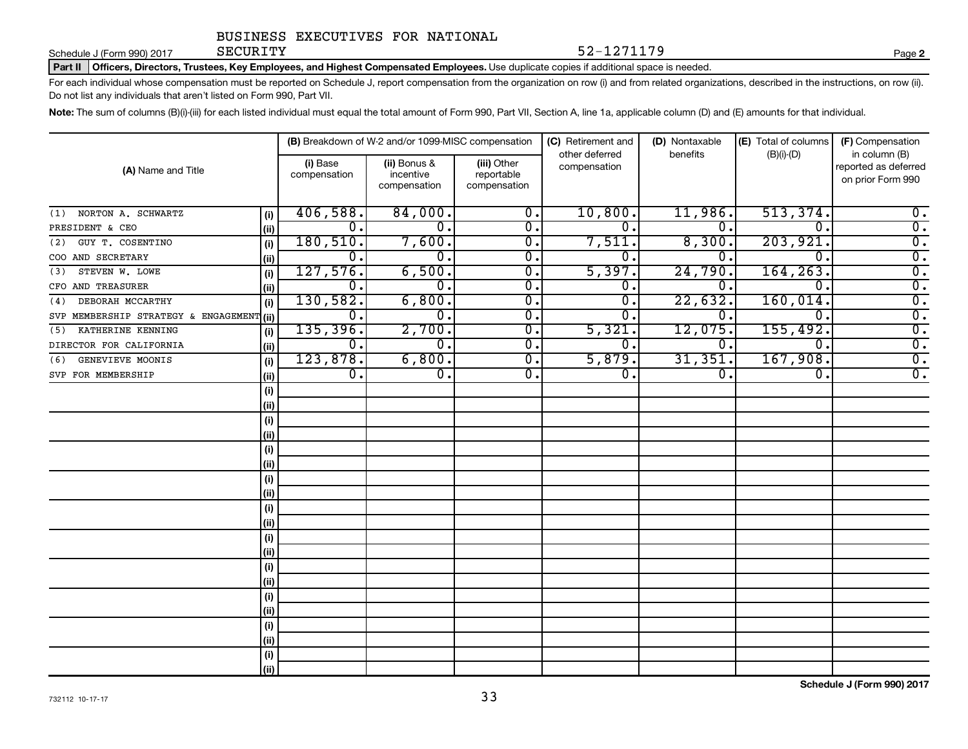Schedule J (Form 990) 2017 SECURITY

SECURITY 52-1271179

**2**

Part II | Officers, Directors, Trustees, Key Employees, and Highest Compensated Employees. Use duplicate copies if additional space is needed.

For each individual whose compensation must be reported on Schedule J, report compensation from the organization on row (i) and from related organizations, described in the instructions, on row (ii). Do not list any individuals that aren't listed on Form 990, Part VII.

Note: The sum of columns (B)(i)-(iii) for each listed individual must equal the total amount of Form 990, Part VII, Section A, line 1a, applicable column (D) and (E) amounts for that individual.

|                                      |      |                          | (B) Breakdown of W-2 and/or 1099-MISC compensation |                                           | (C) Retirement and             | (D) Nontaxable   | (E) Total of columns      | (F) Compensation                                           |
|--------------------------------------|------|--------------------------|----------------------------------------------------|-------------------------------------------|--------------------------------|------------------|---------------------------|------------------------------------------------------------|
| (A) Name and Title                   |      | (i) Base<br>compensation | (ii) Bonus &<br>incentive<br>compensation          | (iii) Other<br>reportable<br>compensation | other deferred<br>compensation | benefits         | $(B)(i)-(D)$              | in column (B)<br>reported as deferred<br>on prior Form 990 |
| NORTON A. SCHWARTZ<br>(1)            | (i)  | 406,588.                 | 84,000.                                            | 0.                                        | 10,800.                        | 11,986.          | 513, 374.                 | $0$ .                                                      |
| PRESIDENT & CEO                      | (ii) | 0.                       | $\Omega$ .                                         | $\overline{0}$ .                          | $\overline{\mathfrak{o}}$ .    | 0.               | $\Omega$ .                | $\overline{0}$ .                                           |
| GUY T. COSENTINO<br>(2)              | (i)  | 180, 510.                | 7,600.                                             | $\overline{\mathbf{0}}$ .                 | 7,511.                         | 8,300.           | 203,921.                  | $\overline{0}$ .                                           |
| COO AND SECRETARY                    | (ii) | 0.                       | $\Omega$ .                                         | Ο.                                        | 0.                             | 0.               | $\Omega$ .                | $\overline{0}$ .                                           |
| STEVEN W. LOWE<br>(3)                | (i)  | 127,576.                 | 6,500.                                             | $\overline{0}$ .                          | 5,397.                         | 24,790.          | 164, 263.                 | $\overline{0}$ .                                           |
| CFO AND TREASURER                    | (ii) | 0.                       | $\Omega$ .                                         | $\overline{0}$ .                          | $\overline{0}$ .               | 0.               | 0.                        | $\overline{0}$ .                                           |
| DEBORAH MCCARTHY<br>(4)              | (i)  | 130,582.                 | 6,800.                                             | $\overline{0}$ .                          | σ.                             | 22,632.          | 160,014.                  | $\overline{0}$ .                                           |
| SVP MEMBERSHIP STRATEGY & ENGAGEMENT | (ii) | 0.                       | $\Omega$ .                                         | $\overline{0}$ .                          | 0.                             | 0.               | 0.                        | $\overline{0}$ .                                           |
| KATHERINE KENNING<br>(5)             | (i)  | 135, 396.                | 2,700.                                             | σ.                                        | 5,321.                         | 12,075.          | 155,492.                  | $\overline{0}$ .                                           |
| DIRECTOR FOR CALIFORNIA              | (ii) | $\overline{0}$ .         | σ.                                                 | σ.                                        | $\overline{\mathfrak{o}}$ .    | 0.               | $\overline{0}$ .          | $\overline{0}$ .                                           |
| GENEVIEVE MOONIS<br>(6)              | (i)  | 123,878.                 | 6,800.                                             | $\overline{0}$ .                          | 5,879.                         | 31,351.          | 167,908.                  | $\overline{0}$ .                                           |
| SVP FOR MEMBERSHIP                   | (ii) | $\overline{0}$ .         | $\overline{0}$ .                                   | $\overline{0}$ .                          | $\overline{\mathfrak{o}}$ .    | $\overline{0}$ . | $\overline{\mathbf{0}}$ . | $\overline{0}$ .                                           |
|                                      | (i)  |                          |                                                    |                                           |                                |                  |                           |                                                            |
|                                      | (ii) |                          |                                                    |                                           |                                |                  |                           |                                                            |
|                                      | (i)  |                          |                                                    |                                           |                                |                  |                           |                                                            |
|                                      | (ii) |                          |                                                    |                                           |                                |                  |                           |                                                            |
|                                      | (i)  |                          |                                                    |                                           |                                |                  |                           |                                                            |
|                                      | (ii) |                          |                                                    |                                           |                                |                  |                           |                                                            |
|                                      | (i)  |                          |                                                    |                                           |                                |                  |                           |                                                            |
|                                      | (ii) |                          |                                                    |                                           |                                |                  |                           |                                                            |
|                                      | (i)  |                          |                                                    |                                           |                                |                  |                           |                                                            |
|                                      | (ii) |                          |                                                    |                                           |                                |                  |                           |                                                            |
|                                      | (i)  |                          |                                                    |                                           |                                |                  |                           |                                                            |
|                                      | (ii) |                          |                                                    |                                           |                                |                  |                           |                                                            |
|                                      | (i)  |                          |                                                    |                                           |                                |                  |                           |                                                            |
|                                      | (ii) |                          |                                                    |                                           |                                |                  |                           |                                                            |
|                                      | (i)  |                          |                                                    |                                           |                                |                  |                           |                                                            |
|                                      | (ii) |                          |                                                    |                                           |                                |                  |                           |                                                            |
|                                      | (i)  |                          |                                                    |                                           |                                |                  |                           |                                                            |
|                                      | (ii) |                          |                                                    |                                           |                                |                  |                           |                                                            |
|                                      | (i)  |                          |                                                    |                                           |                                |                  |                           |                                                            |
|                                      | (ii) |                          |                                                    |                                           |                                |                  |                           |                                                            |

**Schedule J (Form 990) 2017**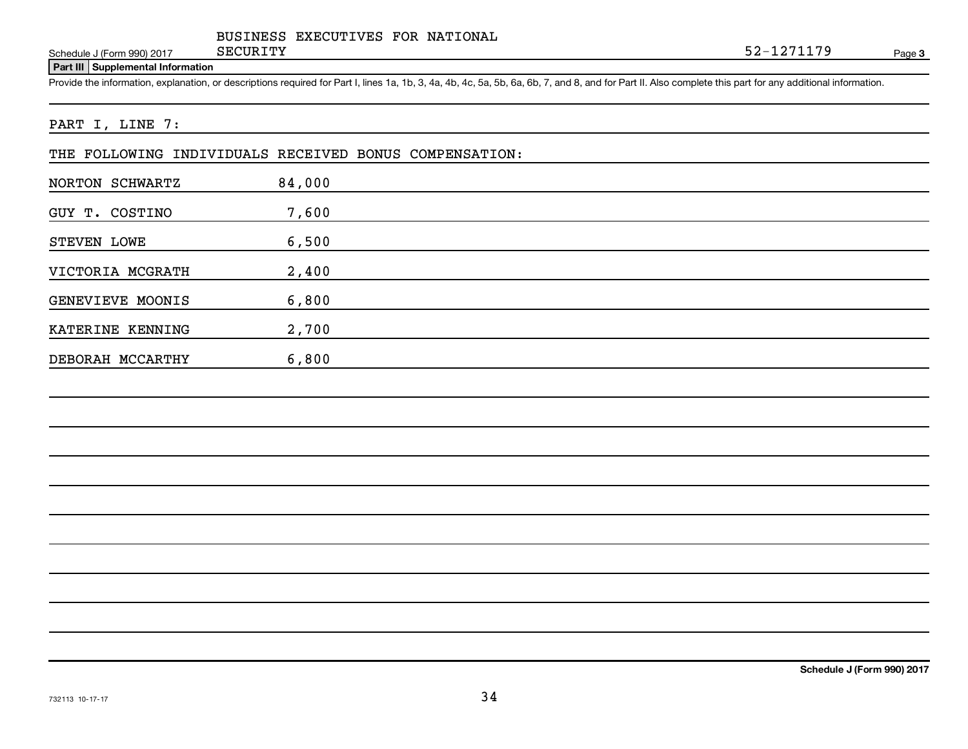Schedule J (Form 990) 2017 SECURITY

**3** SECURITY 52-1271179

#### **Part III Supplemental Information**

DEBORAH MCCARTHY 6,800

Provide the information, explanation, or descriptions required for Part I, lines 1a, 1b, 3, 4a, 4b, 4c, 5a, 5b, 6a, 6b, 7, and 8, and for Part II. Also complete this part for any additional information.

#### PART I, LINE 7:

|                  |        | THE FOLLOWING INDIVIDUALS RECEIVED BONUS COMPENSATION: |
|------------------|--------|--------------------------------------------------------|
| NORTON SCHWARTZ  | 84,000 |                                                        |
| GUY T. COSTINO   | 7,600  |                                                        |
| STEVEN LOWE      | 6,500  |                                                        |
| VICTORIA MCGRATH | 2,400  |                                                        |
| GENEVIEVE MOONIS | 6,800  |                                                        |
| KATERINE KENNING | 2,700  |                                                        |

**Schedule J (Form 990) 2017**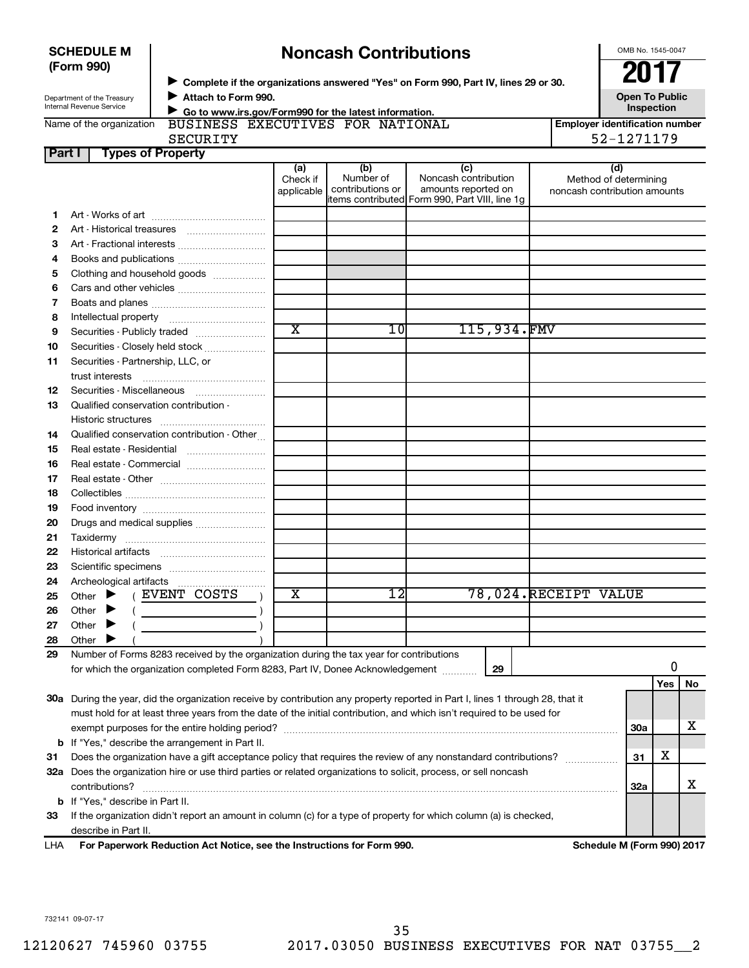|        | <b>SCHEDULE M</b>                                      |                                                                                         |                               | <b>Noncash Contributions</b>         |                                                                                                                                |                                       | OMB No. 1545-0047            |            |    |
|--------|--------------------------------------------------------|-----------------------------------------------------------------------------------------|-------------------------------|--------------------------------------|--------------------------------------------------------------------------------------------------------------------------------|---------------------------------------|------------------------------|------------|----|
|        | (Form 990)                                             |                                                                                         |                               |                                      |                                                                                                                                |                                       |                              |            |    |
|        |                                                        |                                                                                         |                               |                                      | > Complete if the organizations answered "Yes" on Form 990, Part IV, lines 29 or 30.                                           |                                       |                              |            |    |
|        | Department of the Treasury<br>Internal Revenue Service | Attach to Form 990.<br>Go to www.irs.gov/Form990 for the latest information.            |                               |                                      | <b>Open To Public</b><br>Inspection                                                                                            |                                       |                              |            |    |
|        | Name of the organization                               | BUSINESS EXECUTIVES FOR NATIONAL                                                        |                               |                                      |                                                                                                                                | <b>Employer identification number</b> |                              |            |    |
|        |                                                        | <b>SECURITY</b>                                                                         |                               |                                      |                                                                                                                                |                                       | 52-1271179                   |            |    |
| Part I | <b>Types of Property</b>                               |                                                                                         |                               |                                      |                                                                                                                                |                                       |                              |            |    |
|        |                                                        |                                                                                         | (a)<br>Check if<br>applicable | (b)<br>Number of<br>contributions or | (c)<br>Noncash contribution<br>amounts reported on<br>items contributed Form 990, Part VIII, line 1g                           | noncash contribution amounts          | (d)<br>Method of determining |            |    |
| 1      |                                                        |                                                                                         |                               |                                      |                                                                                                                                |                                       |                              |            |    |
| 2      |                                                        |                                                                                         |                               |                                      |                                                                                                                                |                                       |                              |            |    |
| З      |                                                        |                                                                                         |                               |                                      |                                                                                                                                |                                       |                              |            |    |
| 4      |                                                        | Books and publications                                                                  |                               |                                      |                                                                                                                                |                                       |                              |            |    |
| 5      |                                                        | Clothing and household goods                                                            |                               |                                      |                                                                                                                                |                                       |                              |            |    |
| 6      |                                                        | Cars and other vehicles                                                                 |                               |                                      |                                                                                                                                |                                       |                              |            |    |
| 7      |                                                        |                                                                                         |                               |                                      |                                                                                                                                |                                       |                              |            |    |
| 8      |                                                        |                                                                                         |                               |                                      |                                                                                                                                |                                       |                              |            |    |
| 9      |                                                        | Securities - Publicly traded                                                            | $\overline{\text{x}}$         | 10                                   | 115,934.FMV                                                                                                                    |                                       |                              |            |    |
| 10     |                                                        | Securities - Closely held stock                                                         |                               |                                      |                                                                                                                                |                                       |                              |            |    |
| 11     | Securities - Partnership, LLC, or                      |                                                                                         |                               |                                      |                                                                                                                                |                                       |                              |            |    |
|        | trust interests                                        |                                                                                         |                               |                                      |                                                                                                                                |                                       |                              |            |    |
| 12     |                                                        | Securities - Miscellaneous                                                              |                               |                                      |                                                                                                                                |                                       |                              |            |    |
| 13     | Qualified conservation contribution -                  |                                                                                         |                               |                                      |                                                                                                                                |                                       |                              |            |    |
|        |                                                        |                                                                                         |                               |                                      |                                                                                                                                |                                       |                              |            |    |
| 14     |                                                        | Qualified conservation contribution - Other                                             |                               |                                      |                                                                                                                                |                                       |                              |            |    |
| 15     |                                                        | Real estate - Residential                                                               |                               |                                      |                                                                                                                                |                                       |                              |            |    |
| 16     |                                                        | Real estate - Commercial                                                                |                               |                                      |                                                                                                                                |                                       |                              |            |    |
| 17     |                                                        |                                                                                         |                               |                                      |                                                                                                                                |                                       |                              |            |    |
| 18     |                                                        |                                                                                         |                               |                                      |                                                                                                                                |                                       |                              |            |    |
| 19     |                                                        |                                                                                         |                               |                                      |                                                                                                                                |                                       |                              |            |    |
| 20     |                                                        | Drugs and medical supplies                                                              |                               |                                      |                                                                                                                                |                                       |                              |            |    |
| 21     |                                                        |                                                                                         |                               |                                      |                                                                                                                                |                                       |                              |            |    |
| 22     |                                                        |                                                                                         |                               |                                      |                                                                                                                                |                                       |                              |            |    |
| 23     |                                                        |                                                                                         |                               |                                      |                                                                                                                                |                                       |                              |            |    |
| 24     |                                                        |                                                                                         |                               |                                      |                                                                                                                                |                                       |                              |            |    |
| 25     | Other                                                  | EVENT COSTS                                                                             | X                             | 12                                   |                                                                                                                                | 78,024.RECEIPT VALUE                  |                              |            |    |
| 26     | Other                                                  |                                                                                         |                               |                                      |                                                                                                                                |                                       |                              |            |    |
| 27     | Other                                                  |                                                                                         |                               |                                      |                                                                                                                                |                                       |                              |            |    |
| 28     | Other                                                  |                                                                                         |                               |                                      |                                                                                                                                |                                       |                              |            |    |
| 29     |                                                        | Number of Forms 8283 received by the organization during the tax year for contributions |                               |                                      |                                                                                                                                |                                       |                              |            |    |
|        |                                                        | for which the organization completed Form 8283, Part IV, Donee Acknowledgement          |                               |                                      | 29                                                                                                                             |                                       |                              | 0          |    |
|        |                                                        |                                                                                         |                               |                                      |                                                                                                                                |                                       |                              | <b>Yes</b> | No |
|        |                                                        |                                                                                         |                               |                                      | 30a During the year, did the organization receive by contribution any property reported in Part I, lines 1 through 28, that it |                                       |                              |            |    |
|        |                                                        |                                                                                         |                               |                                      | must hold for at least three years from the date of the initial contribution, and which isn't required to be used for          |                                       |                              |            |    |
|        |                                                        |                                                                                         |                               |                                      |                                                                                                                                |                                       | 30a                          |            | х  |
|        |                                                        | <b>b</b> If "Yes," describe the arrangement in Part II.                                 |                               |                                      |                                                                                                                                |                                       |                              |            |    |
| 31     |                                                        |                                                                                         |                               |                                      | Does the organization have a gift acceptance policy that requires the review of any nonstandard contributions?                 |                                       | 31                           | х          |    |
|        |                                                        |                                                                                         |                               |                                      | 32a Does the organization hire or use third parties or related organizations to solicit, process, or sell noncash              |                                       |                              |            |    |
|        | contributions?                                         |                                                                                         |                               |                                      |                                                                                                                                |                                       | 32a                          |            | х  |
|        | <b>b</b> If "Yes," describe in Part II.                |                                                                                         |                               |                                      |                                                                                                                                |                                       |                              |            |    |
| 33     |                                                        |                                                                                         |                               |                                      | If the organization didn't report an amount in column (c) for a type of property for which column (a) is checked,              |                                       |                              |            |    |
|        | describe in Part II.                                   |                                                                                         |                               |                                      |                                                                                                                                |                                       |                              |            |    |
| LHA    |                                                        | For Paperwork Reduction Act Notice, see the Instructions for Form 990.                  |                               |                                      |                                                                                                                                |                                       | Schedule M (Form 990) 2017   |            |    |

#### 732141 09-07-17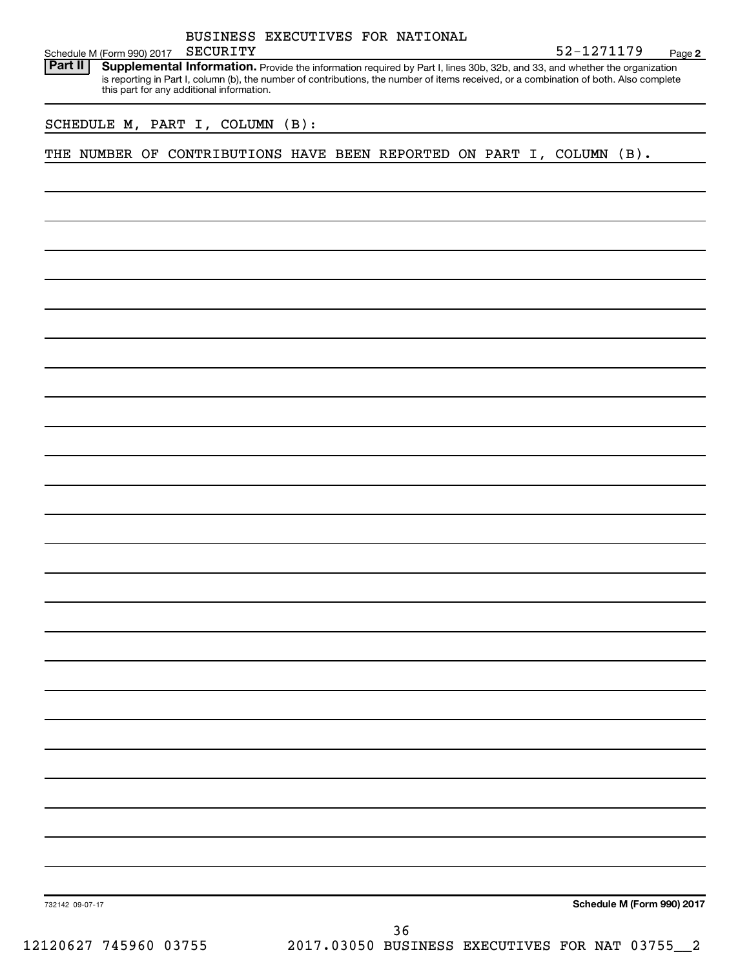| BUSINESS EXECUTIVES FOR NATIONAL                                                                                                                                                                                                                                                                                             |                            |        |
|------------------------------------------------------------------------------------------------------------------------------------------------------------------------------------------------------------------------------------------------------------------------------------------------------------------------------|----------------------------|--------|
| SECURITY<br>Schedule M (Form 990) 2017                                                                                                                                                                                                                                                                                       | 52-1271179                 | Page 2 |
| Part II<br>Supplemental Information. Provide the information required by Part I, lines 30b, 32b, and 33, and whether the organization<br>is reporting in Part I, column (b), the number of contributions, the number of items received, or a combination of both. Also complete<br>this part for any additional information. |                            |        |
| SCHEDULE M, PART I, COLUMN (B):                                                                                                                                                                                                                                                                                              |                            |        |
| THE NUMBER OF CONTRIBUTIONS HAVE BEEN REPORTED ON PART I, COLUMN (B).                                                                                                                                                                                                                                                        |                            |        |
|                                                                                                                                                                                                                                                                                                                              |                            |        |
|                                                                                                                                                                                                                                                                                                                              |                            |        |
|                                                                                                                                                                                                                                                                                                                              |                            |        |
|                                                                                                                                                                                                                                                                                                                              |                            |        |
|                                                                                                                                                                                                                                                                                                                              |                            |        |
|                                                                                                                                                                                                                                                                                                                              |                            |        |
|                                                                                                                                                                                                                                                                                                                              |                            |        |
|                                                                                                                                                                                                                                                                                                                              |                            |        |
|                                                                                                                                                                                                                                                                                                                              |                            |        |
|                                                                                                                                                                                                                                                                                                                              |                            |        |
|                                                                                                                                                                                                                                                                                                                              |                            |        |
|                                                                                                                                                                                                                                                                                                                              |                            |        |
|                                                                                                                                                                                                                                                                                                                              |                            |        |
|                                                                                                                                                                                                                                                                                                                              |                            |        |
|                                                                                                                                                                                                                                                                                                                              |                            |        |
|                                                                                                                                                                                                                                                                                                                              |                            |        |
|                                                                                                                                                                                                                                                                                                                              |                            |        |
|                                                                                                                                                                                                                                                                                                                              |                            |        |
|                                                                                                                                                                                                                                                                                                                              |                            |        |
|                                                                                                                                                                                                                                                                                                                              |                            |        |
|                                                                                                                                                                                                                                                                                                                              |                            |        |
|                                                                                                                                                                                                                                                                                                                              |                            |        |
|                                                                                                                                                                                                                                                                                                                              |                            |        |
|                                                                                                                                                                                                                                                                                                                              |                            |        |
|                                                                                                                                                                                                                                                                                                                              |                            |        |
| 732142 09-07-17                                                                                                                                                                                                                                                                                                              | Schedule M (Form 990) 2017 |        |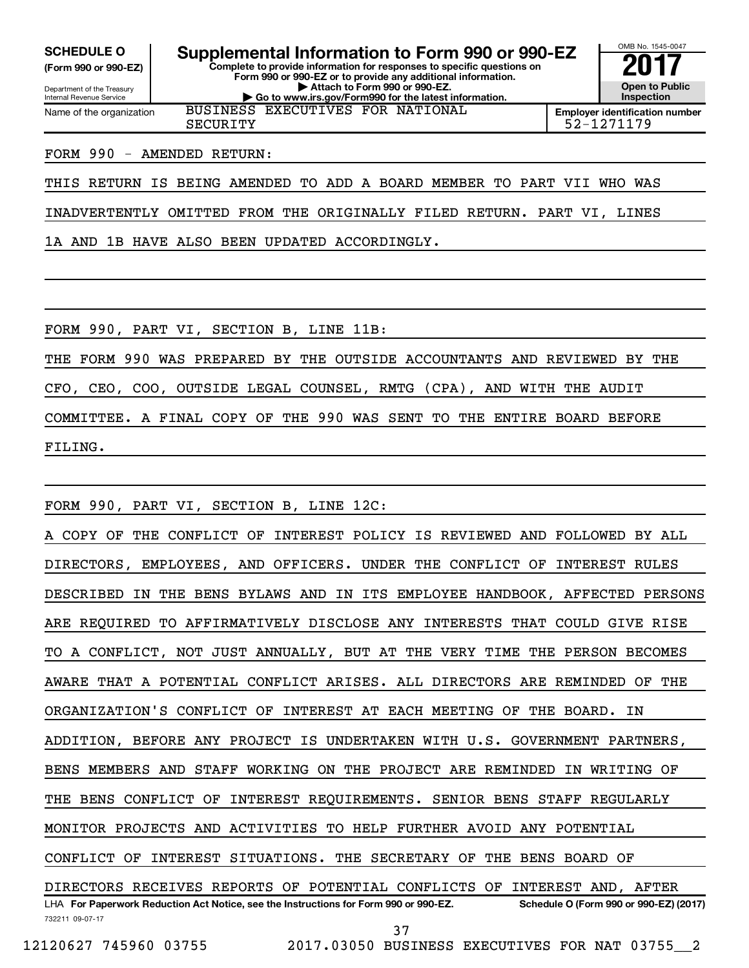**(Form 990 or 990-EZ)**

Department of the Treasury Internal Revenue Service Name of the organization

**Complete to provide information for responses to specific questions on Form 990 or 990-EZ or to provide any additional information. | Attach to Form 990 or 990-EZ. | Go to www.irs.gov/Form990 for the latest information. SCHEDULE O Supplemental Information to Form 990 or 990-EZ** <br>(Form 990 or 990-EZ) Complete to provide information for responses to specific questions on BUSINESS EXECUTIVES FOR NATIONAL



**Employer identification number** SECURITY 52-1271179

#### FORM 990 - AMENDED RETURN:

THIS RETURN IS BEING AMENDED TO ADD A BOARD MEMBER TO PART VII WHO WAS

INADVERTENTLY OMITTED FROM THE ORIGINALLY FILED RETURN. PART VI, LINES

1A AND 1B HAVE ALSO BEEN UPDATED ACCORDINGLY.

FORM 990, PART VI, SECTION B, LINE 11B:

THE FORM 990 WAS PREPARED BY THE OUTSIDE ACCOUNTANTS AND REVIEWED BY THE

CFO, CEO, COO, OUTSIDE LEGAL COUNSEL, RMTG (CPA), AND WITH THE AUDIT

COMMITTEE. A FINAL COPY OF THE 990 WAS SENT TO THE ENTIRE BOARD BEFORE

FILING.

FORM 990, PART VI, SECTION B, LINE 12C:

732211 09-07-17 LHA For Paperwork Reduction Act Notice, see the Instructions for Form 990 or 990-EZ. Schedule O (Form 990 or 990-EZ) (2017) A COPY OF THE CONFLICT OF INTEREST POLICY IS REVIEWED AND FOLLOWED BY ALL DIRECTORS, EMPLOYEES, AND OFFICERS. UNDER THE CONFLICT OF INTEREST RULES DESCRIBED IN THE BENS BYLAWS AND IN ITS EMPLOYEE HANDBOOK, AFFECTED PERSONS ARE REQUIRED TO AFFIRMATIVELY DISCLOSE ANY INTERESTS THAT COULD GIVE RISE TO A CONFLICT, NOT JUST ANNUALLY, BUT AT THE VERY TIME THE PERSON BECOMES AWARE THAT A POTENTIAL CONFLICT ARISES. ALL DIRECTORS ARE REMINDED OF THE ORGANIZATION'S CONFLICT OF INTEREST AT EACH MEETING OF THE BOARD. IN ADDITION, BEFORE ANY PROJECT IS UNDERTAKEN WITH U.S. GOVERNMENT PARTNERS, BENS MEMBERS AND STAFF WORKING ON THE PROJECT ARE REMINDED IN WRITING OF THE BENS CONFLICT OF INTEREST REQUIREMENTS. SENIOR BENS STAFF REGULARLY MONITOR PROJECTS AND ACTIVITIES TO HELP FURTHER AVOID ANY POTENTIAL CONFLICT OF INTEREST SITUATIONS. THE SECRETARY OF THE BENS BOARD OF DIRECTORS RECEIVES REPORTS OF POTENTIAL CONFLICTS OF INTEREST AND, AFTER 37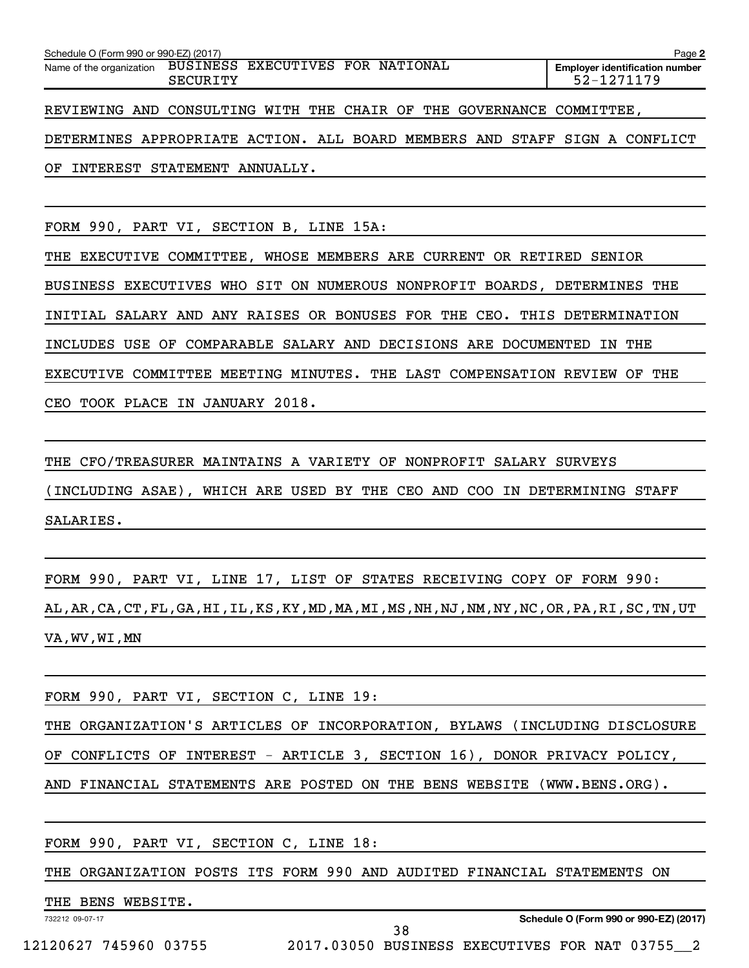| Schedule O (Form 990 or 990-EZ) (2017)                               |          |  |  | Page 2                                              |
|----------------------------------------------------------------------|----------|--|--|-----------------------------------------------------|
| Name of the organization BUSINESS EXECUTIVES FOR NATIONAL            | SECURITY |  |  | <b>Employer identification number</b><br>52-1271179 |
| REVIEWING AND CONSULTING WITH THE CHAIR OF THE GOVERNANCE COMMITTEE, |          |  |  |                                                     |
|                                                                      |          |  |  |                                                     |

DETERMINES APPROPRIATE ACTION. ALL BOARD MEMBERS AND STAFF SIGN A CONFLICT OF INTEREST STATEMENT ANNUALLY.

FORM 990, PART VI, SECTION B, LINE 15A:

THE EXECUTIVE COMMITTEE, WHOSE MEMBERS ARE CURRENT OR RETIRED SENIOR BUSINESS EXECUTIVES WHO SIT ON NUMEROUS NONPROFIT BOARDS, DETERMINES THE INITIAL SALARY AND ANY RAISES OR BONUSES FOR THE CEO. THIS DETERMINATION INCLUDES USE OF COMPARABLE SALARY AND DECISIONS ARE DOCUMENTED IN THE EXECUTIVE COMMITTEE MEETING MINUTES. THE LAST COMPENSATION REVIEW OF THE CEO TOOK PLACE IN JANUARY 2018.

THE CFO/TREASURER MAINTAINS A VARIETY OF NONPROFIT SALARY SURVEYS (INCLUDING ASAE), WHICH ARE USED BY THE CEO AND COO IN DETERMINING STAFF SALARIES.

FORM 990, PART VI, LINE 17, LIST OF STATES RECEIVING COPY OF FORM 990: AL,AR,CA,CT,FL,GA,HI,IL,KS,KY,MD,MA,MI,MS,NH,NJ,NM,NY,NC,OR,PA,RI,SC,TN,UT VA,WV,WI,MN

FORM 990, PART VI, SECTION C, LINE 19:

THE ORGANIZATION'S ARTICLES OF INCORPORATION, BYLAWS (INCLUDING DISCLOSURE OF CONFLICTS OF INTEREST - ARTICLE 3, SECTION 16), DONOR PRIVACY POLICY, AND FINANCIAL STATEMENTS ARE POSTED ON THE BENS WEBSITE (WWW.BENS.ORG).

FORM 990, PART VI, SECTION C, LINE 18:

THE ORGANIZATION POSTS ITS FORM 990 AND AUDITED FINANCIAL STATEMENTS ON

38

THE BENS WEBSITE.

732212 09-07-17